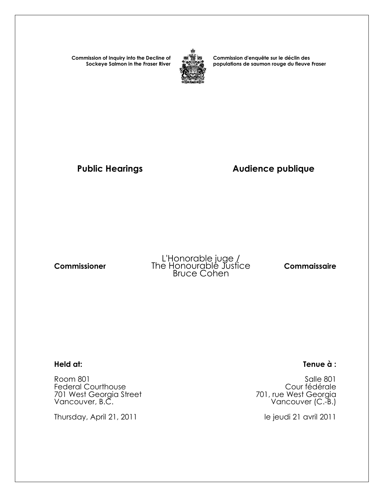**Commission of Inquiry into the Decline of Sockeye Salmon in the Fraser River**



**Commission d'enquête sur le déclin des populations de saumon rouge du fleuve Fraser** 

### Public Hearings **Audience publique**

L'Honorable juge /  **Commissioner** The Honourable Justice **Commaissaire** Bruce Cohen

 Room 801 Salle 801 Federal Courthouse **Courthouse** Cour fédérale 701 West Georgia Street<br>Vancouver, B.C.

Thursday, April 21, 2011 **le jeudi 21 avril 2011** 

### **Held at: Tenue à :**

Vancouver (C.-B.)<br>Vancouver (C.-B.)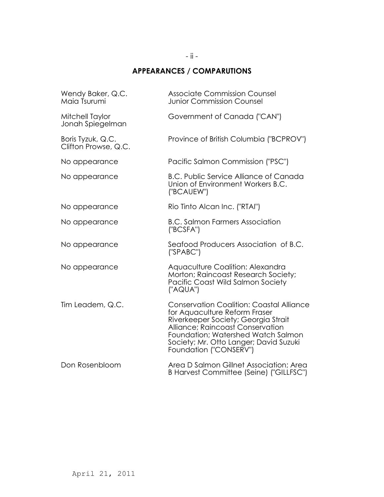### **APPEARANCES / COMPARUTIONS**

| Wendy Baker, Q.C.<br>Maia Tsurumi         | <b>Associate Commission Counsel</b><br><b>Junior Commission Counsel</b>                                                                                                                                                                                               |
|-------------------------------------------|-----------------------------------------------------------------------------------------------------------------------------------------------------------------------------------------------------------------------------------------------------------------------|
| Mitchell Taylor<br>Jonah Spiegelman       | Government of Canada ("CAN")                                                                                                                                                                                                                                          |
| Boris Tyzuk, Q.C.<br>Clifton Prowse, Q.C. | Province of British Columbia ("BCPROV")                                                                                                                                                                                                                               |
| No appearance                             | Pacific Salmon Commission ("PSC")                                                                                                                                                                                                                                     |
| No appearance                             | <b>B.C. Public Service Alliance of Canada</b><br>Union of Environment Workers B.C.<br>("BCAUEW")                                                                                                                                                                      |
| No appearance                             | Rio Tinto Alcan Inc. ("RTAI")                                                                                                                                                                                                                                         |
| No appearance                             | <b>B.C. Salmon Farmers Association</b><br>('BCSFA")                                                                                                                                                                                                                   |
| No appearance                             | Seafood Producers Association of B.C.<br>('SPABC")                                                                                                                                                                                                                    |
| No appearance                             | Aquaculture Coalition: Alexandra<br>Morton; Raincoast Research Society;<br>Pacific Coast Wild Salmon Society<br>("AQUA")                                                                                                                                              |
| Tim Leadem, Q.C.                          | <b>Conservation Coalition: Coastal Alliance</b><br>for Aquaculture Reform Fraser<br>Riverkeeper Society; Georgia Strait<br>Alliance; Raincoast Conservation<br>Foundation; Watershed Watch Salmon<br>Society; Mr. Otto Langer; David Suzuki<br>Foundation ("CONSERV") |
| Don Rosenbloom                            | Area D Salmon Gillnet Association; Area<br>B Harvest Committee (Seine) ("GILLFSC")                                                                                                                                                                                    |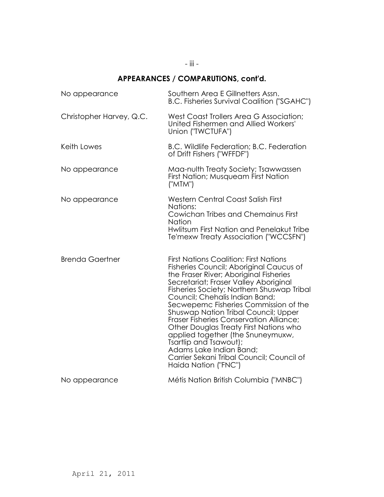# **APPEARANCES / COMPARUTIONS, cont'd.**

| No appearance            | Southern Area E Gillnetters Assn.<br><b>B.C. Fisheries Survival Coalition ("SGAHC")</b>                                                                                                                                                                                                                                                                                                                                                                                                                                                                                                                 |
|--------------------------|---------------------------------------------------------------------------------------------------------------------------------------------------------------------------------------------------------------------------------------------------------------------------------------------------------------------------------------------------------------------------------------------------------------------------------------------------------------------------------------------------------------------------------------------------------------------------------------------------------|
| Christopher Harvey, Q.C. | West Coast Trollers Area G Association;<br>United Fishermen and Allied Workers'<br>Union ("TWCTUFA")                                                                                                                                                                                                                                                                                                                                                                                                                                                                                                    |
| Keith Lowes              | B.C. Wildlife Federation; B.C. Federation<br>of Drift Fishers ("WFFDF")                                                                                                                                                                                                                                                                                                                                                                                                                                                                                                                                 |
| No appearance            | Maa-nulth Treaty Society; Tsawwassen<br>First Nation; Musqueam First Nation<br>("MTM")                                                                                                                                                                                                                                                                                                                                                                                                                                                                                                                  |
| No appearance            | <b>Western Central Coast Salish First</b><br>Nations:<br>Cowichan Tribes and Chemainus First<br>Nation<br>Hwlitsum First Nation and Penelakut Tribe<br>Te'mexw Treaty Association ("WCCSFN")                                                                                                                                                                                                                                                                                                                                                                                                            |
| <b>Brenda Gaertner</b>   | <b>First Nations Coalition: First Nations</b><br>Fisheries Council; Aboriginal Caucus of<br>the Fraser River; Aboriginal Fisheries<br>Secretariat; Fraser Valley Aboriginal<br>Fisheries Society; Northern Shuswap Tribal<br>Council; Chehalis Indian Band;<br>Secwepemc Fisheries Commission of the<br><b>Shuswap Nation Tribal Council; Upper</b><br>Fraser Fisheries Conservation Alliance;<br>Other Douglas Treaty First Nations who<br>applied together (the Snuneymuxw,<br>Tsartlip and Tsawout);<br>Adams Lake Indian Band;<br>Carrier Sekani Tribal Council; Council of<br>Haida Nation ("FNC") |
| No appearance            | Métis Nation British Columbia ("MNBC")                                                                                                                                                                                                                                                                                                                                                                                                                                                                                                                                                                  |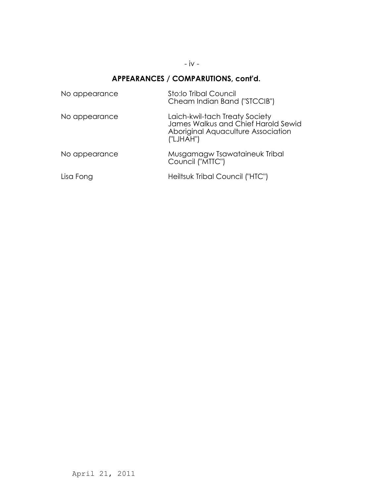### **APPEARANCES / COMPARUTIONS, cont'd.**

| No appearance | <b>Sto:lo Tribal Council</b><br>Cheam Indian Band ("STCCIB")                                                             |
|---------------|--------------------------------------------------------------------------------------------------------------------------|
| No appearance | Laich-kwil-tach Treaty Society<br>James Walkus and Chief Harold Sewid<br>Aboriginal Aquaculture Association<br>("LJHAH") |
| No appearance | Musgamagw Tsawataineuk Tribal<br>Council ("MTTC")                                                                        |
| Lisa Fong     | Heiltsuk Tribal Council ("HTC")                                                                                          |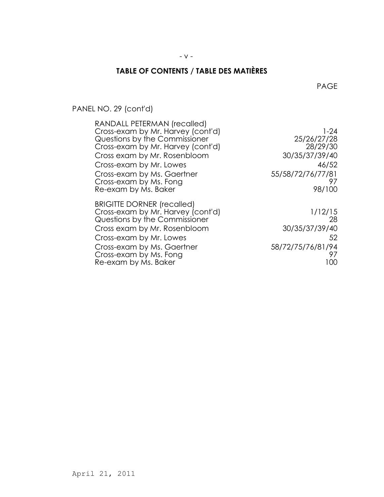## **TABLE OF CONTENTS / TABLE DES MATIÈRES**

PAGE And the contract of the contract of the page of the page of the contract of the page of the contract of the contract of the contract of the contract of the contract of the contract of the contract of the contract of t

PANEL NO. 29 (cont'd)

| RANDALL PETERMAN (recalled)<br>Cross-exam by Mr. Harvey (cont'd)<br>Questions by the Commissioner<br>Cross-exam by Mr. Harvey (cont'd)<br>Cross exam by Mr. Rosenbloom<br>Cross-exam by Mr. Lowes<br>Cross-exam by Ms. Gaertner<br>Cross-exam by Ms. Fong<br>Re-exam by Ms. Baker | 1-24<br>25/26/27/28<br>28/29/30<br>30/35/37/39/40<br>46/52<br>55/58/72/76/77/81<br>98/100 |
|-----------------------------------------------------------------------------------------------------------------------------------------------------------------------------------------------------------------------------------------------------------------------------------|-------------------------------------------------------------------------------------------|
| <b>BRIGITTE DORNER (recalled)</b><br>Cross-exam by Mr. Harvey (cont'd)<br>Questions by the Commissioner<br>Cross exam by Mr. Rosenbloom<br>Cross-exam by Mr. Lowes<br>Cross-exam by Ms. Gaertner<br>Cross-exam by Ms. Fong<br>Re-exam by Ms. Baker                                | 1/12/15<br>28<br>30/35/37/39/40<br>52<br>58/72/75/76/81/94<br>97<br>00                    |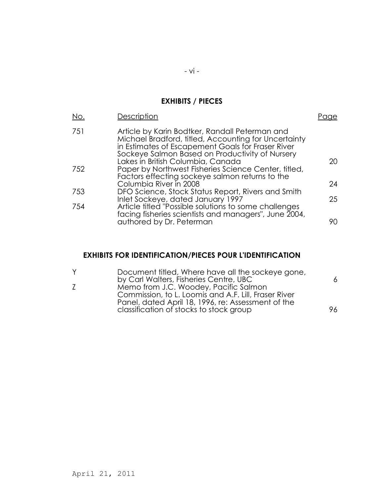### **EXHIBITS / PIECES**

| No. | Description                                                                                                                                                                                                    |    |
|-----|----------------------------------------------------------------------------------------------------------------------------------------------------------------------------------------------------------------|----|
| 751 | Article by Karin Bodtker, Randall Peterman and<br>Michael Bradford, titled, Accounting for Uncertainty<br>in Estimates of Escapement Goals for Fraser River<br>Sockeye Salmon Based on Productivity of Nursery |    |
|     | Lakes in British Columbia, Canada                                                                                                                                                                              | 20 |
| 752 | Paper by Northwest Fisheries Science Center, titled,                                                                                                                                                           |    |
|     | Factors effecting sockeye salmon returns to the                                                                                                                                                                |    |
|     | Columbia River in 2008                                                                                                                                                                                         | 24 |
| 753 | DFO Science, Stock Status Report, Rivers and Smith                                                                                                                                                             |    |
|     | Inlet Sockeye, dated January 1997                                                                                                                                                                              | 25 |
| 754 | Article titled "Possible solutions to some challenges<br>facing fisheries scientists and managers", June 2004,                                                                                                 |    |
|     | authored by Dr. Peterman                                                                                                                                                                                       | 90 |

### **EXHIBITS FOR IDENTIFICATION/PIECES POUR L'IDENTIFICATION**

| Y  | Document titled, Where have all the sockeye gone,    |     |
|----|------------------------------------------------------|-----|
|    | by Carl Walters, Fisheries Centre, UBC               | 6.  |
| Z. | Memo from J.C. Woodey, Pacific Salmon                |     |
|    | Commission, to L. Loomis and A.F. Lill, Fraser River |     |
|    | Panel, dated April 18, 1996, re: Assessment of the   |     |
|    | classification of stocks to stock group              | 96. |

 $- vi -$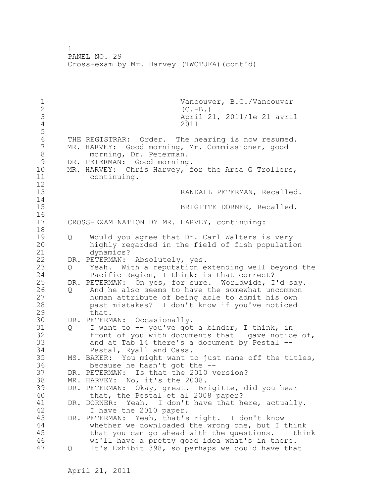1 Vancouver, B.C./Vancouver<br>2 (C.-B.) 2 (C.-B.)<br>3 April 2 3 April 21, 2011/le 21 avril 4 2011 5 6 THE REGISTRAR: Order. The hearing is now resumed.<br>7 MR. HARVEY: Good morning, Mr. Commissioner, good MR. HARVEY: Good morning, Mr. Commissioner, good 8 morning, Dr. Peterman.<br>9 DR. PETERMAN: Good morning 9 DR. PETERMAN: Good morning.<br>10 MR. HARVEY: Chris Harvey, f MR. HARVEY: Chris Harvey, for the Area G Trollers, 11 continuing.  $\begin{array}{c} 12 \\ 13 \end{array}$ RANDALL PETERMAN, Recalled. 14 15 BRIGITTE DORNER, Recalled. 16 17 CROSS-EXAMINATION BY MR. HARVEY, continuing: 18 19 Q Would you agree that Dr. Carl Walters is very<br>20 highly regarded in the field of fish populati highly regarded in the field of fish population 21 dynamics? 22 DR. PETERMAN: Absolutely, yes. 23 Q Yeah. With a reputation extending well beyond the 24 Pacific Region, I think; is that correct? 25 DR. PETERMAN: On yes, for sure. Worldwide, I'd say. 26 Q And he also seems to have the somewhat uncommon<br>27 human attribute of being able to admit his own human attribute of being able to admit his own 28 past mistakes? I don't know if you've noticed 29 that. 30 DR. PETERMAN: Occasionally.<br>31 0 I want to -- you've got 31 Q I want to -- you've got a binder, I think, in<br>32 front of you with documents that I gave notic front of you with documents that I gave notice of, 33 and at Tab 14 there's a document by Pestal -- 34 Pestal, Ryall and Cass. 35 MS. BAKER: You might want to just name off the titles, 36 because he hasn't got the -- 37 DR. PETERMAN: Is that the 2010 version? 38 MR. HARVEY: No, it's the 2008. 39 DR. PETERMAN: Okay, great. Brigitte, did you hear 40 that, the Pestal et al 2008 paper? 41 DR. DORNER: Yeah. I don't have that here, actually.<br>42 I have the 2010 paper. I have the 2010 paper. 43 DR. PETERMAN: Yeah, that's right. I don't know 44 whether we downloaded the wrong one, but I think 45 that you can go ahead with the questions. I think 46 we'll have a pretty good idea what's in there. 47 Q It's Exhibit 398, so perhaps we could have that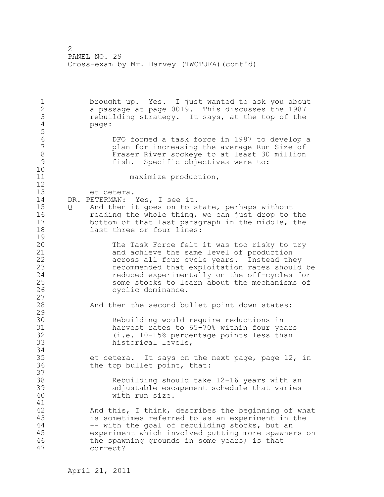1 brought up. Yes. I just wanted to ask you about 2 a passage at page 0019. This discusses the 1987 3 rebuilding strategy. It says, at the top of the 4 page: 5 6 DFO formed a task force in 1987 to develop a plan for increasing the average Run Size of 8 Fraser River sockeye to at least 30 million<br>9 fish. Specific objectives were to: fish. Specific objectives were to: 10 11 maximize production, 12 13 et cetera. 14 DR. PETERMAN: Yes, I see it. 15 Q And then it goes on to state, perhaps without 16 reading the whole thing, we can just drop to the 17 bottom of that last paragraph in the middle, the 18 last three or four lines:  $\frac{19}{20}$ The Task Force felt it was too risky to try 21 and achieve the same level of production 22 across all four cycle years. Instead they 23 recommended that exploitation rates should be 24 reduced experimentally on the off-cycles for 25 some stocks to learn about the mechanisms of 26 cyclic dominance. 27 28 And then the second bullet point down states: 29 30 Rebuilding would require reductions in<br>31 harvest rates to 65-70% within four year 31 harvest rates to 65-70% within four years<br>32 (i.e. 10-15% percentage points less than  $(i.e. 10-15)$  percentage points less than 33 historical levels, 34 35 et cetera. It says on the next page, page 12, in 36 the top bullet point, that: 37 38 Rebuilding should take 12-16 years with an 39 adjustable escapement schedule that varies 40 with run size. 41<br>42 And this, I think, describes the beginning of what 43 is sometimes referred to as an experiment in the 44 -- with the goal of rebuilding stocks, but an 45 experiment which involved putting more spawners on 46 the spawning grounds in some years; is that 47 correct?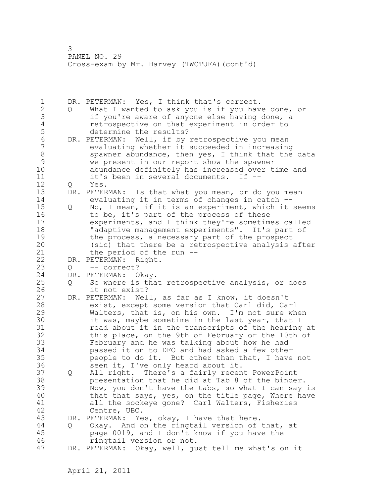1 DR. PETERMAN: Yes, I think that's correct. 2 Q What I wanted to ask you is if you have done, or 3 if you're aware of anyone else having done, a 4 retrospective on that experiment in order to 5 determine the results?<br>6 DR. PETERMAN: Well, if by 6 DR. PETERMAN: Well, if by retrospective you mean evaluating whether it succeeded in increasing 8 spawner abundance, then yes, I think that the data 9 we present in our report show the spawner abundance definitely has increased over time and 11 it's been in several documents. If -- 12 Q Yes. 13 DR. PETERMAN: Is that what you mean, or do you mean 14 evaluating it in terms of changes in catch -- 15 Q No, I mean, if it is an experiment, which it seems 16 to be, it's part of the process of these 17 experiments, and I think they're sometimes called 18 "adaptive management experiments". It's part of 19 the process, a necessary part of the prospect<br>20 (sic) that there be a retrospective analysis (sic) that there be a retrospective analysis after 21 the period of the run -- 22 DR. PETERMAN: Right. 23 Q -- correct? 24 DR. PETERMAN: Okay. 25 Q So where is that retrospective analysis, or does 26 it not exist?<br>27 DR. PETERMAN: Wel DR. PETERMAN: Well, as far as I know, it doesn't 28 exist, except some version that Carl did, Carl 29 Walters, that is, on his own. I'm not sure when 30 it was, maybe sometime in the last year, that I 31 read about it in the transcripts of the hearing at 32 this place, on the 9th of February or the 10th of 33 February and he was talking about how he had 34 passed it on to DFO and had asked a few other 35 people to do it. But other than that, I have not 36 seen it, I've only heard about it. 37 Q All right. There's a fairly recent PowerPoint 38 presentation that he did at Tab 8 of the binder. 39 Now, you don't have the tabs, so what I can say is 40 that that says, yes, on the title page, Where have 41 all the sockeye gone? Carl Walters, Fisheries<br>42 Centre, UBC. Centre, UBC. 43 DR. PETERMAN: Yes, okay, I have that here. 44 Q Okay. And on the ringtail version of that, at 45 page 0019, and I don't know if you have the 46 ringtail version or not. 47 DR. PETERMAN: Okay, well, just tell me what's on it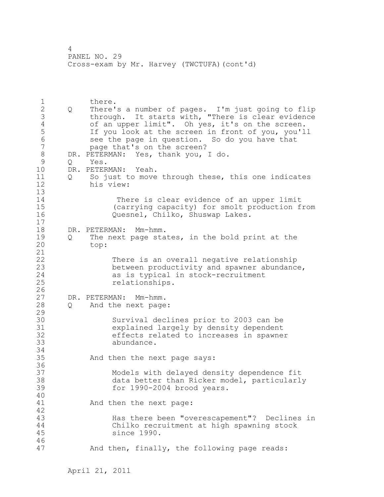1 there. 2 Q There's a number of pages. I'm just going to flip 3 through. It starts with, "There is clear evidence<br>4 of an upper limit". Oh yes, it's on the screen. 4 of an upper limit". Oh yes, it's on the screen.<br>5 1f you look at the screen in front of you, you'l 5 If you look at the screen in front of you, you'll<br>6 see the page in question. So do you have that 6 see the page in question. So do you have that<br>7 sepage that's on the screen? page that's on the screen? 8 DR. PETERMAN: Yes, thank you, I do.<br>9 0 Yes. 9 Q Yes.<br>10 DR.PETER DR. PETERMAN: Yeah. 11 Q So just to move through these, this one indicates 12 his view: 13 14 There is clear evidence of an upper limit 15 (carrying capacity) for smolt production from<br>16 0uesnel, Chilko, Shuswap Lakes. Quesnel, Chilko, Shuswap Lakes. 17 18 DR. PETERMAN: Mm-hmm. 19 Q The next page states, in the bold print at the 20 top: 21 22 There is an overall negative relationship 23 between productivity and spawner abundance, 24 as is typical in stock-recruitment 25 relationships.  $\frac{26}{27}$ DR. PETERMAN: Mm-hmm. 28 Q And the next page: 29 30 Survival declines prior to 2003 can be 31 explained largely by density dependent<br>32 effects related to increases in spawne effects related to increases in spawner 33 abundance. 34 35 And then the next page says: 36 37 Models with delayed density dependence fit<br>38 data better than Ricker model, particularl data better than Ricker model, particularly 39 for 1990-2004 brood years. 40 41 And then the next page: 42 Has there been "overescapement"? Declines in 44 Chilko recruitment at high spawning stock 45 since 1990. 46 47 And then, finally, the following page reads: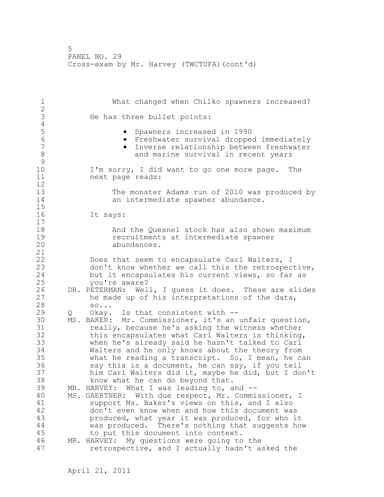| $\mathbf 1$                                                  |   | What changed when Chilko spawners increased?                                                                                                                                                                                                                                                                                                                                                                                                                        |
|--------------------------------------------------------------|---|---------------------------------------------------------------------------------------------------------------------------------------------------------------------------------------------------------------------------------------------------------------------------------------------------------------------------------------------------------------------------------------------------------------------------------------------------------------------|
| $\overline{2}$<br>$\mathfrak{Z}$                             |   |                                                                                                                                                                                                                                                                                                                                                                                                                                                                     |
| $\overline{4}$                                               |   | He has three bullet points:                                                                                                                                                                                                                                                                                                                                                                                                                                         |
| 5<br>$6\phantom{1}6$<br>$\overline{7}$<br>8<br>$\mathcal{G}$ |   | Spawners increased in 1990<br>Freshwater survival dropped immediately<br>Inverse relationship between freshwater<br>and marine survival in recent years                                                                                                                                                                                                                                                                                                             |
| 10<br>11<br>12                                               |   | I'm sorry, I did want to go one more page.<br>The<br>next page reads:                                                                                                                                                                                                                                                                                                                                                                                               |
| 13<br>14<br>15                                               |   | The monster Adams run of 2010 was produced by<br>an intermediate spawner abundance.                                                                                                                                                                                                                                                                                                                                                                                 |
| 16<br>17                                                     |   | It says:                                                                                                                                                                                                                                                                                                                                                                                                                                                            |
| 18<br>19<br>20<br>21                                         |   | And the Quesnel stock has also shown maximum<br>recruitments at intermediate spawner<br>abundances.                                                                                                                                                                                                                                                                                                                                                                 |
| 22<br>23<br>24<br>25                                         |   | Does that seem to encapsulate Carl Walters, I<br>don't know whether we call this the retrospective,<br>but it encapsulates his current views, so far as<br>you're aware?                                                                                                                                                                                                                                                                                            |
| 26<br>27<br>28                                               |   | DR. PETERMAN: Well, I guess it does. These are slides<br>he made up of his interpretations of the data,<br>SO                                                                                                                                                                                                                                                                                                                                                       |
| 29<br>30<br>31<br>32<br>33<br>34<br>35<br>36<br>37           | Q | Okay. Is that consistent with --<br>MS. BAKER: Mr. Commissioner, it's an unfair question,<br>really, because he's asking the witness whether<br>this encapsulates what Carl Walters is thinking,<br>when he's already said he hasn't talked to Carl<br>Walters and he only knows about the theory from<br>what he reading a transcript. So, I mean, he can<br>say this is a document, he can say, if you tell<br>him Carl Walters did it, maybe he did, but I don't |
| 38<br>39                                                     |   | know what he can do beyond that.<br>What I was leading to, and --<br>MR. HARVEY:                                                                                                                                                                                                                                                                                                                                                                                    |
| 40<br>41<br>42<br>43<br>44                                   |   | With due respect, Mr. Commissioner, I<br>MS. GAERTNER:<br>support Ms. Baker's views on this, and I also<br>don't even know when and how this document was<br>produced, what year it was produced, for who it<br>There's nothing that suggests how<br>was produced.                                                                                                                                                                                                  |
| 45<br>46<br>47                                               |   | to put this document into context.<br>My questions were going to the<br>MR. HARVEY:<br>retrospective, and I actually hadn't asked the                                                                                                                                                                                                                                                                                                                               |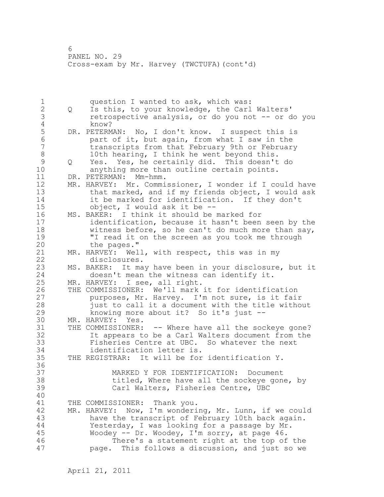1 question I wanted to ask, which was:<br>2 0 Is this, to your knowledge, the Carl 2 Q Is this, to your knowledge, the Carl Walters' 3 retrospective analysis, or do you not -- or do you 4 know?<br>5 DR. PETERM 5 DR. PETERMAN: No, I don't know. I suspect this is<br>6 bart of it, but again, from what I saw in the 6 part of it, but again, from what I saw in the transcripts from that February 9th or February 8 10th hearing, I think he went beyond this. 9 Q Yes. Yes, he certainly did. This doesn't do<br>10 anything more than outline certain points. anything more than outline certain points. 11 DR. PETERMAN: Mm-hmm. 12 MR. HARVEY: Mr. Commissioner, I wonder if I could have 13 that marked, and if my friends object, I would ask 14 it be marked for identification. If they don't 15 object, I would ask it be -- 16 MS. BAKER: I think it should be marked for 17 identification, because it hasn't been seen by the 18 witness before, so he can't do much more than say, 19 T read it on the screen as you took me through<br>20 the pages." the pages." 21 MR. HARVEY: Well, with respect, this was in my 22 disclosures. 23 MS. BAKER: It may have been in your disclosure, but it 24 doesn't mean the witness can identify it. 25 MR. HARVEY: I see, all right. 26 THE COMMISSIONER: We'll mark it for identification<br>27 purposes, Mr. Harvey. I'm not sure, is it fair purposes, Mr. Harvey. I'm not sure, is it fair 28 just to call it a document with the title without 29 knowing more about it? So it's just -- 30 MR. HARVEY: Yes.<br>31 THE COMMISSIONER: THE COMMISSIONER: -- Where have all the sockeye gone? 32 It appears to be a Carl Walters document from the 33 Fisheries Centre at UBC. So whatever the next 34 identification letter is. 35 THE REGISTRAR: It will be for identification Y. 36 37 MARKED Y FOR IDENTIFICATION: Document 38 titled, Where have all the sockeye gone, by 39 Carl Walters, Fisheries Centre, UBC 40 41 THE COMMISSIONER: Thank you.<br>42 MR. HARVEY: Now, I'm wonderi MR. HARVEY: Now, I'm wondering, Mr. Lunn, if we could 43 have the transcript of February 10th back again. 44 Yesterday, I was looking for a passage by Mr. 45 Woodey -- Dr. Woodey, I'm sorry, at page 46. 46 There's a statement right at the top of the 47 page. This follows a discussion, and just so we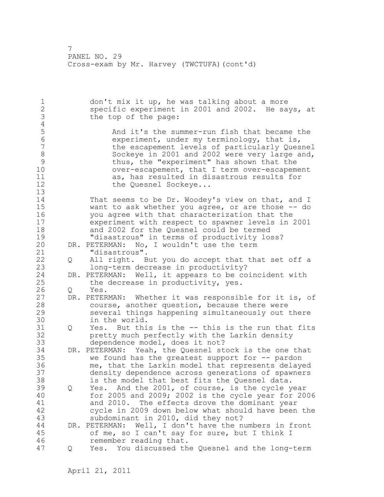1 don't mix it up, he was talking about a more 2 specific experiment in 2001 and 2002. He says, at 3 the top of the page:  $\frac{4}{5}$ 5 and it's the summer-run fish that became the<br>6 experiment, under my terminology, that is, 6 experiment, under my terminology, that is, the escapement levels of particularly Quesnel 8 Sockeye in 2001 and 2002 were very large and,<br>9 thus, the "experiment" has shown that the 9 thus, the "experiment" has shown that the over-escapement, that I term over-escapement 11 as, has resulted in disastrous results for 12 the Quesnel Sockeye... 13 14 That seems to be Dr. Woodey's view on that, and I 15 want to ask whether you agree, or are those -- do 16 you agree with that characterization that the 17 experiment with respect to spawner levels in 2001 18 and 2002 for the Quesnel could be termed 19 "disastrous" in terms of productivity loss?<br>20 DR. PETERMAN: No, I wouldn't use the term DR. PETERMAN: No, I wouldn't use the term 21 "disastrous". 22 Q All right. But you do accept that that set off a 23 long-term decrease in productivity? 24 DR. PETERMAN: Well, it appears to be coincident with 25 the decrease in productivity, yes. 26 Q Yes.<br>27 DR. PETER DR. PETERMAN: Whether it was responsible for it is, of 28 course, another question, because there were 29 several things happening simultaneously out there 30 in the world.<br>31 0 Yes. But thi Q Yes. But this is the -- this is the run that fits 32 pretty much perfectly with the Larkin density 33 dependence model, does it not? 34 DR. PETERMAN: Yeah, the Quesnel stock is the one that 35 we found has the greatest support for -- pardon 36 me, that the Larkin model that represents delayed 37 density dependence across generations of spawners 38 is the model that best fits the Quesnel data. 39 Q Yes. And the 2001, of course, is the cycle year 40 for 2005 and 2009; 2002 is the cycle year for 2006 41 and 2010. The effects drove the dominant year<br>42 cycle in 2009 down below what should have been cycle in 2009 down below what should have been the 43 subdominant in 2010, did they not? 44 DR. PETERMAN: Well, I don't have the numbers in front 45 of me, so I can't say for sure, but I think I 46 remember reading that. 47 Q Yes. You discussed the Quesnel and the long-term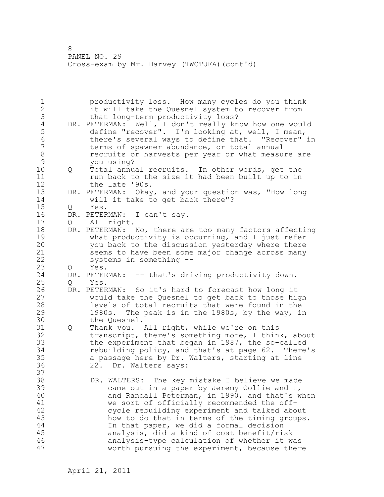1 productivity loss. How many cycles do you think 2 it will take the Quesnel system to recover from 3 that long-term productivity loss?<br>4 DR. PETERMAN: Well, I don't really kn 4 DR. PETERMAN: Well, I don't really know how one would<br>5 define "recover". I'm looking at, well, I mean, 5 define "recover". I'm looking at, well, I mean,<br>6 there's several ways to define that. "Recover" 6 there's several ways to define that. "Recover" in<br>7 terms of spawner abundance, or total annual terms of spawner abundance, or total annual 8 recruits or harvests per year or what measure are 9 you using?<br>10 0 Total annu 0 Total annual recruits. In other words, get the 11 run back to the size it had been built up to in 12 the late '90s. 13 DR. PETERMAN: Okay, and your question was, "How long 14 will it take to get back there"? 15 Q Yes. 16 DR. PETERMAN: I can't say. 17 Q All right. 18 DR. PETERMAN: No, there are too many factors affecting 19 what productivity is occurring, and I just refer<br>20 you back to the discussion yesterday where there you back to the discussion yesterday where there 21 seems to have been some major change across many 22 systems in something -- 23 Q Yes. 24 DR. PETERMAN: -- that's driving productivity down. 25 Q Yes. 26 DR. PETERMAN: So it's hard to forecast how long it<br>27 would take the Quesnel to get back to those him would take the Quesnel to get back to those high 28 levels of total recruits that were found in the 29 1980s. The peak is in the 1980s, by the way, in 30 the Quesnel. 31 Q Thank you. All right, while we're on this 32 transcript, there's something more, I think, about 33 the experiment that began in 1987, the so-called 34 rebuilding policy, and that's at page 62. There's 35 a passage here by Dr. Walters, starting at line 36 22. Dr. Walters says: 37 38 DR. WALTERS: The key mistake I believe we made 39 came out in a paper by Jeremy Collie and I, 40 and Randall Peterman, in 1990, and that's when 41 we sort of officially recommended the off-<br>42 cycle rebuilding experiment and talked abo cycle rebuilding experiment and talked about 43 how to do that in terms of the timing groups. 44 In that paper, we did a formal decision 45 analysis, did a kind of cost benefit/risk 46 analysis-type calculation of whether it was 47 worth pursuing the experiment, because there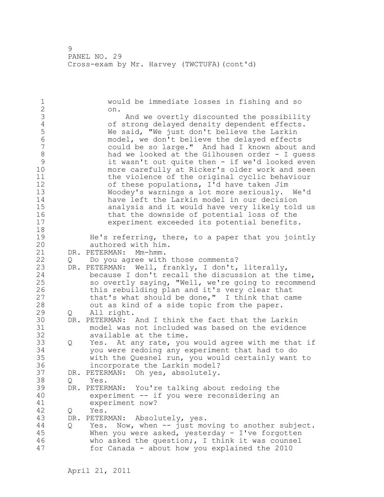1 would be immediate losses in fishing and so<br>2 on. 2 on. 3 And we overtly discounted the possibility<br>4 of strong delayed density dependent effects. 4 of strong delayed density dependent effects.<br>5 We said, "We just don't believe the Larkin 5 We said, "We just don't believe the Larkin<br>6 model, we don't believe the delaved effects 6 model, we don't believe the delayed effects could be so large." And had I known about and 8 had we looked at the Gilhousen order - I guess<br>9 ht wasn't out quite then - if we'd looked even 9 it wasn't out quite then - if we'd looked even<br>10 more carefully at Ricker's older work and seen more carefully at Ricker's older work and seen 11 the violence of the original cyclic behaviour 12 of these populations, I'd have taken Jim 13 Woodey's warnings a lot more seriously. We'd 14 have left the Larkin model in our decision 15 analysis and it would have very likely told us 16 that the downside of potential loss of the 17 experiment exceeded its potential benefits. 18 19 He's referring, there, to a paper that you jointly<br>20 authored with him. authored with him. 21 DR. PETERMAN: Mm-hmm. 22 Q Do you agree with those comments? 23 DR. PETERMAN: Well, frankly, I don't, literally, 24 because I don't recall the discussion at the time, 25 so overtly saying, "Well, we're going to recommend 26 this rebuilding plan and it's very clear that<br>27 that's what should be done," I think that ca that's what should be done," I think that came 28 out as kind of a side topic from the paper. 29 Q All right. 30 DR. PETERMAN: And I think the fact that the Larkin 31 model was not included was based on the evidence available at the time. 33 Q Yes. At any rate, you would agree with me that if 34 you were redoing any experiment that had to do 35 with the Quesnel run, you would certainly want to 36 incorporate the Larkin model? 37 DR. PETERMAN: Oh yes, absolutely. 38 Q Yes. 39 DR. PETERMAN: You're talking about redoing the 40 experiment -- if you were reconsidering an 41 experiment now?<br>42 0 Yes. Q Yes. 43 DR. PETERMAN: Absolutely, yes. 44 Q Yes. Now, when -- just moving to another subject. 45 When you were asked, yesterday - I've forgotten 46 who asked the question;, I think it was counsel 47 for Canada - about how you explained the 2010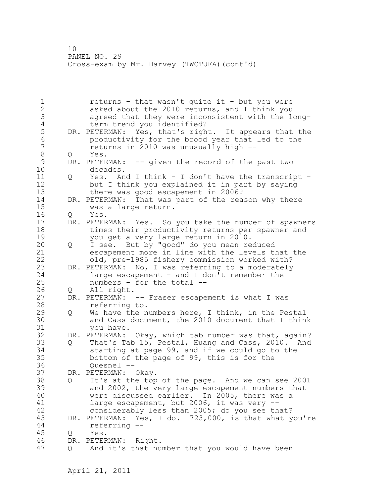1 **returns - that wasn't quite it - but you were** 2 asked about the 2010 returns, and I think you 3 agreed that they were inconsistent with the long-4 term trend you identified?<br>5 DR. PETERMAN: Yes, that's righ 5 DR. PETERMAN: Yes, that's right. It appears that the<br>6 oroductivity for the brood year that led to the 6 productivity for the brood year that led to the 7 returns in 2010 was unusually high -- 8 Q Yes. 9 DR. PETERMAN: -- given the record of the past two<br>10 decades. decades. 11 Q Yes. And I think - I don't have the transcript - 12 but I think you explained it in part by saying 13 there was good escapement in 2006? 14 DR. PETERMAN: That was part of the reason why there 15 was a large return. 16 Q Yes. 17 DR. PETERMAN: Yes. So you take the number of spawners 18 times their productivity returns per spawner and 19 you get a very large return in 2010.<br>20 Q I see. But by "good" do you mean re 20 Q I see. But by "good" do you mean reduced 21 escapement more in line with the levels that the 22 old, pre-1985 fishery commission worked with? 23 DR. PETERMAN: No, I was referring to a moderately 24 large escapement - and I don't remember the 25 numbers - for the total -- 26 Q All right.<br>27 DR. PETERMAN: DR. PETERMAN: -- Fraser escapement is what I was 28 referring to. 29 Q We have the numbers here, I think, in the Pestal 30 and Cass document, the 2010 document that I think<br>31 vou have. you have. 32 DR. PETERMAN: Okay, which tab number was that, again? 33 Q That's Tab 15, Pestal, Huang and Cass, 2010. And 34 starting at page 99, and if we could go to the 35 bottom of the page of 99, this is for the 36 Quesnel -- 37 DR. PETERMAN: Okay. 38 Q It's at the top of the page. And we can see 2001 39 and 2002, the very large escapement numbers that 40 were discussed earlier. In 2005, there was a 41 large escapement, but 2006, it was very --<br>42 considerably less than 2005; do you see th considerably less than 2005; do you see that? 43 DR. PETERMAN: Yes, I do. 723,000, is that what you're 44 referring -- 45 Q Yes. 46 DR. PETERMAN: Right. 47 Q And it's that number that you would have been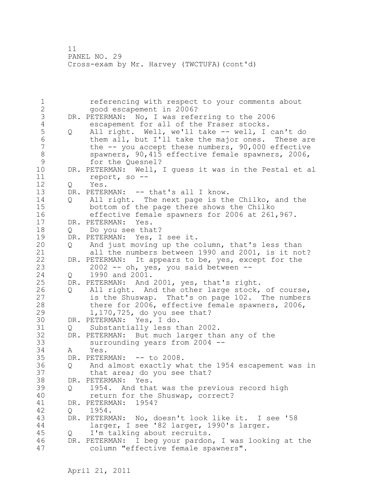1 referencing with respect to your comments about 2 good escapement in 2006? 3 DR. PETERMAN: No, I was referring to the 2006<br>4 escapement for all of the Fraser stocks. 4 escapement for all of the Fraser stocks.<br>5 0 All right. Well, we'll take -- well, I 5 Q All right. Well, we'll take -- well, I can't do<br>6 them all, but I'll take the major ones. These a 6 them all, but I'll take the major ones. These are the  $-$  you accept these numbers, 90,000 effective 8 spawners, 90,415 effective female spawners, 2006,<br>9 for the Quesnel? 9 for the Quesnel?<br>10 DR. PETERMAN: Well, DR. PETERMAN: Well, I quess it was in the Pestal et al 11 report, so -- 12 Q Yes. 13 DR. PETERMAN: -- that's all I know. 14 Q All right. The next page is the Chilko, and the 15 bottom of the page there shows the Chilko 16 effective female spawners for 2006 at 261,967. 17 DR. PETERMAN: Yes. 18 Q Do you see that? 19 DR. PETERMAN: Yes, I see it.<br>20 0 And just moving up the c And just moving up the column, that's less than 21 all the numbers between 1990 and 2001, is it not? 22 DR. PETERMAN: It appears to be, yes, except for the 23 2002 -- oh, yes, you said between --<br>24 0 1990 and 2001.  $Q$  1990 and 2001. 25 DR. PETERMAN: And 2001, yes, that's right. 26 Q All right. And the other large stock, of course,<br>27 is the Shuswap. That's on page 102. The numbers 27 is the Shuswap. That's on page 102. The numbers<br>28 there for 2006, effective female spawners, 2006. there for 2006, effective female spawners, 2006, 29 1,170,725, do you see that? 30 DR. PETERMAN: Yes, I do. 31 Q Substantially less than 2002.<br>32 DR. PETERMAN: But much larger tha DR. PETERMAN: But much larger than any of the 33 surrounding years from 2004 -- 34 A Yes. 35 DR. PETERMAN: -- to 2008. 36 Q And almost exactly what the 1954 escapement was in 37 that area; do you see that? 38 DR. PETERMAN: Yes. 39 Q 1954. And that was the previous record high 40 return for the Shuswap, correct? 41 DR. PETERMAN: 1954?<br>42 0 1954. Q 1954. 43 DR. PETERMAN: No, doesn't look like it. I see '58 44 larger, I see '82 larger, 1990's larger. 45 Q I'm talking about recruits. 46 DR. PETERMAN: I beg your pardon, I was looking at the 47 column "effective female spawners".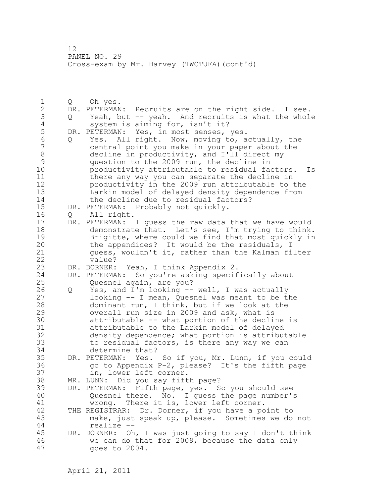1 Q Oh yes.<br>2 DR. PETERMAN DR. PETERMAN: Recruits are on the right side. I see. 3 Q Yeah, but -- yeah. And recruits is what the whole<br>4 system is aiming for, isn't it? 4 system is aiming for, isn't it?<br>5 DR. PETERMAN: Yes, in most senses, 5 DR. PETERMAN: Yes, in most senses, yes. 6 Q Yes. All right. Now, moving to, actually, the central point you make in your paper about the 8 decline in productivity, and I'll direct my<br>9 question to the 2009 run, the decline in 9 question to the 2009 run, the decline in<br>10 **productivity attributable to residual fa** productivity attributable to residual factors. Is 11 there any way you can separate the decline in 12 productivity in the 2009 run attributable to the 13 Larkin model of delayed density dependence from 14 the decline due to residual factors? 15 DR. PETERMAN: Probably not quickly. 16 Q All right. 17 DR. PETERMAN: I guess the raw data that we have would 18 demonstrate that. Let's see, I'm trying to think. 19 Brigitte, where could we find that most quickly in<br>20 the appendices? It would be the residuals, I the appendices? It would be the residuals, I 21 guess, wouldn't it, rather than the Kalman filter 22 value? 23 DR. DORNER: Yeah, I think Appendix 2. 24 DR. PETERMAN: So you're asking specifically about 25 Quesnel again, are you? 26 Q Yes, and I'm looking -- well, I was actually<br>27 100king -- I mean, Quesnel was meant to be tl looking  $-$  I mean, Quesnel was meant to be the 28 dominant run, I think, but if we look at the 29 overall run size in 2009 and ask, what is 30 attributable -- what portion of the decline is<br>31 attributable to the Larkin model of delayed attributable to the Larkin model of delayed 32 density dependence; what portion is attributable 33 to residual factors, is there any way we can 34 determine that? 35 DR. PETERMAN: Yes. So if you, Mr. Lunn, if you could 36 go to Appendix P-2, please? It's the fifth page 37 in, lower left corner. 38 MR. LUNN: Did you say fifth page? 39 DR. PETERMAN: Fifth page, yes. So you should see 40 Quesnel there. No. I guess the page number's 41 wrong. There it is, lower left corner.<br>42 THE REGISTRAR: Dr. Dorner, if you have a po THE REGISTRAR: Dr. Dorner, if you have a point to 43 make, just speak up, please. Sometimes we do not 44 realize -- 45 DR. DORNER: Oh, I was just going to say I don't think 46 we can do that for 2009, because the data only 47 goes to 2004.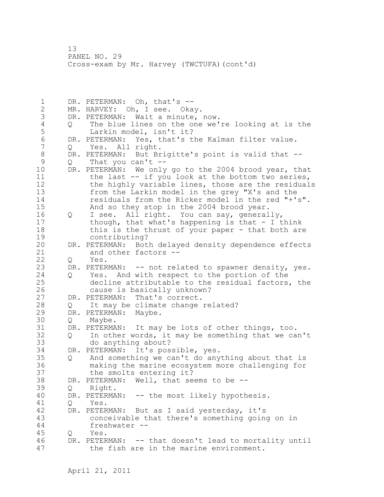1 DR. PETERMAN: Oh, that's -- 2 MR. HARVEY: Oh, I see. Okay. 3 DR. PETERMAN: Wait a minute, now. 4 Q The blue lines on the one we're looking at is the 5 Larkin model, isn't it?<br>6 DR. PETERMAN: Yes, that's t 6 DR. PETERMAN: Yes, that's the Kalman filter value.<br>7 0 Yes. All right. Q Yes. All right. 8 DR. PETERMAN: But Brigitte's point is valid that --<br>9 0 That you can't --9 Q That you can't --<br>10 DR. PETERMAN: We only DR. PETERMAN: We only go to the 2004 brood year, that 11 the last -- if you look at the bottom two series, 12 the highly variable lines, those are the residuals 13 from the Larkin model in the grey "X's and the 14 residuals from the Ricker model in the red "+'s". 15 And so they stop in the 2004 brood year. 16 Q I see. All right. You can say, generally, 17 though, that what's happening is that - I think 18 this is the thrust of your paper - that both are 19 contributing?<br>20 DR. PETERMAN: Bot DR. PETERMAN: Both delayed density dependence effects 21 and other factors -- 22 Q Yes. 23 DR. PETERMAN: -- not related to spawner density, yes. 24 Q Yes. And with respect to the portion of the 25 decline attributable to the residual factors, the 26 cause is basically unknown?<br>27 DR. PETERMAN: That's correct. DR. PETERMAN: That's correct. 28 Q It may be climate change related? 29 DR. PETERMAN: Maybe. 30 Q Maybe.<br>31 DR. PETERMA 31 DR. PETERMAN: It may be lots of other things, too.<br>32 O In other words, it may be something that we ca 32 Q In other words, it may be something that we can't 33 do anything about? 34 DR. PETERMAN: It's possible, yes. 35 Q And something we can't do anything about that is 36 making the marine ecosystem more challenging for 37 the smolts entering it? 38 DR. PETERMAN: Well, that seems to be -- 39 Q Right. 40 DR. PETERMAN: -- the most likely hypothesis. 41 Q Yes.<br>42 DR. PETER DR. PETERMAN: But as I said yesterday, it's 43 conceivable that there's something going on in 44 freshwater -- 45 Q Yes. 46 DR. PETERMAN: -- that doesn't lead to mortality until 47 the fish are in the marine environment.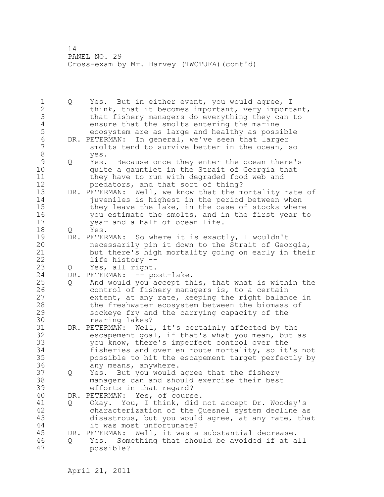1 Q Yes. But in either event, you would agree, I 2 think, that it becomes important, very important, 3 that fishery managers do everything they can to 4 ensure that the smolts entering the marine<br>5 ecosystem are as large and healthy as poss 5 ecosystem are as large and healthy as possible<br>6 DR. PETERMAN: In general, we've seen that larger 6 DR. PETERMAN: In general, we've seen that larger smolts tend to survive better in the ocean, so 8 yes.<br>9 Q Yes. 9 Q Yes. Because once they enter the ocean there's<br>10 ouite a gauntlet in the Strait of Georgia that quite a gauntlet in the Strait of Georgia that 11 they have to run with degraded food web and 12 predators, and that sort of thing? 13 DR. PETERMAN: Well, we know that the mortality rate of 14 juveniles is highest in the period between when 15 they leave the lake, in the case of stocks where 16 you estimate the smolts, and in the first year to 17 year and a half of ocean life. 18 Q Yes. 19 DR. PETERMAN: So where it is exactly, I wouldn't<br>20 mecessarily pin it down to the Strait of Geo. necessarily pin it down to the Strait of Georgia, 21 but there's high mortality going on early in their 22 life history -- 23 Q Yes, all right. 24 DR. PETERMAN: -- post-lake. 25 Q And would you accept this, that what is within the 26 control of fishery managers is, to a certain<br>27 extent, at any rate, keeping the right balan extent, at any rate, keeping the right balance in 28 the freshwater ecosystem between the biomass of 29 sockeye fry and the carrying capacity of the 30 rearing lakes?<br>31 DR. PETERMAN: Well DR. PETERMAN: Well, it's certainly affected by the 32 escapement goal, if that's what you mean, but as 33 you know, there's imperfect control over the 34 fisheries and over en route mortality, so it's not 35 possible to hit the escapement target perfectly by 36 any means, anywhere. 37 Q Yes. But you would agree that the fishery 38 managers can and should exercise their best 39 efforts in that regard? 40 DR. PETERMAN: Yes, of course. 41 Q Okay. You, I think, did not accept Dr. Woodey's characterization of the Quesnel system decline as 43 disastrous, but you would agree, at any rate, that 44 it was most unfortunate? 45 DR. PETERMAN: Well, it was a substantial decrease. 46 Q Yes. Something that should be avoided if at all 47 possible?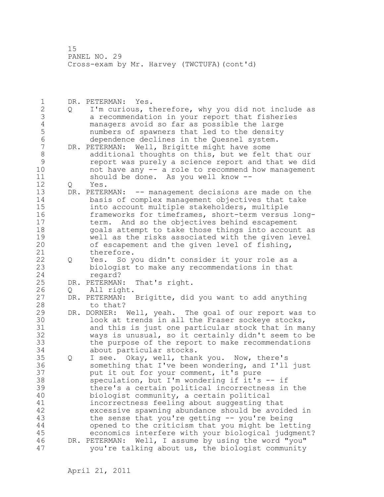1 DR. PETERMAN: Yes. 2 Q I'm curious, therefore, why you did not include as 3 a recommendation in your report that fisheries 4 managers avoid so far as possible the large<br>5 mumbers of spawners that led to the density 5 5 numbers of spawners that led to the density<br>6 6 dependence declines in the Ouesnel system. 6 dependence declines in the Quesnel system.<br>7 DR. PETERMAN: Well, Brigitte might have some DR. PETERMAN: Well, Brigitte might have some 8 additional thoughts on this, but we felt that our 9 report was purely a science report and that we did not have any -- a role to recommend how management 11 should be done. As you well know -- 12 Q Yes. 13 DR. PETERMAN: -- management decisions are made on the 14 basis of complex management objectives that take 15 into account multiple stakeholders, multiple 16 frameworks for timeframes, short-term versus long-17 term. And so the objectives behind escapement 18 goals attempt to take those things into account as 19 well as the risks associated with the given level<br>20 of escapement and the given level of fishing, of escapement and the given level of fishing, 21 therefore. 22 Q Yes. So you didn't consider it your role as a 23 biologist to make any recommendations in that 24 regard? 25 DR. PETERMAN: That's right. 26 Q All right.<br>27 DR. PETERMAN: DR. PETERMAN: Brigitte, did you want to add anything 28 to that? 29 DR. DORNER: Well, yeah. The goal of our report was to 30 look at trends in all the Fraser sockeye stocks,<br>31 and this is just one particular stock that in ma and this is just one particular stock that in many 32 ways is unusual, so it certainly didn't seem to be 33 the purpose of the report to make recommendations 34 about particular stocks. 35 Q I see. Okay, well, thank you. Now, there's 36 something that I've been wondering, and I'll just 37 put it out for your comment, it's pure 38 speculation, but I'm wondering if it's -- if 39 there's a certain political incorrectness in the 40 biologist community, a certain political 41 incorrectness feeling about suggesting that<br>42 excessive spawning abundance should be avoi excessive spawning abundance should be avoided in 43 the sense that you're getting -- you're being 44 opened to the criticism that you might be letting 45 economics interfere with your biological judgment? 46 DR. PETERMAN: Well, I assume by using the word "you" 47 you're talking about us, the biologist community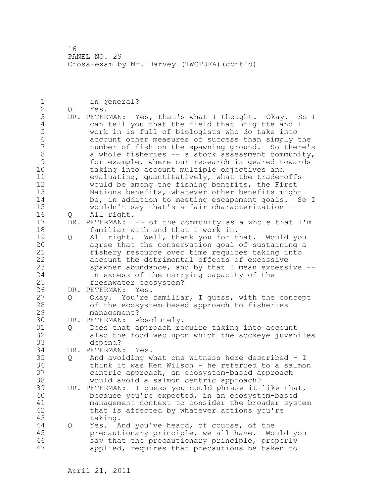1 in general?<br>2 0 Yes. 2 Q Yes. 3 DR. PETERMAN: Yes, that's what I thought. Okay. So I<br>4 can tell you that the field that Brigitte and I 4 can tell you that the field that Brigitte and I<br>5 work in is full of biologists who do take into 5 work in is full of biologists who do take into 6 account other measures of success than simply the number of fish on the spawning ground. So there's 8 a whole fisheries -- a stock assessment community, 9 for example, where our research is geared towards<br>10 taking into account multiple objectives and taking into account multiple objectives and 11 evaluating, quantitatively, what the trade-offs 12 would be among the fishing benefits, the First 13 Nations benefits, whatever other benefits might 14 be, in addition to meeting escapement goals. So I 15 wouldn't say that's a fair characterization -- 16 Q All right. 17 DR. PETERMAN: -- of the community as a whole that I'm 18 familiar with and that I work in. 19 Q All right. Well, thank you for that. Would you<br>20 agree that the conservation goal of sustaining a agree that the conservation goal of sustaining a 21 fishery resource over time requires taking into 22 account the detrimental effects of excessive 23 spawner abundance, and by that I mean excessive -- 24 in excess of the carrying capacity of the 25 freshwater ecosystem? 26 DR. PETERMAN: Yes.<br>27 0 Okay. You're 27 Q Okay. You're familiar, I guess, with the concept<br>28 of the ecosystem-based approach to fisheries of the ecosystem-based approach to fisheries 29 management? 30 DR. PETERMAN: Absolutely. 31 Q Does that approach require taking into account<br>32 also the food web upon which the sockeve juven also the food web upon which the sockeye juveniles 33 depend? 34 DR. PETERMAN: Yes. 35 Q And avoiding what one witness here described - I 36 think it was Ken Wilson - he referred to a salmon 37 centric approach, an ecosystem-based approach 38 would avoid a salmon centric approach? 39 DR. PETERMAN: I guess you could phrase it like that, 40 because you're expected, in an ecosystem-based 41 management context to consider the broader system<br>42 that is affected by whatever actions you're that is affected by whatever actions you're 43 taking. 44 Q Yes. And you've heard, of course, of the 45 precautionary principle, we all have. Would you 46 say that the precautionary principle, properly 47 applied, requires that precautions be taken to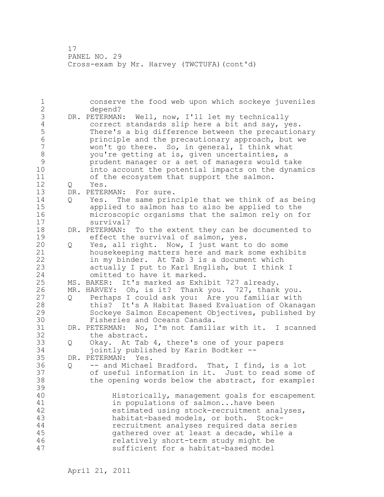1 conserve the food web upon which sockeye juveniles 2 depend? 3 DR. PETERMAN: Well, now, I'll let my technically<br>4 correct standards slip here a bit and say, ye 4 correct standards slip here a bit and say, yes.<br>5 There's a big difference between the precaution 5 There's a big difference between the precautionary<br>6 Thereiple and the precautionary approach, but we 6 principle and the precautionary approach, but we won't go there. So, in general, I think what 8 you're getting at is, given uncertainties, a<br>9 prudent manager or a set of managers would ta 9 prudent manager or a set of managers would take into account the potential impacts on the dynamics 11 of the ecosystem that support the salmon. 12 Q Yes. 13 DR. PETERMAN: For sure. 14 Q Yes. The same principle that we think of as being 15 applied to salmon has to also be applied to the 16 microscopic organisms that the salmon rely on for 17 survival? 18 DR. PETERMAN: To the extent they can be documented to 19 effect the survival of salmon, yes.<br>20 0 Yes, all right. Now, I just want t 20 Q Yes, all right. Now, I just want to do some 21 housekeeping matters here and mark some exhibits 22 in my binder. At Tab 3 is a document which 23 actually I put to Karl English, but I think I 24 omitted to have it marked. 25 MS. BAKER: It's marked as Exhibit 727 already. 26 MR. HARVEY: Oh, is it? Thank you. 727, thank you.<br>27 0 Perhaps I could ask you: Are you familiar with 27 Q Perhaps I could ask you: Are you familiar with<br>28 this? It's A Habitat Based Evaluation of Okana this? It's A Habitat Based Evaluation of Okanagan 29 Sockeye Salmon Escapement Objectives, published by 30 Fisheries and Oceans Canada.<br>31 DR. PETERMAN: No. I'm not famili 31 DR. PETERMAN: No, I'm not familiar with it. I scanned<br>32 the abstract. the abstract. 33 Q Okay. At Tab 4, there's one of your papers 34 jointly published by Karin Bodtker -- 35 DR. PETERMAN: Yes. 36 Q -- and Michael Bradford. That, I find, is a lot 37 of useful information in it. Just to read some of 38 the opening words below the abstract, for example: 39 40 Historically, management goals for escapement 41 in populations of salmon...have been<br>42 estimated using stock-recruitment and estimated using stock-recruitment analyses, 43 habitat-based models, or both. Stock-44 recruitment analyses required data series 45 gathered over at least a decade, while a 46 relatively short-term study might be 47 sufficient for a habitat-based model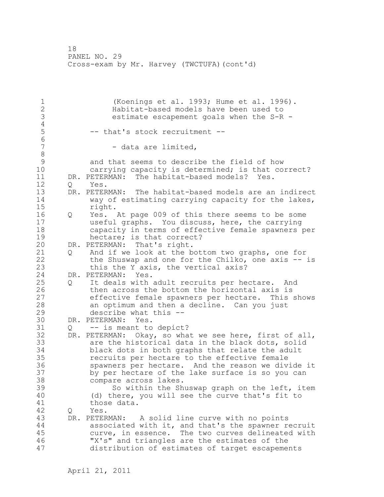1 (Koenings et al. 1993; Hume et al. 1996). 2 Habitat-based models have been used to 3 estimate escapement goals when the S-R -  $\frac{4}{5}$ -- that's stock recruitment --6<br>7 - data are limited, 8<br>9 9 and that seems to describe the field of how<br>10 carrying capacity is determined: is that com carrying capacity is determined; is that correct? 11 DR. PETERMAN: The habitat-based models? Yes. 12 Q Yes. 13 DR. PETERMAN: The habitat-based models are an indirect 14 way of estimating carrying capacity for the lakes, 15 right. 16 Q Yes. At page 009 of this there seems to be some 17 useful graphs. You discuss, here, the carrying 18 capacity in terms of effective female spawners per 19 bectare; is that correct?<br>20 DR. PETERMAN: That's right. DR. PETERMAN: That's right. 21 Q And if we look at the bottom two graphs, one for 22 the Shuswap and one for the Chilko, one axis -- is 23 this the Y axis, the vertical axis? 24 DR. PETERMAN: Yes. 25 Q It deals with adult recruits per hectare. And 26 then across the bottom the horizontal axis is<br>27 effective female spawners per hectare. This effective female spawners per hectare. This shows 28 an optimum and then a decline. Can you just 29 describe what this -- 30 DR. PETERMAN: Yes.<br>31 0 -- is meant to  $Q \leftarrow -iS$  meant to depict? 32 DR. PETERMAN: Okay, so what we see here, first of all, 33 are the historical data in the black dots, solid 34 black dots in both graphs that relate the adult 35 recruits per hectare to the effective female 36 spawners per hectare. And the reason we divide it 37 by per hectare of the lake surface is so you can 38 compare across lakes. 39 So within the Shuswap graph on the left, item 40 (d) there, you will see the curve that's fit to 41 those data.<br>42 0 Yes. Q Yes. 43 DR. PETERMAN: A solid line curve with no points 44 associated with it, and that's the spawner recruit 45 curve, in essence. The two curves delineated with 46 "X's" and triangles are the estimates of the 47 distribution of estimates of target escapements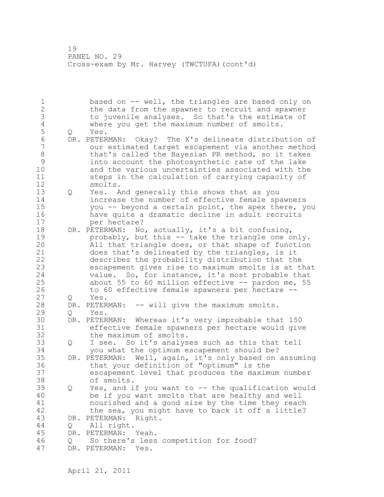1 based on -- well, the triangles are based only on 2 the data from the spawner to recruit and spawner 3 to juvenile analyses. So that's the estimate of 4 where you get the maximum number of smolts.<br>5 Q Yes. 5 Q Yes.<br>6 DR.PETER 6 DR. PETERMAN: Okay? The X's delineate distribution of our estimated target escapement via another method 8 that's called the Bayesian PR method, so it takes 9 into account the photosynthetic rate of the lake and the various uncertainties associated with the 11 steps in the calculation of carrying capacity of 12 smolts. 13 Q Yes. And generally this shows that as you 14 increase the number of effective female spawners 15 you -- beyond a certain point, the apex there, you 16 have quite a dramatic decline in adult recruits 17 per hectare? 18 DR. PETERMAN: No, actually, it's a bit confusing, 19 probably, but this -- take the triangle one only.<br>20 All that triangle does, or that shape of function All that triangle does, or that shape of function 21 does that's delineated by the triangles, is it 22 describes the probability distribution that the 23 escapement gives rise to maximum smolts is at that 24 value. So, for instance, it's most probable that 25 about 55 to 60 million effective -- pardon me, 55 26 to 60 effective female spawners per hectare --<br>27 0 Yes. Q Yes. 28 DR. PETERMAN: -- will give the maximum smolts. 29 Q Yes. 30 DR. PETERMAN: Whereas it's very improbable that 150 31 effective female spawners per hectare would give the maximum of smolts. 33 Q I see. So it's analyses such as this that tell 34 you what the optimum escapement should be? 35 DR. PETERMAN: Well, again, it's only based on assuming 36 that your definition of "optimum" is the 37 escapement level that produces the maximum number 38 of smolts. 39 Q Yes, and if you want to -- the qualification would 40 be if you want smolts that are healthy and well 41 mourished and a good size by the time they reach<br>42 the sea, you might have to back it off a little? the sea, you might have to back it off a little? 43 DR. PETERMAN: Right. 44 Q All right. 45 DR. PETERMAN: Yeah. 46 Q So there's less competition for food? 47 DR. PETERMAN: Yes.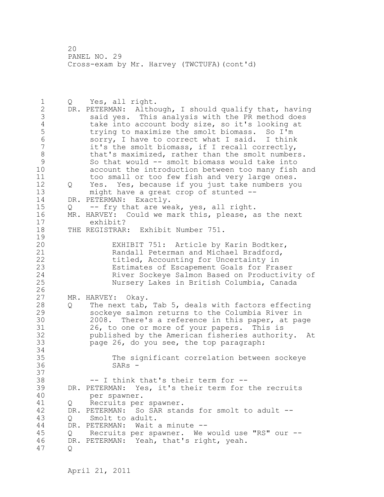1 Q Yes, all right. 2 DR. PETERMAN: Although, I should qualify that, having 3 said yes. This analysis with the PR method does<br>4 take into account body size, so it's looking at 4 take into account body size, so it's looking at<br>5 trying to maximize the smolt biomass. So I'm 5 trying to maximize the smolt biomass. So I'm<br>6 sorry, I have to correct what I said. I thin 6 sorry, I have to correct what I said. I think<br>7 it's the smolt biomass, if I recall correctly, it's the smolt biomass, if I recall correctly, 8 that's maximized, rather than the smolt numbers. 9 So that would -- smolt biomass would take into account the introduction between too many fish and 11 too small or too few fish and very large ones. 12 Q Yes. Yes, because if you just take numbers you 13 might have a great crop of stunted -- 14 DR. PETERMAN: Exactly. 15 Q -- fry that are weak, yes, all right. 16 MR. HARVEY: Could we mark this, please, as the next 17 exhibit? 18 THE REGISTRAR: Exhibit Number 751.  $\frac{19}{20}$ EXHIBIT 751: Article by Karin Bodtker, 21 Randall Peterman and Michael Bradford, 22 titled, Accounting for Uncertainty in 23 Estimates of Escapement Goals for Fraser 24 River Sockeye Salmon Based on Productivity of 25 Nursery Lakes in British Columbia, Canada  $\frac{26}{27}$ MR. HARVEY: Okay. 28 Q The next tab, Tab 5, deals with factors effecting 29 sockeye salmon returns to the Columbia River in 30 2008. There's a reference in this paper, at page<br>31 26, to one or more of your papers. This is 26, to one or more of your papers. This is 32 published by the American fisheries authority. At 33 page 26, do you see, the top paragraph: 34 35 The significant correlation between sockeye 36 SARs - 37 38 -- I think that's their term for -- 39 DR. PETERMAN: Yes, it's their term for the recruits 40 per spawner. 41 Q Recruits per spawner.<br>42 DR. PETERMAN: So SAR stan DR. PETERMAN: So SAR stands for smolt to adult --43 Q Smolt to adult. 44 DR. PETERMAN: Wait a minute -- 45 Q Recruits per spawner. We would use "RS" our -- 46 DR. PETERMAN: Yeah, that's right, yeah. 47 Q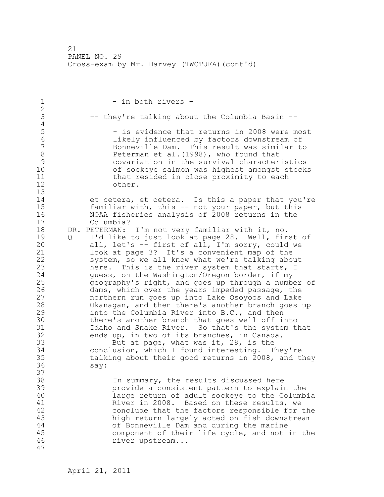| 1<br>$\overline{2}$                                                                                                                       | - in both rivers -                                                                                                                                                                                                                                                                                                                                                                                                                                                                                                                                                                                                                                                                                                                                                                                                                                                                                                                        |
|-------------------------------------------------------------------------------------------------------------------------------------------|-------------------------------------------------------------------------------------------------------------------------------------------------------------------------------------------------------------------------------------------------------------------------------------------------------------------------------------------------------------------------------------------------------------------------------------------------------------------------------------------------------------------------------------------------------------------------------------------------------------------------------------------------------------------------------------------------------------------------------------------------------------------------------------------------------------------------------------------------------------------------------------------------------------------------------------------|
| 3<br>$\sqrt{4}$                                                                                                                           | -- they're talking about the Columbia Basin --                                                                                                                                                                                                                                                                                                                                                                                                                                                                                                                                                                                                                                                                                                                                                                                                                                                                                            |
| 5<br>$6\phantom{a}$<br>7<br>$\,8\,$<br>9<br>10<br>11<br>12<br>13                                                                          | - is evidence that returns in 2008 were most<br>likely influenced by factors downstream of<br>Bonneville Dam. This result was similar to<br>Peterman et al. (1998), who found that<br>covariation in the survival characteristics<br>of sockeye salmon was highest amongst stocks<br>that resided in close proximity to each<br>other.                                                                                                                                                                                                                                                                                                                                                                                                                                                                                                                                                                                                    |
| 14<br>15<br>16<br>17                                                                                                                      | et cetera, et cetera. Is this a paper that you're<br>familiar with, this -- not your paper, but this<br>NOAA fisheries analysis of 2008 returns in the<br>Columbia?                                                                                                                                                                                                                                                                                                                                                                                                                                                                                                                                                                                                                                                                                                                                                                       |
| 18<br>19<br>$Q \qquad \qquad$<br>20<br>21<br>22<br>23<br>24<br>25<br>26<br>27<br>28<br>29<br>30<br>31<br>32<br>33<br>34<br>35<br>36<br>37 | DR. PETERMAN: I'm not very familiar with it, no.<br>I'd like to just look at page 28. Well, first of<br>all, let's -- first of all, I'm sorry, could we<br>look at page 3? It's a convenient map of the<br>system, so we all know what we're talking about<br>here. This is the river system that starts, I<br>quess, on the Washington/Oregon border, if my<br>geography's right, and goes up through a number of<br>dams, which over the years impeded passage, the<br>northern run goes up into Lake Osoyoos and Lake<br>Okanagan, and then there's another branch goes up<br>into the Columbia River into B.C., and then<br>there's another branch that goes well off into<br>Idaho and Snake River. So that's the system that<br>ends up, in two of its branches, in Canada.<br>But at page, what was it, 28, is the<br>conclusion, which I found interesting. They're<br>talking about their good returns in 2008, and they<br>say: |
| 38<br>39<br>40<br>41<br>42<br>43<br>44<br>45<br>46<br>47                                                                                  | In summary, the results discussed here<br>provide a consistent pattern to explain the<br>large return of adult sockeye to the Columbia<br>River in 2008. Based on these results, we<br>conclude that the factors responsible for the<br>high return largely acted on fish downstream<br>of Bonneville Dam and during the marine<br>component of their life cycle, and not in the<br>river upstream                                                                                                                                                                                                                                                                                                                                                                                                                                                                                                                                        |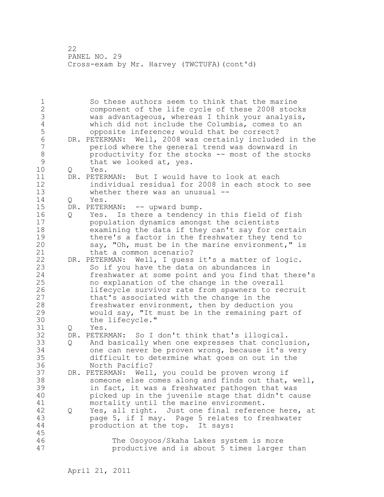1 So these authors seem to think that the marine 2 component of the life cycle of these 2008 stocks 3 was advantageous, whereas I think your analysis, 4 which did not include the Columbia, comes to an<br>5 opposite inference; would that be correct? 5 opposite inference; would that be correct?<br>6 DR. PETERMAN: Well, 2008 was certainly include 6 DR. PETERMAN: Well, 2008 was certainly included in the 0.11 and the 1.1 and the 1.1 and the 1.1 and the 1.1 and the 1.1 and the 1.1 and the 1.1 and the 1.1 and the 1.1 and the 1.1 and the 1.1 and the 1.1 and the 1.1 and period where the general trend was downward in 8 productivity for the stocks -- most of the stocks<br>9 that we looked at, ves. 9 that we looked at, yes.<br>10 0 Yes. 10 Q Yes. 11 DR. PETERMAN: But I would have to look at each 12 individual residual for 2008 in each stock to see 13 whether there was an unusual -- 14 Q Yes. 15 DR. PETERMAN: -- upward bump. 16 Q Yes. Is there a tendency in this field of fish 17 population dynamics amongst the scientists 18 examining the data if they can't say for certain 19 there's a factor in the freshwater they tend to<br>20 sav. "Oh. must be in the marine environment." is say, "Oh, must be in the marine environment," is 21 that a common scenario? 22 DR. PETERMAN: Well, I guess it's a matter of logic. 23 So if you have the data on abundances in 24 freshwater at some point and you find that there's 25 no explanation of the change in the overall 26 lifecycle survivor rate from spawners to recruit<br>27 that's associated with the change in the that's associated with the change in the 28 freshwater environment, then by deduction you 29 would say, "It must be in the remaining part of 30 the lifecycle."<br>31 0 Yes. Q Yes. 32 DR. PETERMAN: So I don't think that's illogical. 33 Q And basically when one expresses that conclusion, 34 one can never be proven wrong, because it's very 35 difficult to determine what goes on out in the 36 North Pacific? 37 DR. PETERMAN: Well, you could be proven wrong if 38 someone else comes along and finds out that, well, 39 in fact, it was a freshwater pathogen that was 40 picked up in the juvenile stage that didn't cause 41 mortality until the marine environment.<br>42 0 Yes, all right. Just one final referen 42 Q Yes, all right. Just one final reference here, at 43 page 5, if I may. Page 5 relates to freshwater 44 production at the top. It says: 45 46 The Osoyoos/Skaha Lakes system is more 47 productive and is about 5 times larger than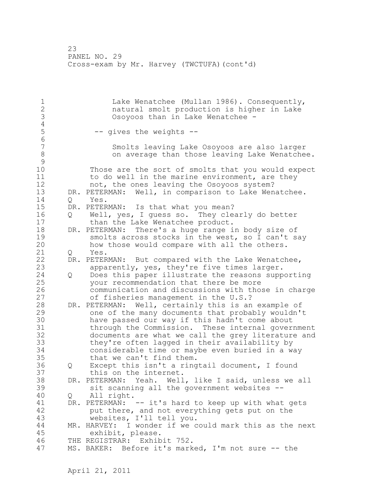1 Lake Wenatchee (Mullan 1986). Consequently,<br>2 2 matural smolt production is higher in Lake natural smolt production is higher in Lake 3 Osoyoos than in Lake Wenatchee -  $\frac{4}{5}$ -- gives the weights --6 Smolts leaving Lake Osoyoos are also larger 8 on average than those leaving Lake Wenatchee.  $\begin{array}{c} 9 \\ 10 \end{array}$ Those are the sort of smolts that you would expect 11 to do well in the marine environment, are they 12 not, the ones leaving the Osoyoos system? 13 DR. PETERMAN: Well, in comparison to Lake Wenatchee. 14 Q Yes. 15 DR. PETERMAN: Is that what you mean? 16 Q Well, yes, I guess so. They clearly do better 17 than the Lake Wenatchee product. 18 DR. PETERMAN: There's a huge range in body size of 19 smolts across stocks in the west, so I can't say<br>20 how those would compare with all the others. how those would compare with all the others. 21 Q Yes. 22 DR. PETERMAN: But compared with the Lake Wenatchee, 23 apparently, yes, they're five times larger.<br>24 0 Does this paper illustrate the reasons supp 24 Q Does this paper illustrate the reasons supporting 25 your recommendation that there be more 26 communication and discussions with those in charge<br>27 of fisheries management in the U.S.? of fisheries management in the U.S.? 28 DR. PETERMAN: Well, certainly this is an example of 29 one of the many documents that probably wouldn't 30 have passed our way if this hadn't come about<br>31 through the Commission. These internal gover through the Commission. These internal government 32 documents are what we call the grey literature and 33 they're often lagged in their availability by 34 considerable time or maybe even buried in a way 35 that we can't find them. 36 Q Except this isn't a ringtail document, I found 37 this on the internet. 38 DR. PETERMAN: Yeah. Well, like I said, unless we all 39 sit scanning all the government websites -- 40 Q All right. 41 DR. PETERMAN: -- it's hard to keep up with what gets<br>42 but there, and not everything gets put on the put there, and not everything gets put on the 43 websites, I'll tell you. 44 MR. HARVEY: I wonder if we could mark this as the next 45 exhibit, please. 46 THE REGISTRAR: Exhibit 752. 47 MS. BAKER: Before it's marked, I'm not sure -- the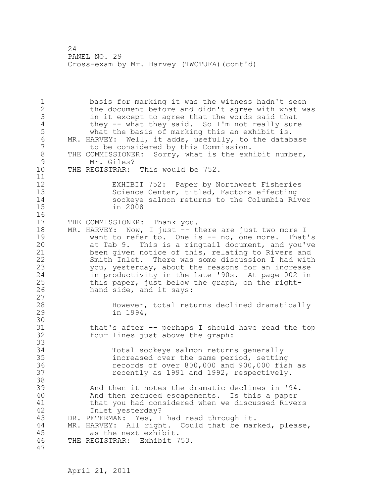1 basis for marking it was the witness hadn't seen 2 the document before and didn't agree with what was 3 in it except to agree that the words said that<br>4 they -- what they said. So I'm not really sure 4 they -- what they said. So I'm not really sure<br>5 what the basis of marking this an exhibit is. what the basis of marking this an exhibit is. 6 MR. HARVEY: Well, it adds, usefully, to the database<br>7 to be considered by this Commission. to be considered by this Commission. 8 THE COMMISSIONER: Sorry, what is the exhibit number,<br>9 Mr. Giles? 9 Mr. Giles?<br>10 THE REGISTRAR: THE REGISTRAR: This would be 752. 11 12 EXHIBIT 752: Paper by Northwest Fisheries 13 Science Center, titled, Factors effecting 14 sockeye salmon returns to the Columbia River 15 in 2008 16 17 THE COMMISSIONER: Thank you. 18 MR. HARVEY: Now, I just -- there are just two more I 19 want to refer to. One is -- no, one more. That's<br>20 at Tab 9. This is a ringtail document, and you've at Tab 9. This is a ringtail document, and you've 21 been given notice of this, relating to Rivers and 22 Smith Inlet. There was some discussion I had with 23 you, yesterday, about the reasons for an increase 24 in productivity in the late '90s. At page 002 in 25 this paper, just below the graph, on the right-26 hand side, and it says:  $\begin{array}{c} 27 \\ 28 \end{array}$ However, total returns declined dramatically 29 in 1994, 30<br>31 that's after  $--$  perhaps I should have read the top 32 four lines just above the graph: 33 34 Total sockeye salmon returns generally 35 increased over the same period, setting 36 records of over 800,000 and 900,000 fish as 37 recently as 1991 and 1992, respectively. 38 39 And then it notes the dramatic declines in '94. 40 And then reduced escapements. Is this a paper 41 that you had considered when we discussed Rivers<br>42 1nlet vesterdav? Inlet yesterday? 43 DR. PETERMAN: Yes, I had read through it. 44 MR. HARVEY: All right. Could that be marked, please, 45 as the next exhibit. 46 THE REGISTRAR: Exhibit 753. 47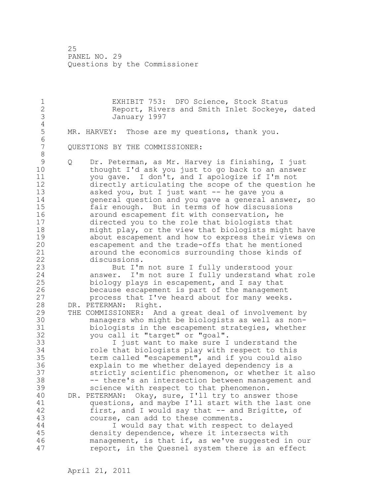25 PANEL NO. 29 Questions by the Commissioner

1 EXHIBIT 753: DFO Science, Stock Status<br>2 Report, Rivers and Smith Inlet Sockeve, Report, Rivers and Smith Inlet Sockeye, dated 3 January 1997  $\frac{4}{5}$ MR. HARVEY: Those are my questions, thank you. 6<br>7 QUESTIONS BY THE COMMISSIONER: 8 9 Q Dr. Peterman, as Mr. Harvey is finishing, I just thought I'd ask you just to go back to an answer 11 you gave. I don't, and I apologize if I'm not 12 directly articulating the scope of the question he 13 asked you, but I just want -- he gave you a 14 **general question and you gave a general answer, so** 15 fair enough. But in terms of how discussions 16 around escapement fit with conservation, he 17 directed you to the role that biologists that 18 might play, or the view that biologists might have 19 about escapement and how to express their views on<br>20 escapement and the trade-offs that he mentioned escapement and the trade-offs that he mentioned 21 around the economics surrounding those kinds of 22 discussions. 23 But I'm not sure I fully understood your 24 answer. I'm not sure I fully understand what role 25 biology plays in escapement, and I say that 26 because escapement is part of the management<br>27 process that I've heard about for many weeks process that I've heard about for many weeks. 28 DR. PETERMAN: Right. 29 THE COMMISSIONER: And a great deal of involvement by 30 managers who might be biologists as well as nonbiologists in the escapement strategies, whether 32 you call it "target" or "goal". 33 I just want to make sure I understand the 34 role that biologists play with respect to this 35 term called "escapement", and if you could also 36 explain to me whether delayed dependency is a 37 strictly scientific phenomenon, or whether it also 38 -- there's an intersection between management and 39 science with respect to that phenomenon. 40 DR. PETERMAN: Okay, sure, I'll try to answer those 41 questions, and maybe I'll start with the last one<br>42 first, and I would sav that -- and Brigitte, of first, and I would say that -- and Brigitte, of 43 course, can add to these comments. 44 I would say that with respect to delayed 45 density dependence, where it intersects with 46 management, is that if, as we've suggested in our 47 report, in the Quesnel system there is an effect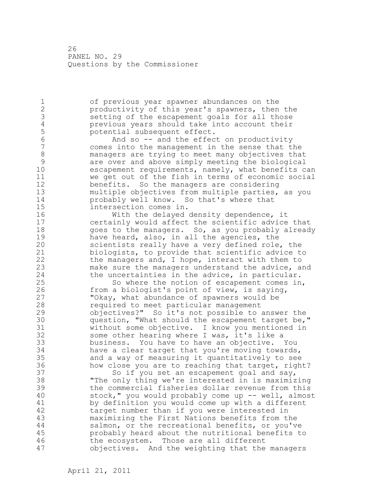26 PANEL NO. 29 Questions by the Commissioner

1 of previous year spawner abundances on the 2 productivity of this year's spawners, then the 3 setting of the escapement goals for all those<br>4 previous years should take into account their 4 previous years should take into account their<br>5 botential subsequent effect. 5 potential subsequent effect.<br>6 and so -- and the effect 6 And so -- and the effect on productivity comes into the management in the sense that the 8 managers are trying to meet many objectives that<br>9 are over and above simply meeting the biological 9 are over and above simply meeting the biological<br>10 escapement requirements, namely, what benefits c escapement requirements, namely, what benefits can 11 we get out of the fish in terms of economic social 12 benefits. So the managers are considering 13 multiple objectives from multiple parties, as you 14 probably well know. So that's where that 15 intersection comes in. 16 With the delayed density dependence, it 17 certainly would affect the scientific advice that 18 goes to the managers. So, as you probably already 19 have heard, also, in all the agencies, the<br>20 scientists really have a very defined role scientists really have a very defined role, the 21 biologists, to provide that scientific advice to 22 the managers and, I hope, interact with them to 23 make sure the managers understand the advice, and 24 the uncertainties in the advice, in particular. 25 So where the notion of escapement comes in, 26 from a biologist's point of view, is saying,<br>27 TOkay, what abundance of spawners would be "Okay, what abundance of spawners would be 28 required to meet particular management 29 objectives?" So it's not possible to answer the 30 question, "What should the escapement target be,"<br>31 without some objective. I know you mentioned in 31 without some objective. I know you mentioned in<br>32 some other hearing where I was, it's like a some other hearing where I was, it's like a 33 business. You have to have an objective. You 34 have a clear target that you're moving towards, 35 and a way of measuring it quantitatively to see 36 how close you are to reaching that target, right? 37 So if you set an escapement goal and say, 38 "The only thing we're interested in is maximizing 39 the commercial fisheries dollar revenue from this 40 stock," you would probably come up -- well, almost 41 by definition you would come up with a different<br>42 target number than if you were interested in target number than if you were interested in 43 maximizing the First Nations benefits from the 44 salmon, or the recreational benefits, or you've 45 probably heard about the nutritional benefits to 46 the ecosystem. Those are all different 47 objectives. And the weighting that the managers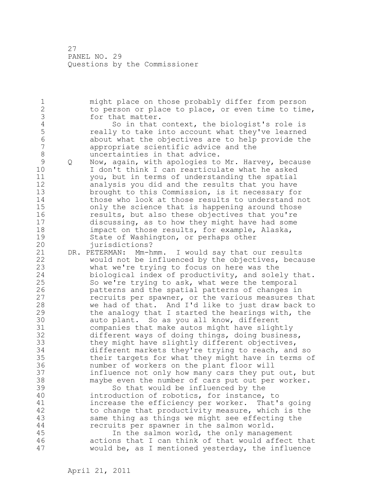27 PANEL NO. 29 Questions by the Commissioner

1 might place on those probably differ from person 2 to person or place to place, or even time to time, 3 for that matter.<br>4 So in that 4 So in that context, the biologist's role is<br>5 Teally to take into account what they've learned 5 5 really to take into account what they've learned<br>6 6 about what the objectives are to help provide the 6 about what the objectives are to help provide the appropriate scientific advice and the 8 **uncertainties in that advice.** 9 Q Now, again, with apologies to Mr. Harvey, because<br>10 I don't think I can rearticulate what he asked I don't think I can rearticulate what he asked 11 you, but in terms of understanding the spatial 12 analysis you did and the results that you have 13 brought to this Commission, is it necessary for 14 those who look at those results to understand not 15 only the science that is happening around those 16 results, but also these objectives that you're 17 discussing, as to how they might have had some 18 impact on those results, for example, Alaska, 19 State of Washington, or perhaps other<br>20 jurisdictions? jurisdictions? 21 DR. PETERMAN: Mm-hmm. I would say that our results 22 would not be influenced by the objectives, because 23 what we're trying to focus on here was the 24 biological index of productivity, and solely that. 25 So we're trying to ask, what were the temporal 26 end patterns and the spatial patterns of changes in<br>27 end the recruits per spawner, or the various measures the recruits per spawner, or the various measures that 28 we had of that. And I'd like to just draw back to 29 the analogy that I started the hearings with, the 30 auto plant. So as you all know, different<br>31 companies that make autos might have sligh 31 companies that make autos might have slightly<br>32 different ways of doing things, doing busines different ways of doing things, doing business, 33 they might have slightly different objectives, 34 different markets they're trying to reach, and so 35 their targets for what they might have in terms of 36 number of workers on the plant floor will 37 influence not only how many cars they put out, but 38 maybe even the number of cars put out per worker. 39 So that would be influenced by the 40 introduction of robotics, for instance, to 41 increase the efficiency per worker. That's going<br>42 to change that productivity measure, which is the to change that productivity measure, which is the 43 same thing as things we might see effecting the 44 recruits per spawner in the salmon world. 45 In the salmon world, the only management 46 actions that I can think of that would affect that 47 would be, as I mentioned yesterday, the influence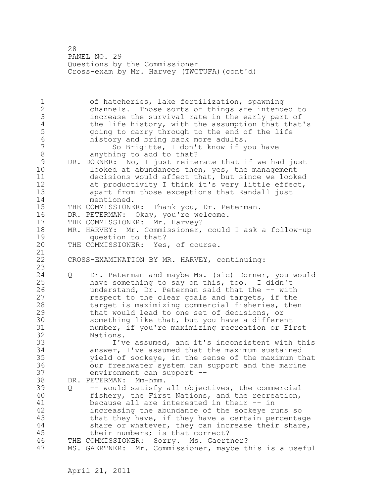28 PANEL NO. 29 Questions by the Commissioner Cross-exam by Mr. Harvey (TWCTUFA)(cont'd)

1 of hatcheries, lake fertilization, spawning 2 channels. Those sorts of things are intended to 3 increase the survival rate in the early part of<br>4 the life history, with the assumption that that 4 the life history, with the assumption that that's<br>5 qoing to carry through to the end of the life 5 going to carry through to the end of the life<br>6 history and bring back more adults. 6 history and bring back more adults.<br>7 6 Brigitte, I don't know if y So Brigitte, I don't know if you have 8 anything to add to that? 9 DR. DORNER: No, I just reiterate that if we had just<br>10 10 looked at abundances then, ves, the management 10 looked at abundances then, yes, the management 11 decisions would affect that, but since we looked 12 at productivity I think it's very little effect, 13 apart from those exceptions that Randall just 14 mentioned. 15 THE COMMISSIONER: Thank you, Dr. Peterman. 16 DR. PETERMAN: Okay, you're welcome. 17 THE COMMISSIONER: Mr. Harvey? 18 MR. HARVEY: Mr. Commissioner, could I ask a follow-up 19 question to that?<br>20 THE COMMISSIONER: Yes THE COMMISSIONER: Yes, of course. 21 22 CROSS-EXAMINATION BY MR. HARVEY, continuing: 23 24 Q Dr. Peterman and maybe Ms. (sic) Dorner, you would 25 have something to say on this, too. I didn't 26 understand, Dr. Peterman said that the -- with<br>27 sespect to the clear goals and targets, if the respect to the clear goals and targets, if the 28 target is maximizing commercial fisheries, then 29 that would lead to one set of decisions, or 30 something like that, but you have a different<br>31 mumber, if you're maximizing recreation or Fi 31 number, if you're maximizing recreation or First Nations. 33 I've assumed, and it's inconsistent with this 34 answer, I've assumed that the maximum sustained 35 yield of sockeye, in the sense of the maximum that 36 our freshwater system can support and the marine 37 environment can support -- 38 DR. PETERMAN: Mm-hmm. 39 Q -- would satisfy all objectives, the commercial 40 fishery, the First Nations, and the recreation, 41 because all are interested in their -- in<br>42 increasing the abundance of the sockeve ru increasing the abundance of the sockeye runs so 43 that they have, if they have a certain percentage 44 share or whatever, they can increase their share, 45 their numbers; is that correct? 46 THE COMMISSIONER: Sorry. Ms. Gaertner? 47 MS. GAERTNER: Mr. Commissioner, maybe this is a useful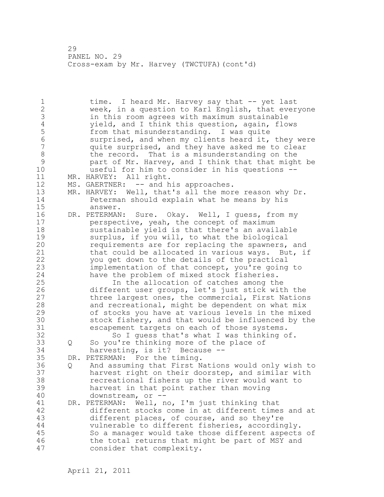1 time. I heard Mr. Harvey say that -- yet last 2 week, in a question to Karl English, that everyone 3 in this room agrees with maximum sustainable<br>4 yield, and I think this question, again, flo 4 yield, and I think this question, again, flows<br>5 from that misunderstanding. I was quite 5 from that misunderstanding. I was quite<br>6 surprised, and when my clients heard it, 6 surprised, and when my clients heard it, they were<br>7 and they have asked me to clear quite surprised, and they have asked me to clear 8 the record. That is a misunderstanding on the<br>9 second that the part of Mr. Harvey, and I think that that migh 9 part of Mr. Harvey, and I think that that might be<br>10 useful for him to consider in his questions -useful for him to consider in his questions --11 MR. HARVEY: All right. 12 MS. GAERTNER: -- and his approaches. 13 MR. HARVEY: Well, that's all the more reason why Dr. 14 Peterman should explain what he means by his 15 answer. 16 DR. PETERMAN: Sure. Okay. Well, I guess, from my 17 perspective, yeah, the concept of maximum 18 sustainable yield is that there's an available 19 surplus, if you will, to what the biological<br>20 sequirements are for replacing the spawners, requirements are for replacing the spawners, and 21 that could be allocated in various ways. But, if 22 you get down to the details of the practical 23 implementation of that concept, you're going to 24 have the problem of mixed stock fisheries. 25 In the allocation of catches among the 26 different user groups, let's just stick with the<br>27 three largest ones, the commercial, First Nation: three largest ones, the commercial, First Nations 28 and recreational, might be dependent on what mix 29 of stocks you have at various levels in the mixed 30 stock fishery, and that would be influenced by the<br>31 sescapement targets on each of those systems. 31 escapement targets on each of those systems.<br>32 6 So I quess that's what I was thinking o So I guess that's what I was thinking of. 33 Q So you're thinking more of the place of 34 harvesting, is it? Because -- 35 DR. PETERMAN: For the timing. 36 Q And assuming that First Nations would only wish to 37 harvest right on their doorstep, and similar with 38 recreational fishers up the river would want to 39 harvest in that point rather than moving 40 downstream, or -- 41 DR. PETERMAN: Well, no, I'm just thinking that<br>42 different stocks come in at different time: different stocks come in at different times and at 43 different places, of course, and so they're 44 vulnerable to different fisheries, accordingly. 45 So a manager would take those different aspects of 46 the total returns that might be part of MSY and 47 consider that complexity.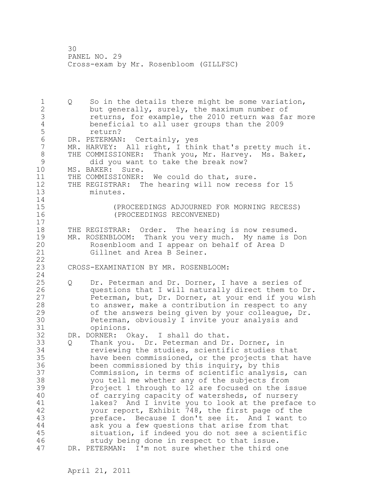30 PANEL NO. 29 Cross-exam by Mr. Rosenbloom (GILLFSC)

1 Q So in the details there might be some variation, 2 but generally, surely, the maximum number of 3 returns, for example, the 2010 return was far more 4 beneficial to all user groups than the 2009 return? 6 DR. PETERMAN: Certainly, yes<br>7 MR. HARVEY: All right, I thim MR. HARVEY: All right, I think that's pretty much it. 8 THE COMMISSIONER: Thank you, Mr. Harvey. Ms. Baker,<br>9 did you want to take the break now? 9 did you want to take the break now?<br>10 MS. BAKER: Sure. MS. BAKER: Sure. 11 THE COMMISSIONER: We could do that, sure. 12 THE REGISTRAR: The hearing will now recess for 15 13 minutes. 14 15 (PROCEEDINGS ADJOURNED FOR MORNING RECESS) 16 (PROCEEDINGS RECONVENED) 17 18 THE REGISTRAR: Order. The hearing is now resumed. 19 MR. ROSENBLOOM: Thank you very much. My name is Don<br>20 Rosenbloom and I appear on behalf of Area D Rosenbloom and I appear on behalf of Area D 21 Gillnet and Area B Seiner. 22 23 CROSS-EXAMINATION BY MR. ROSENBLOOM: 24 25 Q Dr. Peterman and Dr. Dorner, I have a series of 26 questions that I will naturally direct them to Dr.<br>27 Peterman, but, Dr. Dorner, at your end if you wish Peterman, but, Dr. Dorner, at your end if you wish 28 to answer, make a contribution in respect to any 29 of the answers being given by your colleague, Dr. 30 Peterman, obviously I invite your analysis and<br>31 opinions. opinions. 32 DR. DORNER: Okay. I shall do that. 33 Q Thank you. Dr. Peterman and Dr. Dorner, in 34 reviewing the studies, scientific studies that 35 have been commissioned, or the projects that have 36 been commissioned by this inquiry, by this 37 Commission, in terms of scientific analysis, can 38 you tell me whether any of the subjects from 39 Project 1 through to 12 are focused on the issue 40 of carrying capacity of watersheds, of nursery 41 lakes? And I invite you to look at the preface to<br>42 vour report, Exhibit 748, the first page of the your report, Exhibit 748, the first page of the 43 preface. Because I don't see it. And I want to 44 ask you a few questions that arise from that 45 situation, if indeed you do not see a scientific 46 study being done in respect to that issue. 47 DR. PETERMAN: I'm not sure whether the third one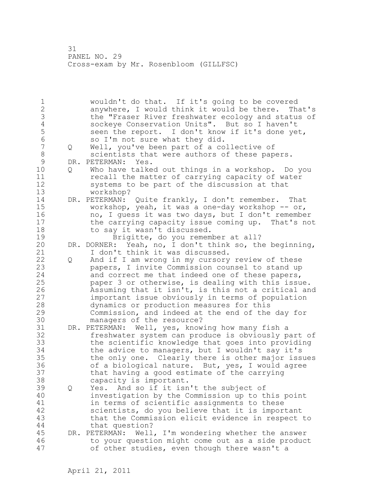1 wouldn't do that. If it's going to be covered 2 anywhere, I would think it would be there. That's 3 the "Fraser River freshwater ecology and status of<br>4 sockeye Conservation Units". But so I haven't 4 sockeye Conservation Units". But so I haven't<br>5 seen the report. I don't know if it's done ye 5 seen the report. I don't know if it's done yet,<br>6 so I'm not sure what they did. 6 so I'm not sure what they did.<br>7 0 Well, you've been part of a co 7 Q Well, you've been part of a collective of 8 scientists that were authors of these papers.<br>9 DR. PETERMAN: Yes. 9 DR. PETERMAN: Yes.<br>10 0 Who have talke 10 Q Who have talked out things in a workshop. Do you 11 recall the matter of carrying capacity of water 12 systems to be part of the discussion at that 13 workshop? 14 DR. PETERMAN: Quite frankly, I don't remember. That 15 workshop, yeah, it was a one-day workshop -- or, 16 no, I guess it was two days, but I don't remember 17 the carrying capacity issue coming up. That's not 18 to say it wasn't discussed. 19 Brigitte, do you remember at all? DR. DORNER: Yeah, no, I don't think so, the beginning, 21 I don't think it was discussed. 22 Q And if I am wrong in my cursory review of these 23 papers, I invite Commission counsel to stand up 24 and correct me that indeed one of these papers, 25 paper 3 or otherwise, is dealing with this issue. 26 Assuming that it isn't, is this not a critical and<br>27 important issue obviously in terms of population important issue obviously in terms of population 28 dynamics or production measures for this 29 Commission, and indeed at the end of the day for 30 managers of the resource?<br>31 DR. PETERMAN: Well, yes, know DR. PETERMAN: Well, yes, knowing how many fish a 32 freshwater system can produce is obviously part of 33 the scientific knowledge that goes into providing 34 the advice to managers, but I wouldn't say it's 35 the only one. Clearly there is other major issues 36 of a biological nature. But, yes, I would agree 37 that having a good estimate of the carrying 38 capacity is important. 39 Q Yes. And so if it isn't the subject of 40 investigation by the Commission up to this point 41 in terms of scientific assignments to these<br>42 scientists, do you believe that it is import scientists, do you believe that it is important 43 that the Commission elicit evidence in respect to 44 that question? 45 DR. PETERMAN: Well, I'm wondering whether the answer 46 to your question might come out as a side product 47 of other studies, even though there wasn't a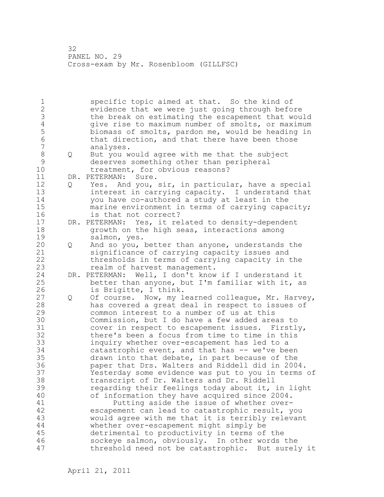1 specific topic aimed at that. So the kind of 2 evidence that we were just going through before 3 the break on estimating the escapement that would<br>4 qive rise to maximum number of smolts, or maximum 4 give rise to maximum number of smolts, or maximum<br>5 biomass of smolts, pardon me, would be heading in 5 biomass of smolts, pardon me, would be heading in<br>6 that direction, and that there have been those 6 that direction, and that there have been those<br>7 analyses. analyses. 8 Q But you would agree with me that the subject<br>9 deserves something other than peripheral 9 deserves something other than peripheral<br>10 treatment, for obvious reasons? treatment, for obvious reasons? 11 DR. PETERMAN: Sure. 12 Q Yes. And you, sir, in particular, have a special 13 interest in carrying capacity. I understand that 14 you have co-authored a study at least in the 15 marine environment in terms of carrying capacity; 16 is that not correct? 17 DR. PETERMAN: Yes, it related to density-dependent 18 growth on the high seas, interactions among 19 salmon, yes.<br>20 0 And so vou, 20 Q And so you, better than anyone, understands the 21 significance of carrying capacity issues and 22 thresholds in terms of carrying capacity in the 23 realm of harvest management. 24 DR. PETERMAN: Well, I don't know if I understand it 25 better than anyone, but I'm familiar with it, as 26 is Brigitte, I think.<br>27 0 0f course. Now, my l Q Of course. Now, my learned colleague, Mr. Harvey, 28 has covered a great deal in respect to issues of 29 common interest to a number of us at this 30 Commission, but I do have a few added areas to cover in respect to escapement issues. Firstly, 32 there's been a focus from time to time in this 33 inquiry whether over-escapement has led to a 34 catastrophic event, and that has -- we've been 35 drawn into that debate, in part because of the 36 paper that Drs. Walters and Riddell did in 2004. 37 Yesterday some evidence was put to you in terms of 38 transcript of Dr. Walters and Dr. Riddell 39 regarding their feelings today about it, in light 40 of information they have acquired since 2004. 41 Putting aside the issue of whether over-<br>42 escapement can lead to catastrophic result, y escapement can lead to catastrophic result, you 43 would agree with me that it is terribly relevant 44 whether over-escapement might simply be 45 detrimental to productivity in terms of the 46 sockeye salmon, obviously. In other words the 47 threshold need not be catastrophic. But surely it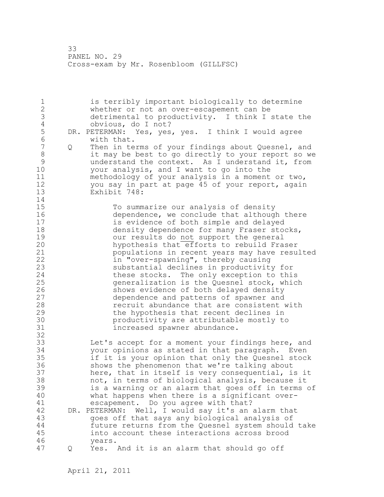1 is terribly important biologically to determine 2 whether or not an over-escapement can be 3 detrimental to productivity. I think I state the 4 obvious, do I not?<br>5 DR. PETERMAN: Yes, yes 5 DR. PETERMAN: Yes, yes, yes. I think I would agree<br>6 with that. 6 with that.<br>7 0 Then in te Q Then in terms of your findings about Quesnel, and 8 it may be best to go directly to your report so we<br>9 3 1 understand the context. As I understand it, from 9 understand the context. As I understand it, from<br>10 vour analysis, and I want to go into the your analysis, and I want to go into the 11 methodology of your analysis in a moment or two, 12 you say in part at page 45 of your report, again 13 Exhibit 748:  $\begin{array}{c} 14 \\ 15 \end{array}$ To summarize our analysis of density 16 dependence, we conclude that although there 17 is evidence of both simple and delayed 18 density dependence for many Fraser stocks, 19 our results do not support the general<br>20 hypothesis that efforts to rebuild Fra hypothesis that efforts to rebuild Fraser 21 populations in recent years may have resulted 22 in "over-spawning", thereby causing 23 substantial declines in productivity for 24 these stocks. The only exception to this 25 generalization is the Quesnel stock, which 26 3 shows evidence of both delayed density<br>27 shows evidence and patterns of spawner and 27 dependence and patterns of spawner and<br>28 mecruit abundance that are consistent recruit abundance that are consistent with 29 the hypothesis that recent declines in 30 **productivity are attributable mostly to**<br>31 **productivity are abundance**. increased spawner abundance. 32 33 Let's accept for a moment your findings here, and 34 your opinions as stated in that paragraph. Even 35 if it is your opinion that only the Quesnel stock 36 shows the phenomenon that we're talking about 37 here, that in itself is very consequential, is it 38 not, in terms of biological analysis, because it 39 is a warning or an alarm that goes off in terms of 40 what happens when there is a significant over-41 escapement. Do you agree with that?<br>42 DR. PETERMAN: Well, I would sav it's an DR. PETERMAN: Well, I would say it's an alarm that 43 goes off that says any biological analysis of 44 future returns from the Quesnel system should take 45 into account these interactions across brood 46 years. 47 Q Yes. And it is an alarm that should go off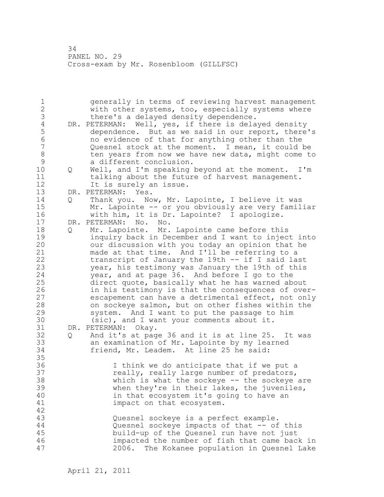1 generally in terms of reviewing harvest management 2 with other systems, too, especially systems where 3 there's a delayed density dependence.<br>4 DR. PETERMAN: Well, yes, if there is dela 4 DR. PETERMAN: Well, yes, if there is delayed density<br>5 dependence. But as we said in our report, there 5 dependence. But as we said in our report, there's<br>6 Devidence of that for anything other than the 6 no evidence of that for anything other than the Quesnel stock at the moment. I mean, it could be 8 ten years from now we have new data, might come to<br>9 a different conclusion. 9 a different conclusion.<br>10 0 Well, and I'm speaking 10 Q Well, and I'm speaking beyond at the moment. I'm 11 talking about the future of harvest management. 12 It is surely an issue. 13 DR. PETERMAN: Yes. 14 Q Thank you. Now, Mr. Lapointe, I believe it was 15 Mr. Lapointe -- or you obviously are very familiar 16 with him, it is Dr. Lapointe? I apologize. 17 DR. PETERMAN: No. No. 18 Q Mr. Lapointe. Mr. Lapointe came before this 19 inquiry back in December and I want to inject into<br>20 our discussion with you today an opinion that he our discussion with you today an opinion that he 21 made at that time. And I'll be referring to a 22 transcript of January the 19th -- if I said last 23 year, his testimony was January the 19th of this 24 year, and at page 36. And before I go to the 25 direct quote, basically what he has warned about 26 in his testimony is that the consequences of over-<br>27 escapement can have a detrimental effect, not only escapement can have a detrimental effect, not only 28 on sockeye salmon, but on other fishes within the 29 system. And I want to put the passage to him 30 (sic), and I want your comments about it.<br>31 DR. PETERMAN: Okav. DR. PETERMAN: Okay. 32 Q And it's at page 36 and it is at line 25. It was 33 an examination of Mr. Lapointe by my learned 34 friend, Mr. Leadem. At line 25 he said: 35 36 I think we do anticipate that if we put a 37 **really, really large number of predators,** 38 which is what the sockeye -- the sockeye are 39 when they're in their lakes, the juveniles, 40 in that ecosystem it's going to have an 41 impact on that ecosystem. 42 43 Quesnel sockeye is a perfect example. 44 Quesnel sockeye impacts of that -- of this 45 build-up of the Quesnel run have not just 46 impacted the number of fish that came back in 47 2006. The Kokanee population in Quesnel Lake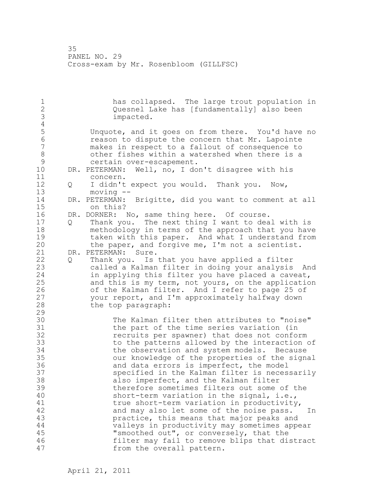1 has collapsed. The large trout population in<br>2 0uesnel Lake has [fundamentally] also been Quesnel Lake has [fundamentally] also been 3 impacted.  $\frac{4}{5}$ 5 Unquote, and it goes on from there. You'd have no 6 reason to dispute the concern that Mr. Lapointe makes in respect to a fallout of consequence to 8 other fishes within a watershed when there is a<br>9 certain over-escapement. 9 certain over-escapement.<br>10 DR. PETERMAN: Well, no, I do DR. PETERMAN: Well, no, I don't disagree with his 11 concern. 12 Q I didn't expect you would. Thank you. Now, 13 moving -- 14 DR. PETERMAN: Brigitte, did you want to comment at all 15 on this? 16 DR. DORNER: No, same thing here. Of course. 17 Q Thank you. The next thing I want to deal with is 18 methodology in terms of the approach that you have 19 taken with this paper. And what I understand from<br>20 the paper, and forgive me, I'm not a scientist. the paper, and forgive me, I'm not a scientist. 21 DR. PETERMAN: Sure. 22 Q Thank you. Is that you have applied a filter 23 called a Kalman filter in doing your analysis And 24 in applying this filter you have placed a caveat, 25 and this is my term, not yours, on the application 26 of the Kalman filter. And I refer to page 25 of<br>27 vour report, and I'm approximately halfway down your report, and I'm approximately halfway down 28 the top paragraph: 29 30 The Kalman filter then attributes to "noise"<br>31 The part of the time series variation (in 31 the part of the time series variation (in<br>32 fecruits per spawner) that does not confo recruits per spawner) that does not conform 33 to the patterns allowed by the interaction of 34 the observation and system models. Because 35 our knowledge of the properties of the signal 36 and data errors is imperfect, the model 37 specified in the Kalman filter is necessarily 38 also imperfect, and the Kalman filter 39 therefore sometimes filters out some of the 40 short-term variation in the signal, i.e., 41 true short-term variation in productivity,<br>42 and may also let some of the noise pass. and may also let some of the noise pass. In 43 practice, this means that major peaks and 44 valleys in productivity may sometimes appear 45 "smoothed out", or conversely, that the 46 filter may fail to remove blips that distract 47 from the overall pattern.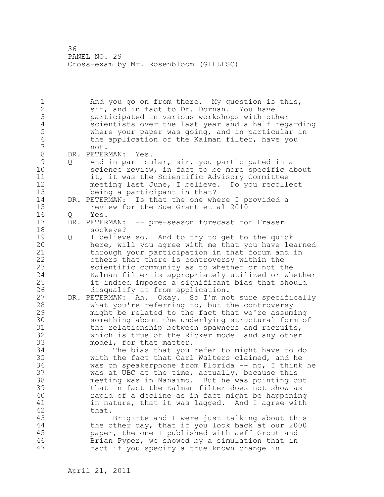1 And you go on from there. My question is this, 2 sir, and in fact to Dr. Dornan. You have 3 participated in various workshops with other<br>4 scientists over the last year and a half req. 4 scientists over the last year and a half regarding<br>5 where your paper was going, and in particular in 5 where your paper was going, and in particular in 6 the application of the Kalman filter, have you not. 8 DR. PETERMAN: Yes. 9 Q And in particular, sir, you participated in a<br>10 science review, in fact to be more specific a science review, in fact to be more specific about 11 it, it was the Scientific Advisory Committee 12 meeting last June, I believe. Do you recollect 13 being a participant in that? 14 DR. PETERMAN: Is that the one where I provided a 15 review for the Sue Grant et al 2010 -- 16 Q Yes. 17 DR. PETERMAN: -- pre-season forecast for Fraser 18 sockeye? 19 Q I believe so. And to try to get to the quick<br>20 here, will you agree with me that you have lea here, will you agree with me that you have learned 21 through your participation in that forum and in 22 others that there is controversy within the 23 scientific community as to whether or not the 24 Kalman filter is appropriately utilized or whether 25 it indeed imposes a significant bias that should 26 disqualify it from application.<br>27 DR. PETERMAN: Ah. Okay. So I'm no DR. PETERMAN: Ah. Okay. So I'm not sure specifically 28 what you're referring to, but the controversy 29 might be related to the fact that we're assuming 30 something about the underlying structural form of<br>31 the relationship between spawners and recruits. the relationship between spawners and recruits, 32 which is true of the Ricker model and any other 33 model, for that matter. 34 The bias that you refer to might have to do 35 with the fact that Carl Walters claimed, and he 36 was on speakerphone from Florida -- no, I think he 37 was at UBC at the time, actually, because this 38 meeting was in Nanaimo. But he was pointing out 39 that in fact the Kalman filter does not show as 40 rapid of a decline as in fact might be happening 41 in nature, that it was lagged. And I agree with 42 that. 43 Brigitte and I were just talking about this 44 the other day, that if you look back at our 2000 45 paper, the one I published with Jeff Grout and 46 Brian Pyper, we showed by a simulation that in 47 fact if you specify a true known change in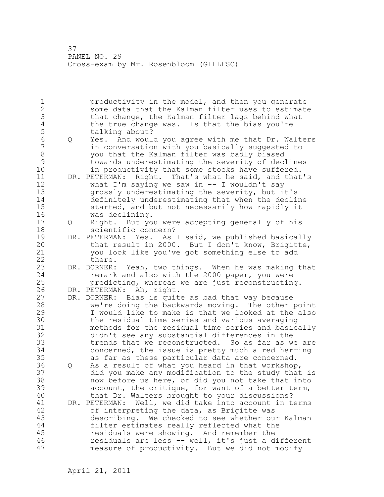1 productivity in the model, and then you generate 2 some data that the Kalman filter uses to estimate 3 that change, the Kalman filter lags behind what<br>4 the true change was. Is that the bias you're 4 the true change was. Is that the bias you're<br>5 talking about? 5 talking about?<br>6 0 Yes. And woul 6 Q Yes. And would you agree with me that Dr. Walters in conversation with you basically suggested to 8 you that the Kalman filter was badly biased 9 towards underestimating the severity of declines in productivity that some stocks have suffered. 11 DR. PETERMAN: Right. That's what he said, and that's 12 what I'm saying we saw in -- I wouldn't say 13 grossly underestimating the severity, but it's 14 definitely underestimating that when the decline 15 started, and but not necessarily how rapidly it 16 was declining. 17 Q Right. But you were accepting generally of his 18 scientific concern? 19 DR. PETERMAN: Yes. As I said, we published basically<br>20 that result in 2000. But I don't know, Brigitte, But I don't know, Brigitte, 21 you look like you've got something else to add 22 there. 23 DR. DORNER: Yeah, two things. When he was making that 24 remark and also with the 2000 paper, you were 25 predicting, whereas we are just reconstructing. 26 DR. PETERMAN: Ah, right.<br>27 DR. DORNER: Bias is quit DR. DORNER: Bias is quite as bad that way because 28 we're doing the backwards moving. The other point 29 I would like to make is that we looked at the also 30 the residual time series and various averaging<br>31 methods for the residual time series and basic methods for the residual time series and basically 32 didn't see any substantial differences in the 33 trends that we reconstructed. So as far as we are 34 concerned, the issue is pretty much a red herring 35 as far as these particular data are concerned. 36 Q As a result of what you heard in that workshop, 37 did you make any modification to the study that is 38 now before us here, or did you not take that into 39 account, the critique, for want of a better term, 40 that Dr. Walters brought to your discussions? 41 DR. PETERMAN: Well, we did take into account in terms<br>42 of interpreting the data, as Brigitte was of interpreting the data, as Brigitte was 43 describing. We checked to see whether our Kalman 44 filter estimates really reflected what the 45 residuals were showing. And remember the 46 residuals are less -- well, it's just a different 47 measure of productivity. But we did not modify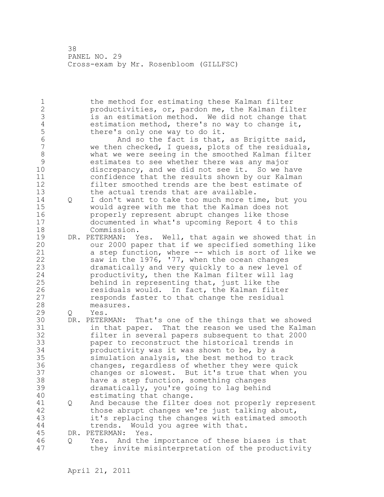1 the method for estimating these Kalman filter 2 productivities, or, pardon me, the Kalman filter 3 is an estimation method. We did not change that 4 estimation method, there's no way to change it,<br>5 there's only one way to do it. 5 there's only one way to do it.<br>6 And so the fact is that, 6 6 And so the fact is that, as Brigitte said,<br>7 We then checked, I quess, plots of the residuals we then checked, I guess, plots of the residuals, 8 what we were seeing in the smoothed Kalman filter<br>9 estimates to see whether there was any major 9 estimates to see whether there was any major<br>10 discrepancy, and we did not see it. So we h discrepancy, and we did not see it. So we have 11 confidence that the results shown by our Kalman 12 filter smoothed trends are the best estimate of 13 the actual trends that are available. 14 Q I don't want to take too much more time, but you 15 would agree with me that the Kalman does not 16 properly represent abrupt changes like those 17 documented in what's upcoming Report 4 to this 18 Commission. 19 DR. PETERMAN: Yes. Well, that again we showed that in<br>20 000 000 000 000 paper that if we specified something like our 2000 paper that if we specified something like 21 a step function, where -- which is sort of like we 22 saw in the 1976, '77, when the ocean changes 23 dramatically and very quickly to a new level of 24 productivity, then the Kalman filter will lag 25 behind in representing that, just like the 26 residuals would. In fact, the Kalman filter<br>27 responds faster to that change the residual responds faster to that change the residual 28 measures. 29 Q Yes. 30 DR. PETERMAN: That's one of the things that we showed 31 in that paper. That the reason we used the Kalman<br>32 filter in several papers subsequent to that 2000 filter in several papers subsequent to that 2000 33 paper to reconstruct the historical trends in 34 productivity was it was shown to be, by a 35 simulation analysis, the best method to track 36 changes, regardless of whether they were quick 37 changes or slowest. But it's true that when you 38 have a step function, something changes 39 dramatically, you're going to lag behind 40 estimating that change. 41 Q and because the filter does not properly represent<br>42 those abrupt changes we're just talking about. those abrupt changes we're just talking about, 43 it's replacing the changes with estimated smooth 44 trends. Would you agree with that. 45 DR. PETERMAN: Yes. 46 Q Yes. And the importance of these biases is that 47 they invite misinterpretation of the productivity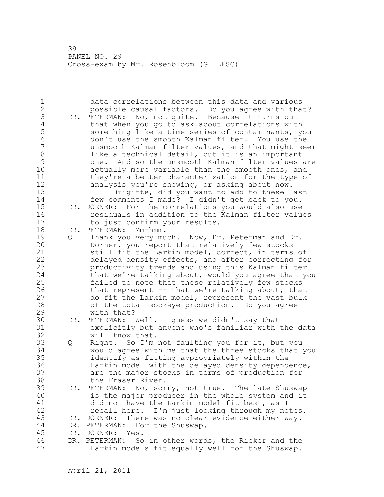| 1<br>$\overline{2}$<br>3<br>4 |   | data correlations between this data and various<br>possible causal factors. Do you agree with that?<br>DR. PETERMAN: No, not quite. Because it turns out |
|-------------------------------|---|----------------------------------------------------------------------------------------------------------------------------------------------------------|
| 5                             |   | that when you go to ask about correlations with<br>something like a time series of contaminants, you                                                     |
| 6                             |   | don't use the smooth Kalman filter. You use the                                                                                                          |
| 7                             |   | unsmooth Kalman filter values, and that might seem                                                                                                       |
| 8                             |   | like a technical detail, but it is an important                                                                                                          |
| 9                             |   | one. And so the unsmooth Kalman filter values are                                                                                                        |
| 10                            |   | actually more variable than the smooth ones, and                                                                                                         |
| 11                            |   | they're a better characterization for the type of                                                                                                        |
| 12                            |   | analysis you're showing, or asking about now.                                                                                                            |
| 13                            |   | Brigitte, did you want to add to these last                                                                                                              |
| 14                            |   | few comments I made? I didn't get back to you.                                                                                                           |
| 15                            |   | DR. DORNER: For the correlations you would also use                                                                                                      |
| 16                            |   | residuals in addition to the Kalman filter values                                                                                                        |
| 17                            |   | to just confirm your results.                                                                                                                            |
| 18                            |   | DR. PETERMAN:<br>$Mm-hmm$ .                                                                                                                              |
| 19                            | Q | Thank you very much. Now, Dr. Peterman and Dr.                                                                                                           |
| 20                            |   | Dorner, you report that relatively few stocks                                                                                                            |
| 21                            |   | still fit the Larkin model, correct, in terms of                                                                                                         |
| 22                            |   | delayed density effects, and after correcting for                                                                                                        |
| 23                            |   | productivity trends and using this Kalman filter                                                                                                         |
| 24                            |   | that we're talking about, would you agree that you                                                                                                       |
| 25                            |   | failed to note that these relatively few stocks                                                                                                          |
| 26                            |   | that represent -- that we're talking about, that                                                                                                         |
| 27                            |   | do fit the Larkin model, represent the vast bulk                                                                                                         |
| 28                            |   | of the total sockeye production. Do you agree                                                                                                            |
| 29                            |   | with that?                                                                                                                                               |
| 30                            |   | DR. PETERMAN: Well, I guess we didn't say that                                                                                                           |
| 31                            |   | explicitly but anyone who's familiar with the data                                                                                                       |
| 32                            |   | will know that.                                                                                                                                          |
| 33                            | Q | Right. So I'm not faulting you for it, but you                                                                                                           |
| 34<br>35                      |   | would agree with me that the three stocks that you                                                                                                       |
| 36                            |   | identify as fitting appropriately within the<br>Larkin model with the delayed density dependence,                                                        |
| 37                            |   |                                                                                                                                                          |
| 38                            |   | are the major stocks in terms of production for<br>the Fraser River.                                                                                     |
| 39                            |   | DR. PETERMAN:                                                                                                                                            |
| 40                            |   | No, sorry, not true. The late Shuswap<br>is the major producer in the whole system and it                                                                |
| 41                            |   | did not have the Larkin model fit best, as I                                                                                                             |
| 42                            |   |                                                                                                                                                          |
| 43                            |   | recall here.<br>I'm just looking through my notes.<br>DR. DORNER:<br>There was no clear evidence either way.                                             |
| 44                            |   | For the Shuswap.<br>DR. PETERMAN:                                                                                                                        |
| 45                            |   | DR. DORNER:<br>Yes.                                                                                                                                      |
| 46                            |   | DR. PETERMAN:<br>So in other words, the Ricker and the                                                                                                   |
| 47                            |   | Larkin models fit equally well for the Shuswap.                                                                                                          |
|                               |   |                                                                                                                                                          |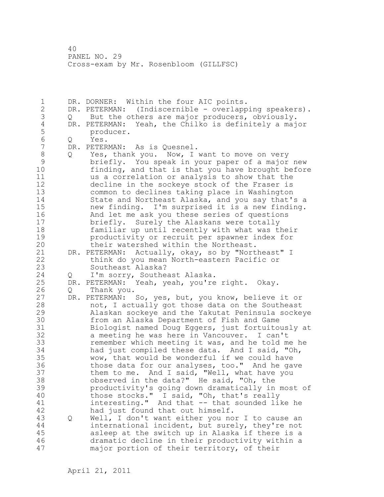1 DR. DORNER: Within the four AIC points. 2 DR. PETERMAN: (Indiscernible - overlapping speakers). 3 Q But the others are major producers, obviously.<br>4 DR. PETERMAN: Yeah, the Chilko is definitely a maj 4 DR. PETERMAN: Yeah, the Chilko is definitely a major<br>5 coducer. 5 producer.<br>6 0 Yes. 6 Q Yes.<br>7 DR.PETER DR. PETERMAN: As is Quesnel. 8 Q Yes, thank you. Now, I want to move on very 9 briefly. You speak in your paper of a major new finding, and that is that you have brought before 11 us a correlation or analysis to show that the 12 decline in the sockeye stock of the Fraser is 13 common to declines taking place in Washington 14 State and Northeast Alaska, and you say that's a 15 new finding. I'm surprised it is a new finding. 16 And let me ask you these series of questions 17 briefly. Surely the Alaskans were totally 18 familiar up until recently with what was their 19 **productivity or recruit per spawner index for**<br>20 **heir watershed within the Northeast.** their watershed within the Northeast. 21 DR. PETERMAN: Actually, okay, so by "Northeast" I 22 think do you mean North-eastern Pacific or 23 Southeast Alaska? 24 Q I'm sorry, Southeast Alaska. 25 DR. PETERMAN: Yeah, yeah, you're right. Okay. 26 Q Thank you.<br>27 DR. PETERMAN: DR. PETERMAN: So, yes, but, you know, believe it or 28 not, I actually got those data on the Southeast 29 Alaskan sockeye and the Yakutat Peninsula sockeye 30 from an Alaska Department of Fish and Game<br>31 Biologist named Doug Eggers, just fortuito Biologist named Doug Eggers, just fortuitously at 32 a meeting he was here in Vancouver. I can't 33 remember which meeting it was, and he told me he 34 had just compiled these data. And I said, "Oh, 35 wow, that would be wonderful if we could have 36 those data for our analyses, too." And he gave 37 them to me. And I said, "Well, what have you 38 observed in the data?" He said, "Oh, the 39 productivity's going down dramatically in most of 40 those stocks." I said, "Oh, that's really 41 interesting." And that -- that sounded like he<br>42 had just found that out himself. had just found that out himself. 43 Q Well, I don't want either you nor I to cause an 44 international incident, but surely, they're not 45 asleep at the switch up in Alaska if there is a 46 dramatic decline in their productivity within a 47 major portion of their territory, of their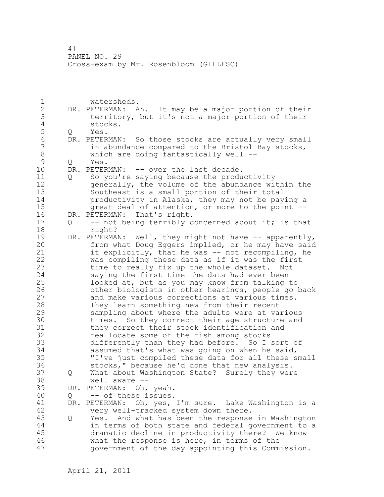1 watersheds. 2 DR. PETERMAN: Ah. It may be a major portion of their 3 territory, but it's not a major portion of their 4 stocks.<br>5 Q Yes. 5 Q Yes.<br>6 DR.PETER 6 DR. PETERMAN: So those stocks are actually very small<br>7 in abundance compared to the Bristol Bay stocks, in abundance compared to the Bristol Bay stocks, 8 which are doing fantastically well --<br>9 0 Yes. 9 Q Yes.<br>10 DR.PETER DR. PETERMAN: -- over the last decade. 11 Q So you're saying because the productivity 12 generally, the volume of the abundance within the 13 Southeast is a small portion of their total 14 **productivity in Alaska, they may not be paying a** 15 great deal of attention, or more to the point --16 DR. PETERMAN: That's right. 17 Q -- not being terribly concerned about it; is that 18 right? 19 DR. PETERMAN: Well, they might not have -- apparently,<br>20 from what Doug Eggers implied, or he may have said from what Doug Eggers implied, or he may have said 21 it explicitly, that he was -- not recompiling, he 22 was compiling these data as if it was the first 23 time to really fix up the whole dataset. Not 24 saying the first time the data had ever been 25 looked at, but as you may know from talking to 26 other biologists in other hearings, people go back<br>27 and make various corrections at various times. and make various corrections at various times. 28 They learn something new from their recent 29 sampling about where the adults were at various 30 times. So they correct their age structure and<br>31 they correct their stock identification and 31 they correct their stock identification and<br>32 seallocate some of the fish among stocks reallocate some of the fish among stocks 33 differently than they had before. So I sort of 34 assumed that's what was going on when he said, 35 "I've just compiled these data for all these small 36 stocks," because he'd done that new analysis. 37 Q What about Washington State? Surely they were 38 well aware -- 39 DR. PETERMAN: Oh, yeah. 40 Q -- of these issues. 41 DR. PETERMAN: Oh, yes, I'm sure. Lake Washington is a<br>42 very well-tracked system down there. very well-tracked system down there. 43 Q Yes. And what has been the response in Washington 44 in terms of both state and federal government to a 45 dramatic decline in productivity there? We know 46 what the response is here, in terms of the 47 government of the day appointing this Commission.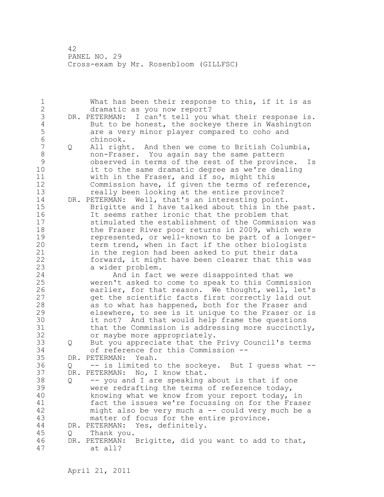1 What has been their response to this, if it is as 2 dramatic as you now report? 3 DR. PETERMAN: I can't tell you what their response is.<br>4 But to be honest, the sockeye there in Washington 4 But to be honest, the sockeye there in Washington<br>5 are a very minor player compared to coho and 5 are a very minor player compared to coho and<br>6 chinook. 6 chinook.<br>7 O All righ 7 Q All right. And then we come to British Columbia, 8 non-Fraser. You again say the same pattern<br>9 bobserved in terms of the rest of the provine 9 observed in terms of the rest of the province. Is<br>10 it to the same dramatic degree as we're dealing it to the same dramatic degree as we're dealing 11 with in the Fraser, and if so, might this 12 Commission have, if given the terms of reference, 13 really been looking at the entire province? 14 DR. PETERMAN: Well, that's an interesting point. 15 Brigitte and I have talked about this in the past. 16 It seems rather ironic that the problem that 17 stimulated the establishment of the Commission was 18 the Fraser River poor returns in 2009, which were 19 represented, or well-known to be part of a longer-<br>20 term trend, when in fact if the other biologists term trend, when in fact if the other biologists 21 in the region had been asked to put their data 22 forward, it might have been clearer that this was 23 a wider problem. 24 And in fact we were disappointed that we 25 weren't asked to come to speak to this Commission 26 earlier, for that reason. We thought, well, let's<br>27 eet the scientific facts first correctly laid out get the scientific facts first correctly laid out 28 as to what has happened, both for the Fraser and 29 elsewhere, to see is it unique to the Fraser or is 30 it not? And that would help frame the questions<br>31 that the Commission is addressing more succinctl that the Commission is addressing more succinctly, 32 or maybe more appropriately. 33 Q But you appreciate that the Privy Council's terms 34 of reference for this Commission -- 35 DR. PETERMAN: Yeah. 36 Q -- is limited to the sockeye. But I guess what -- 37 DR. PETERMAN: No, I know that. 38 Q -- you and I are speaking about is that if one 39 were redrafting the terms of reference today, 40 knowing what we know from your report today, in 41 fact the issues we're focussing on for the Fraser<br>42 might also be very much a -- could very much be a might also be very much a  $--$  could very much be a 43 matter of focus for the entire province. 44 DR. PETERMAN: Yes, definitely. 45 Q Thank you. 46 DR. PETERMAN: Brigitte, did you want to add to that, 47 at all?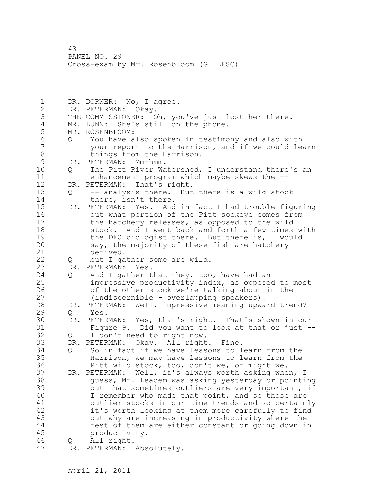1 DR. DORNER: No, I agree. 2 DR. PETERMAN: Okay. 3 THE COMMISSIONER: Oh, you've just lost her there.<br>4 MR. LUNN: She's still on the phone. 4 MR. LUNN: She's still on the phone.<br>5 MR. ROSENBLOOM: 5 MR. ROSENBLOOM:<br>6 0 You have a 6 Q You have also spoken in testimony and also with your report to the Harrison, and if we could learn 8 things from the Harrison.<br>9 DR. PETERMAN: Mm-hmm. 9 DR. PETERMAN: Mm-hmm.<br>10 0 The Pitt River Wa 0 The Pitt River Watershed, I understand there's an 11 enhancement program which maybe skews the -- 12 DR. PETERMAN: That's right. 13 Q -- analysis there. But there is a wild stock 14 there, isn't there. 15 DR. PETERMAN: Yes. And in fact I had trouble figuring 16 out what portion of the Pitt sockeye comes from 17 the hatchery releases, as opposed to the wild 18 stock. And I went back and forth a few times with 19 the DFO biologist there. But there is, I would<br>20 say, the majority of these fish are hatchery say, the majority of these fish are hatchery 21 derived. 22 Q but I gather some are wild. 23 DR. PETERMAN: Yes. 24 Q And I gather that they, too, have had an 25 impressive productivity index, as opposed to most 26 of the other stock we're talking about in the<br>27 (indiscernible - overlapping speakers).  $(indiscernible - overlapping speakers)$ . 28 DR. PETERMAN: Well, impressive meaning upward trend? 29 Q Yes. 30 DR. PETERMAN: Yes, that's right. That's shown in our 31 Figure 9. Did you want to look at that or just --<br>32 0 I don't need to right now. Q I don't need to right now. 33 DR. PETERMAN: Okay. All right. Fine. 34 Q So in fact if we have lessons to learn from the 35 Harrison, we may have lessons to learn from the 36 Pitt wild stock, too, don't we, or might we. 37 DR. PETERMAN: Well, it's always worth asking when, I 38 guess, Mr. Leadem was asking yesterday or pointing 39 out that sometimes outliers are very important, if 40 I remember who made that point, and so those are 41 outlier stocks in our time trends and so certainly<br>42 it's worth looking at them more carefully to find it's worth looking at them more carefully to find 43 out why are increasing in productivity where the 44 rest of them are either constant or going down in 45 productivity. 46 Q All right. 47 DR. PETERMAN: Absolutely.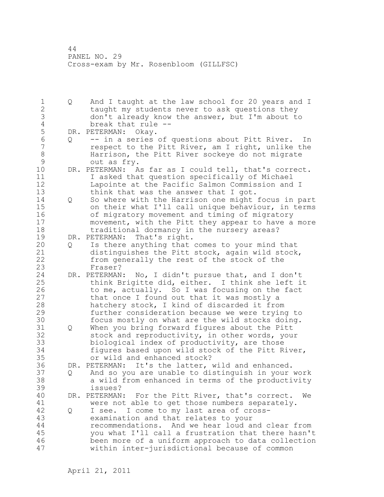1 Q And I taught at the law school for 20 years and I 2 taught my students never to ask questions they 3 don't already know the answer, but I'm about to 4 break that rule --<br>5 DR. PETERMAN: Okay. 5 DR. PETERMAN: Okay. 6 Q -- in a series of questions about Pitt River. In respect to the Pitt River, am I right, unlike the 8 Harrison, the Pitt River sockeye do not migrate<br>9 out as fry. 9 out as fry.<br>10 DR. PETERMAN: A DR. PETERMAN: As far as I could tell, that's correct. 11 I asked that question specifically of Michael 12 Lapointe at the Pacific Salmon Commission and I 13 think that was the answer that I got. 14 Q So where with the Harrison one might focus in part 15 on their what I'll call unique behaviour, in terms 16 of migratory movement and timing of migratory 17 movement, with the Pitt they appear to have a more 18 traditional dormancy in the nursery areas? 19 DR. PETERMAN: That's right. 20 Q Is there anything that comes to your mind that 21 distinguishes the Pitt stock, again wild stock, 22 from generally the rest of the stock of the 23 Fraser? 24 DR. PETERMAN: No, I didn't pursue that, and I don't 25 think Brigitte did, either. I think she left it 26 to me, actually. So I was focusing on the fact<br>27 that once I found out that it was mostly a that once I found out that it was mostly a 28 hatchery stock, I kind of discarded it from 29 further consideration because we were trying to 30 focus mostly on what are the wild stocks doing. 31 Q When you bring forward figures about the Pitt 32 stock and reproductivity, in other words, your 33 biological index of productivity, are those 34 figures based upon wild stock of the Pitt River, 35 or wild and enhanced stock? 36 DR. PETERMAN: It's the latter, wild and enhanced. 37 Q And so you are unable to distinguish in your work 38 a wild from enhanced in terms of the productivity 39 issues? 40 DR. PETERMAN: For the Pitt River, that's correct. We 41 were not able to get those numbers separately.<br>42 O I see. I come to my last area of cross-42 Q I see. I come to my last area of cross-43 examination and that relates to your 44 recommendations. And we hear loud and clear from 45 you what I'll call a frustration that there hasn't 46 been more of a uniform approach to data collection 47 within inter-jurisdictional because of common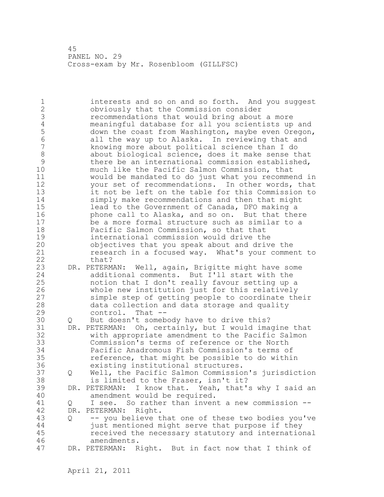1 interests and so on and so forth. And you suggest 2 obviously that the Commission consider 3 recommendations that would bring about a more<br>4 meaningful database for all you scientists up 4 meaningful database for all you scientists up and<br>5 down the coast from Washington, maybe even Oregon 5 down the coast from Washington, maybe even Oregon,<br>6 all the way up to Alaska. In reviewing that and 6 all the way up to Alaska. In reviewing that and 7 knowing more about political science than I do 8 about biological science, does it make sense that<br>9 there be an international commission established. 9 there be an international commission established,<br>10 much like the Pacific Salmon Commission, that much like the Pacific Salmon Commission, that 11 would be mandated to do just what you recommend in 12 your set of recommendations. In other words, that 13 it not be left on the table for this Commission to 14 simply make recommendations and then that might 15 lead to the Government of Canada, DFO making a 16 **phone call to Alaska, and so on.** But that there 17 be a more formal structure such as similar to a 18 Pacific Salmon Commission, so that that 19 international commission would drive the<br>20 objectives that you speak about and driv objectives that you speak about and drive the 21 research in a focused way. What's your comment to 22 that? 23 DR. PETERMAN: Well, again, Brigitte might have some 24 additional comments. But I'll start with the 25 notion that I don't really favour setting up a 26 whole new institution just for this relatively<br>27 simple step of getting people to coordinate the simple step of getting people to coordinate their 28 data collection and data storage and quality 29 control. That -- 30 Q But doesn't somebody have to drive this?<br>31 DR. PETERMAN: Oh, certainly, but I would ima DR. PETERMAN: Oh, certainly, but I would imagine that 32 with appropriate amendment to the Pacific Salmon 33 Commission's terms of reference or the North 34 Pacific Anadromous Fish Commission's terms of 35 reference, that might be possible to do within 36 existing institutional structures. 37 Q Well, the Pacific Salmon Commission's jurisdiction 38 is limited to the Fraser, isn't it? 39 DR. PETERMAN: I know that. Yeah, that's why I said an 40 amendment would be required. 41 Q I see. So rather than invent a new commission -- DR. PETERMAN: Right. 43 Q -- you believe that one of these two bodies you've 44 just mentioned might serve that purpose if they 45 received the necessary statutory and international 46 amendments. 47 DR. PETERMAN: Right. But in fact now that I think of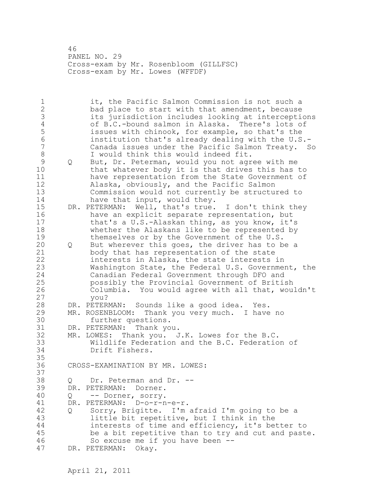46 PANEL NO. 29 Cross-exam by Mr. Rosenbloom (GILLFSC) Cross-exam by Mr. Lowes (WFFDF)

| 1<br>$\overline{2}$<br>3<br>4<br>5<br>6<br>7 |             | it, the Pacific Salmon Commission is not such a<br>bad place to start with that amendment, because<br>its jurisdiction includes looking at interceptions<br>of B.C.-bound salmon in Alaska. There's lots of<br>issues with chinook, for example, so that's the<br>institution that's already dealing with the U.S.-<br>Canada issues under the Pacific Salmon Treaty. So |
|----------------------------------------------|-------------|--------------------------------------------------------------------------------------------------------------------------------------------------------------------------------------------------------------------------------------------------------------------------------------------------------------------------------------------------------------------------|
| 8<br>9<br>10<br>11<br>12                     | Q           | I would think this would indeed fit.<br>But, Dr. Peterman, would you not agree with me<br>that whatever body it is that drives this has to<br>have representation from the State Government of                                                                                                                                                                           |
| 13<br>14                                     |             | Alaska, obviously, and the Pacific Salmon<br>Commission would not currently be structured to<br>have that input, would they.                                                                                                                                                                                                                                             |
| 15<br>16<br>17<br>18<br>19                   |             | DR. PETERMAN: Well, that's true. I don't think they<br>have an explicit separate representation, but<br>that's a U.S.-Alaskan thing, as you know, it's<br>whether the Alaskans like to be represented by<br>themselves or by the Government of the U.S.                                                                                                                  |
| 20<br>21<br>22<br>23<br>24<br>25<br>26<br>27 | Q           | But wherever this goes, the driver has to be a<br>body that has representation of the state<br>interests in Alaska, the state interests in<br>Washington State, the Federal U.S. Government, the<br>Canadian Federal Government through DFO and<br>possibly the Provincial Government of British<br>Columbia. You would agree with all that, wouldn't<br>you?            |
| 28<br>29<br>30                               |             | DR. PETERMAN: Sounds like a good idea. Yes.<br>MR. ROSENBLOOM: Thank you very much. I have no<br>further questions.                                                                                                                                                                                                                                                      |
| 31<br>32<br>33<br>34<br>35                   |             | DR. PETERMAN: Thank you.<br>MR. LOWES: Thank you. J.K. Lowes for the B.C.<br>Wildlife Federation and the B.C. Federation of<br>Drift Fishers.                                                                                                                                                                                                                            |
| 36<br>37                                     |             | CROSS-EXAMINATION BY MR. LOWES:                                                                                                                                                                                                                                                                                                                                          |
| 38<br>39<br>40<br>41<br>42                   | Q<br>Q<br>Q | Dr. Peterman and Dr. --<br>DR. PETERMAN:<br>Dorner.<br>-- Dorner, sorry.<br>DR. PETERMAN:<br>$D$ -o-r-n-e-r.<br>Sorry, Brigitte. I'm afraid I'm going to be a                                                                                                                                                                                                            |
| 43<br>44<br>45<br>46<br>47                   |             | little bit repetitive, but I think in the<br>interests of time and efficiency, it's better to<br>be a bit repetitive than to try and cut and paste.<br>So excuse me if you have been --<br>DR. PETERMAN:<br>Okay.                                                                                                                                                        |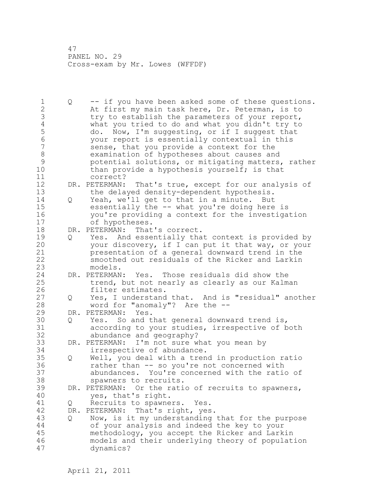1 Q -- if you have been asked some of these questions. 2 At first my main task here, Dr. Peterman, is to 3 try to establish the parameters of your report,<br>4 what you tried to do and what you didn't try to 4 what you tried to do and what you didn't try to<br>5 do. Now, I'm suggesting, or if I suggest that 5 do. Now, I'm suggesting, or if I suggest that 6 your report is essentially contextual in this sense, that you provide a context for the 8 examination of hypotheses about causes and 9 potential solutions, or mitigating matters, rather than provide a hypothesis yourself; is that 11 correct? 12 DR. PETERMAN: That's true, except for our analysis of 13 the delayed density-dependent hypothesis. 14 Q Yeah, we'll get to that in a minute. But 15 essentially the -- what you're doing here is 16 you're providing a context for the investigation 17 of hypotheses. 18 DR. PETERMAN: That's correct. 19 Q Yes. And essentially that context is provided by<br>20 your discovery, if I can put it that way, or your your discovery, if I can put it that way, or your 21 presentation of a general downward trend in the 22 smoothed out residuals of the Ricker and Larkin 23 models. 24 DR. PETERMAN: Yes. Those residuals did show the 25 trend, but not nearly as clearly as our Kalman 26 filter estimates.<br>27 0 Yes, I understand 27 Q Yes, I understand that. And is "residual" another 28 word for "anomaly"? Are the -- 29 DR. PETERMAN: Yes. 30 Q Yes. So and that general downward trend is,<br>31 according to your studies, irrespective of b 31 according to your studies, irrespective of both abundance and geography? 33 DR. PETERMAN: I'm not sure what you mean by 34 irrespective of abundance. 35 Q Well, you deal with a trend in production ratio 36 rather than -- so you're not concerned with 37 abundances. You're concerned with the ratio of 38 spawners to recruits. 39 DR. PETERMAN: Or the ratio of recruits to spawners, 40 yes, that's right. 41 Q Recruits to spawners. Yes.<br>42 DR. PETERMAN: That's right, yes DR. PETERMAN: That's right, yes. 43 Q Now, is it my understanding that for the purpose 44 of your analysis and indeed the key to your 45 methodology, you accept the Ricker and Larkin 46 models and their underlying theory of population 47 dynamics?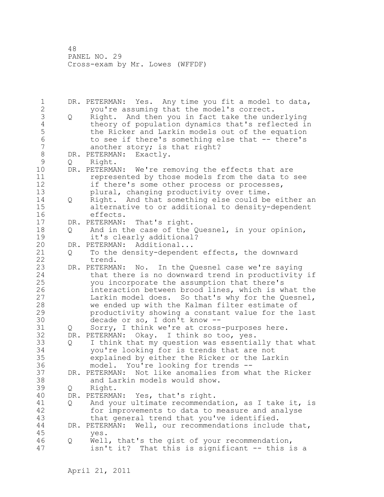1 DR. PETERMAN: Yes. Any time you fit a model to data, 2 you're assuming that the model's correct. 3 Q Right. And then you in fact take the underlying<br>4 theory of population dynamics that's reflected in 4 theory of population dynamics that's reflected in 5 the Ricker and Larkin models out of the equation<br>6 to see if there's something else that -- there's 6 to see if there's something else that -- there's<br>7 another story: is that right? another story; is that right? 8 DR. PETERMAN: Exactly.<br>9 0 Right. 9 Q Right.<br>10 DR.PETERMA DR. PETERMAN: We're removing the effects that are 11 represented by those models from the data to see 12 if there's some other process or processes, 13 plural, changing productivity over time. 14 Q Right. And that something else could be either an 15 alternative to or additional to density-dependent 16 effects. 17 DR. PETERMAN: That's right. 18 Q And in the case of the Quesnel, in your opinion, 19 it's clearly additional?<br>20 DR. PETERMAN: Additional... DR. PETERMAN: Additional... 21 Q To the density-dependent effects, the downward 22 trend. 23 DR. PETERMAN: No. In the Quesnel case we're saying 24 that there is no downward trend in productivity if 25 you incorporate the assumption that there's 26 interaction between brood lines, which is what the<br>27 Larkin model does. So that's why for the Quesnel, Larkin model does. So that's why for the Quesnel, 28 we ended up with the Kalman filter estimate of 29 productivity showing a constant value for the last 30 decade or so, I don't know --<br>31 0 Sorry, I think we're at cross Q Sorry, I think we're at cross-purposes here. 32 DR. PETERMAN: Okay. I think so too, yes. 33 Q I think that my question was essentially that what 34 you're looking for is trends that are not 35 explained by either the Ricker or the Larkin 36 model. You're looking for trends -- 37 DR. PETERMAN: Not like anomalies from what the Ricker 38 and Larkin models would show. 39 Q Right. 40 DR. PETERMAN: Yes, that's right. 41 Q And your ultimate recommendation, as I take it, is<br>42 for improvements to data to measure and analyse 42 for improvements to data to measure and analyse<br>43 that general trend that you've identified. that general trend that you've identified. 44 DR. PETERMAN: Well, our recommendations include that, 45 yes. 46 Q Well, that's the gist of your recommendation, 47 isn't it? That this is significant -- this is a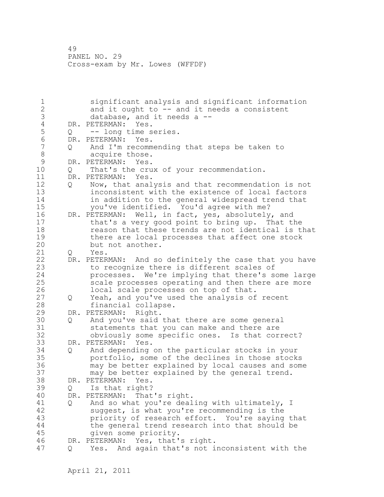1 significant analysis and significant information 2 and it ought to -- and it needs a consistent 3 database, and it needs a --<br>4 DR. PETERMAN: Yes. 4 DR. PETERMAN: Yes.<br>5 Q -- long time s 5 Q -- long time series.<br>6 DR. PETERMAN: Yes. 6 DR. PETERMAN: Yes.<br>7 0 And I'm recomm 7 Q And I'm recommending that steps be taken to 8 acquire those.<br>9 DR. PETERMAN: Yes. 9 DR. PETERMAN: Yes.<br>10 0 That's the cru 10 Q That's the crux of your recommendation. 11 DR. PETERMAN: Yes. 12 Q Now, that analysis and that recommendation is not 13 inconsistent with the existence of local factors 14 in addition to the general widespread trend that 15 you've identified. You'd agree with me? 16 DR. PETERMAN: Well, in fact, yes, absolutely, and 17 that's a very good point to bring up. That the 18 reason that these trends are not identical is that 19 there are local processes that affect one stock<br>20 but not another. but not another. 21 Q Yes. 22 DR. PETERMAN: And so definitely the case that you have 23 to recognize there is different scales of 24 processes. We're implying that there's some large 25 scale processes operating and then there are more 26 local scale processes on top of that.<br>27 Q Yeah, and you've used the analysis of Q Yeah, and you've used the analysis of recent 28 financial collapse. 29 DR. PETERMAN: Right. 30 Q And you've said that there are some general 31 statements that you can make and there are<br>32 obviously some specific ones. Is that cor obviously some specific ones. Is that correct? 33 DR. PETERMAN: Yes. 34 Q And depending on the particular stocks in your 35 portfolio, some of the declines in those stocks<br>36 may be better explained by local causes and som may be better explained by local causes and some 37 may be better explained by the general trend. 38 DR. PETERMAN: Yes. 39 Q Is that right? 40 DR. PETERMAN: That's right. 41 Q And so what you're dealing with ultimately, I<br>42 Suggest, is what you're recommending is the suggest, is what you're recommending is the 43 priority of research effort. You're saying that 44 the general trend research into that should be 45 given some priority. 46 DR. PETERMAN: Yes, that's right. 47 Q Yes. And again that's not inconsistent with the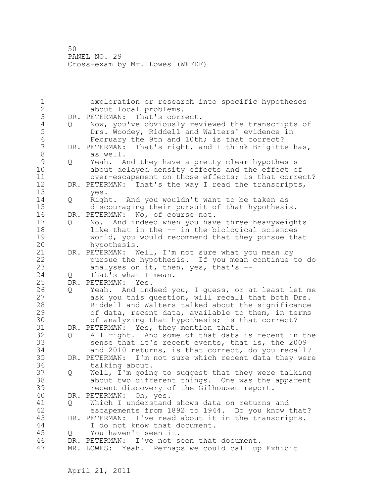1 exploration or research into specific hypotheses 2 about local problems. 3 DR. PETERMAN: That's correct.<br>4 0 Now, you've obviously rev 4 Q Now, you've obviously reviewed the transcripts of<br>5 Drs. Woodey, Riddell and Walters' evidence in 5 Drs. Woodey, Riddell and Walters' evidence in<br>6 February the 9th and 10th: is that correct? 6 February the 9th and 10th; is that correct?<br>7 DR. PETERMAN: That's right, and I think Brigitte DR. PETERMAN: That's right, and I think Brigitte has, 8 as well. 9 Q Yeah. And they have a pretty clear hypothesis<br>10 about delaved density effects and the effect o about delayed density effects and the effect of 11 over-escapement on those effects; is that correct? 12 DR. PETERMAN: That's the way I read the transcripts, 13 yes. 14 Q Right. And you wouldn't want to be taken as 15 discouraging their pursuit of that hypothesis. 16 DR. PETERMAN: No, of course not. 17 Q No. And indeed when you have three heavyweights 18 like that in the -- in the biological sciences 19 world, you would recommend that they pursue that 20 hypothesis. 21 DR. PETERMAN: Well, I'm not sure what you mean by 22 pursue the hypothesis. If you mean continue to do 23 analyses on it, then, yes, that's -- 24 O That's what I mean. 25 DR. PETERMAN: Yes. 26 Q Yeah. And indeed you, I guess, or at least let me<br>27 ask you this question, will recall that both Drs. ask you this question, will recall that both Drs. 28 Riddell and Walters talked about the significance 29 of data, recent data, available to them, in terms 30 of analyzing that hypothesis; is that correct?<br>31 DR. PETERMAN: Yes, they mention that. DR. PETERMAN: Yes, they mention that. 32 Q All right. And some of that data is recent in the 33 sense that it's recent events, that is, the 2009 34 and 2010 returns, is that correct, do you recall? 35 DR. PETERMAN: I'm not sure which recent data they were 36 talking about. 37 Q Well, I'm going to suggest that they were talking 38 about two different things. One was the apparent 39 recent discovery of the Gilhousen report. 40 DR. PETERMAN: Oh, yes. 41 Q Which I understand shows data on returns and<br>42 escapements from 1892 to 1944. Do you know escapements from 1892 to 1944. Do you know that? 43 DR. PETERMAN: I've read about it in the transcripts. 44 I do not know that document. 45 Q You haven't seen it. 46 DR. PETERMAN: I've not seen that document. 47 MR. LOWES: Yeah. Perhaps we could call up Exhibit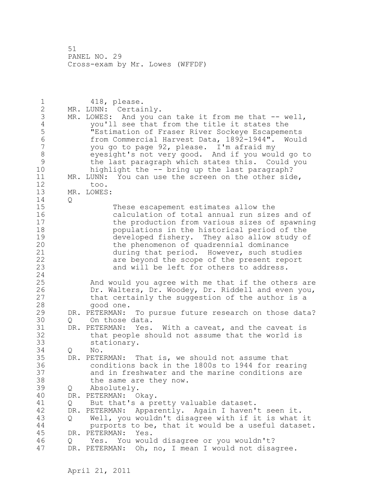1 418, please. 2 MR. LUNN: Certainly. 3 MR. LOWES: And you can take it from me that -- well, 4 you'll see that from the title it states the<br>
5 Testimation of Fraser River Sockeye Escapeme 5 Testimation of Fraser River Sockeye Escapements<br>6 Trom Commercial Harvest Data, 1892-1944". Would 6 from Commercial Harvest Data, 1892-1944". Would you go to page 92, please. I'm afraid my 8 eyesight's not very good. And if you would go to 9 the last paragraph which states this. Could you<br>10 highlight the -- bring up the last paragraph? highlight the  $-$  bring up the last paragraph? 11 MR. LUNN: You can use the screen on the other side, 12 too. 13 MR. LOWES: 14 Q 15 These escapement estimates allow the 16 calculation of total annual run sizes and of 17 the production from various sizes of spawning 18 populations in the historical period of the 19 developed fishery. They also allow study of<br>20 the phenomenon of quadrennial dominance the phenomenon of quadrennial dominance 21 during that period. However, such studies 22 are beyond the scope of the present report 23 and will be left for others to address. 24 25 And would you agree with me that if the others are 26 Dr. Walters, Dr. Woodey, Dr. Riddell and even you,<br>27 that certainly the suggestion of the author is a that certainly the suggestion of the author is a 28 good one. 29 DR. PETERMAN: To pursue future research on those data? 30 Q On those data.<br>31 DR. PETERMAN: Yes. DR. PETERMAN: Yes. With a caveat, and the caveat is 32 that people should not assume that the world is 33 stationary. 34 Q No. 35 DR. PETERMAN: That is, we should not assume that 36 conditions back in the 1800s to 1944 for rearing 37 and in freshwater and the marine conditions are 38 the same are they now. 39 Q Absolutely. 40 DR. PETERMAN: Okay. 41 Q But that's a pretty valuable dataset.<br>42 DR. PETERMAN: Apparently. Again I haven' DR. PETERMAN: Apparently. Again I haven't seen it. 43 Q Well, you wouldn't disagree with if it is what it 44 purports to be, that it would be a useful dataset. 45 DR. PETERMAN: Yes. 46 Q Yes. You would disagree or you wouldn't? 47 DR. PETERMAN: Oh, no, I mean I would not disagree.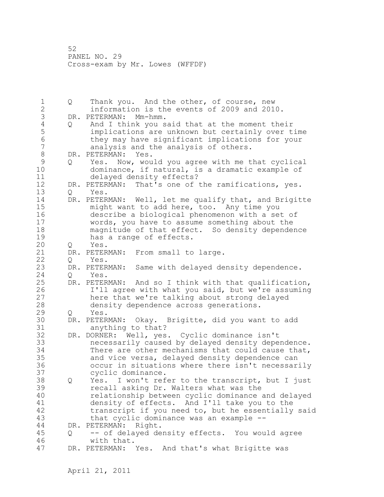1 Q Thank you. And the other, of course, new 2 information is the events of 2009 and 2010. 3 DR. PETERMAN: Mm-hmm.<br>4 Q And I think you s 4 Q And I think you said that at the moment their<br>5 implications are unknown but certainly over t 5 implications are unknown but certainly over time 6 they may have significant implications for your analysis and the analysis of others. 8 DR. PETERMAN: Yes.<br>9 0 Yes. Now, wou 9 Q Yes. Now, would you agree with me that cyclical<br>10 dominance, if natural, is a dramatic example of dominance, if natural, is a dramatic example of 11 delayed density effects? 12 DR. PETERMAN: That's one of the ramifications, yes. 13 Q Yes. 14 DR. PETERMAN: Well, let me qualify that, and Brigitte 15 might want to add here, too. Any time you 16 describe a biological phenomenon with a set of 17 words, you have to assume something about the 18 magnitude of that effect. So density dependence 19 has a range of effects.<br>20 0 Yes. 20 Q Yes. 21 DR. PETERMAN: From small to large. 22 Q Yes. 23 DR. PETERMAN: Same with delayed density dependence. 24 Q Yes. 25 DR. PETERMAN: And so I think with that qualification, 26 I'll agree with what you said, but we're assuming<br>27 here that we're talking about strong delayed here that we're talking about strong delayed 28 density dependence across generations. 29 Q Yes. 30 DR. PETERMAN: Okay. Brigitte, did you want to add anything to that? 32 DR. DORNER: Well, yes. Cyclic dominance isn't 33 necessarily caused by delayed density dependence. 34 There are other mechanisms that could cause that, 35 and vice versa, delayed density dependence can 36 occur in situations where there isn't necessarily 37 cyclic dominance. 38 Q Yes. I won't refer to the transcript, but I just 39 recall asking Dr. Walters what was the 40 relationship between cyclic dominance and delayed 41 density of effects. And I'll take you to the<br>42 transcript if you need to, but he essentially transcript if you need to, but he essentially said 43 that cyclic dominance was an example -- 44 DR. PETERMAN: Right. 45 Q -- of delayed density effects. You would agree 46 with that. 47 DR. PETERMAN: Yes. And that's what Brigitte was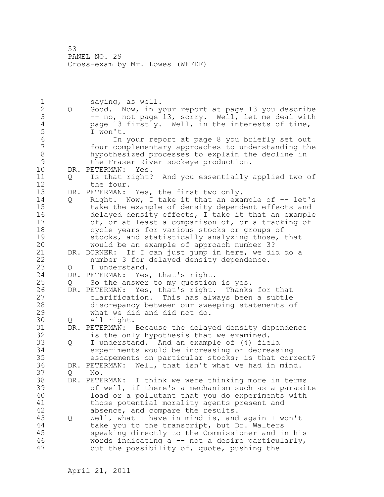1 saying, as well.<br>2 Q Good. Now, in y 2 Q Good. Now, in your report at page 13 you describe 3 -- no, not page 13, sorry. Well, let me deal with<br>4 page 13 firstly. Well, in the interests of time, 4 page 13 firstly. Well, in the interests of time,<br>5 I won't. 5 I won't.<br>6 In 6 In your report at page 8 you briefly set out four complementary approaches to understanding the 8 hypothesized processes to explain the decline in 9 the Fraser River sockeye production.<br>10 DR. PETERMAN: Yes. DR. PETERMAN: Yes. 11 Q Is that right? And you essentially applied two of 12 the four. 13 DR. PETERMAN: Yes, the first two only. 14 Q Right. Now, I take it that an example of -- let's 15 take the example of density dependent effects and 16 delayed density effects, I take it that an example 17 of, or at least a comparison of, or a tracking of 18 cycle years for various stocks or groups of 19 stocks, and statistically analyzing those, that<br>20 would be an example of approach number 3? would be an example of approach number 3? 21 DR. DORNER: If I can just jump in here, we did do a 22 number 3 for delayed density dependence. 23 Q I understand. 24 DR. PETERMAN: Yes, that's right. 25 Q So the answer to my question is yes. 26 DR. PETERMAN: Yes, that's right. Thanks for that<br>27 clarification. This has always been a subtle 27 clarification. This has always been a subtle discrepancy between our sweeping statements of 29 what we did and did not do. 30 Q All right.<br>31 DR. PETERMAN: DR. PETERMAN: Because the delayed density dependence 32 is the only hypothesis that we examined. 33 Q I understand. And an example of (4) field 34 experiments would be increasing or decreasing 35 escapements on particular stocks; is that correct? 36 DR. PETERMAN: Well, that isn't what we had in mind. 37 Q No.<br>38 DR. PETERMAN: 38 DR. PETERMAN: I think we were thinking more in terms 39 of well, if there's a mechanism such as a parasite 40 load or a pollutant that you do experiments with 41 those potential morality agents present and<br>42 absence, and compare the results. absence, and compare the results. 43 Q Well, what I have in mind is, and again I won't 44 take you to the transcript, but Dr. Walters 45 speaking directly to the Commissioner and in his 46 words indicating a -- not a desire particularly, 47 but the possibility of, quote, pushing the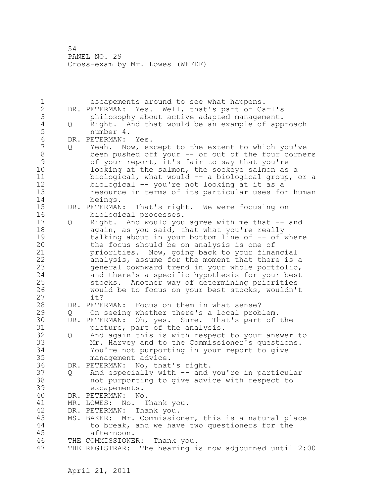1 escapements around to see what happens. 2 DR. PETERMAN: Yes. Well, that's part of Carl's 3 philosophy about active adapted management.<br>4 0 Right. And that would be an example of app 4 Q Right. And that would be an example of approach 5 number 4.<br>6 DR. PETERMAN: 6 DR. PETERMAN: Yes.<br>7 0 Yeah. Now, ex Q Yeah. Now, except to the extent to which you've 8 been pushed off your -- or out of the four corners 9 of your report, it's fair to say that you're 10 looking at the salmon, the sockeye salmon as a 11 biological, what would -- a biological group, or a 12 biological -- you're not looking at it as a 13 resource in terms of its particular uses for human<br>14 beings. beings. 15 DR. PETERMAN: That's right. We were focusing on 16 biological processes. 17 Q Right. And would you agree with me that -- and 18 again, as you said, that what you're really 19 talking about in your bottom line of -- of where<br>20 the focus should be on analysis is one of the focus should be on analysis is one of 21 priorities. Now, going back to your financial 22 analysis, assume for the moment that there is a 23 general downward trend in your whole portfolio, 24 and there's a specific hypothesis for your best 25 stocks. Another way of determining priorities 26 would be to focus on your best stocks, wouldn't it? 28 DR. PETERMAN: Focus on them in what sense? 29 Q On seeing whether there's a local problem. 30 DR. PETERMAN: Oh, yes. Sure. That's part of the picture, part of the analysis. 32 Q And again this is with respect to your answer to 33 Mr. Harvey and to the Commissioner's questions. 34 You're not purporting in your report to give 35 management advice. 36 DR. PETERMAN: No, that's right. 37 Q And especially with -- and you're in particular 38 not purporting to give advice with respect to 39 escapements. 40 DR. PETERMAN: No. 41 MR. LOWES: No. Thank you.<br>42 DR. PETERMAN: Thank you. DR. PETERMAN: Thank you. 43 MS. BAKER: Mr. Commissioner, this is a natural place 44 to break, and we have two questioners for the 45 afternoon. 46 THE COMMISSIONER: Thank you. 47 THE REGISTRAR: The hearing is now adjourned until 2:00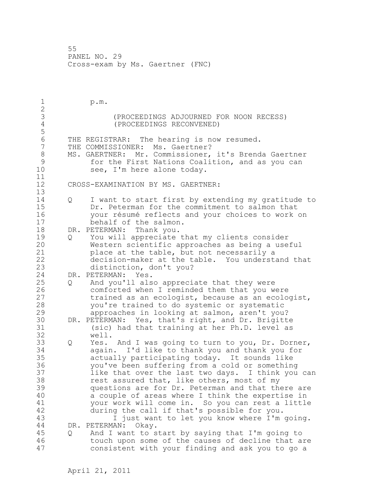1 p.m. 2 3 (PROCEEDINGS ADJOURNED FOR NOON RECESS) 4 (PROCEEDINGS RECONVENED) 5 6 THE REGISTRAR: The hearing is now resumed.<br>7 THE COMMISSIONER: Ms. Gaertner? THE COMMISSIONER: Ms. Gaertner? 8 MS. GAERTNER: Mr. Commissioner, it's Brenda Gaertner<br>9 for the First Nations Coalition, and as you can 9 for the First Nations Coalition, and as you can<br>10 see, I'm here alone todav. see, I'm here alone today. 11 12 CROSS-EXAMINATION BY MS. GAERTNER: 13 14 Q I want to start first by extending my gratitude to 15 Dr. Peterman for the commitment to salmon that 16 your résumé reflects and your choices to work on 17 behalf of the salmon. 18 DR. PETERMAN: Thank you. 19 0 You will appreciate that my clients consider<br>20 0 Western scientific approaches as being a use Western scientific approaches as being a useful 21 place at the table, but not necessarily a 22 decision-maker at the table. You understand that 23 distinction, don't you? 24 DR. PETERMAN: Yes. 25 Q And you'll also appreciate that they were 26 comforted when I reminded them that you were<br>27 trained as an ecologist, because as an ecolo trained as an ecologist, because as an ecologist, 28 you're trained to do systemic or systematic 29 approaches in looking at salmon, aren't you? 30 DR. PETERMAN: Yes, that's right, and Dr. Brigitte 31 (sic) had that training at her Ph.D. level as well. 33 Q Yes. And I was going to turn to you, Dr. Dorner, 34 again. I'd like to thank you and thank you for 35 actually participating today. It sounds like 36 you've been suffering from a cold or something 37 like that over the last two days. I think you can 38 rest assured that, like others, most of my 39 questions are for Dr. Peterman and that there are 40 a couple of areas where I think the expertise in 41 your work will come in. So you can rest a little<br>42 during the call if that's possible for you. during the call if that's possible for you. 43 I just want to let you know where I'm going. 44 DR. PETERMAN: Okay. 45 Q And I want to start by saying that I'm going to 46 touch upon some of the causes of decline that are 47 consistent with your finding and ask you to go a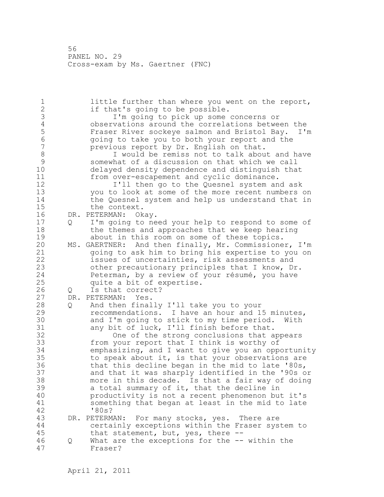1 little further than where you went on the report, 2 if that's going to be possible. 3 I'm going to pick up some concerns or<br>4 0bservations around the correlations betwee 4 observations around the correlations between the<br>5 Fraser River sockeye salmon and Bristol Bay. I' 5 Fraser River sockeye salmon and Bristol Bay. I'm 6 going to take you to both your report and the previous report by Dr. English on that. 8 I would be remiss not to talk about and have 9 somewhat of a discussion on that which we call delayed density dependence and distinguish that 11 from over-escapement and cyclic dominance. 12 I'll then go to the Quesnel system and ask 13 you to look at some of the more recent numbers on 14 the Quesnel system and help us understand that in 15 the context. 16 DR. PETERMAN: Okay. 17 Q I'm going to need your help to respond to some of 18 the themes and approaches that we keep hearing 19 about in this room on some of these topics.<br>20 MS. GAERTNER: And then finally, Mr. Commissione MS. GAERTNER: And then finally, Mr. Commissioner, I'm 21 going to ask him to bring his expertise to you on 22 issues of uncertainties, risk assessments and 23 other precautionary principles that I know, Dr. 24 Peterman, by a review of your résumé, you have 25 quite a bit of expertise. 26 Q Is that correct?<br>27 DR. PETERMAN: Yes. DR. PETERMAN: Yes. 28 Q And then finally I'll take you to your 29 recommendations. I have an hour and 15 minutes, 30 and I'm going to stick to my time period. With<br>31 any bit of luck, I'll finish before that. any bit of luck, I'll finish before that. 32 One of the strong conclusions that appears 33 from your report that I think is worthy of 34 emphasizing, and I want to give you an opportunity 35 to speak about it, is that your observations are 36 that this decline began in the mid to late '80s, 37 and that it was sharply identified in the '90s or 38 more in this decade. Is that a fair way of doing 39 a total summary of it, that the decline in 40 productivity is not a recent phenomenon but it's 41 something that began at least in the mid to late '80s? 43 DR. PETERMAN: For many stocks, yes. There are 44 certainly exceptions within the Fraser system to 45 that statement, but, yes, there -- 46 Q What are the exceptions for the -- within the 47 Fraser?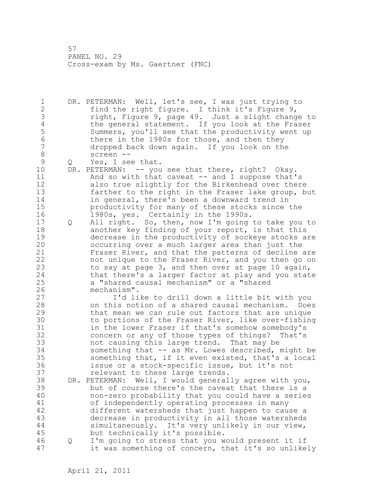1 DR. PETERMAN: Well, let's see, I was just trying to 2 find the right figure. I think it's Figure 9, 3 right, Figure 9, page 49. Just a slight change to<br>4 the general statement. If you look at the Fraser 4 the general statement. If you look at the Fraser<br>5 Summers, you'll see that the productivity went up 5 Summers, you'll see that the productivity went up<br>6 there in the 1980s for those, and then they 6 there in the 1980s for those, and then they dropped back down again. If you look on the 8 screen --<br>9 Q Yes, I se 9 Q Yes, I see that.<br>10 DR. PETERMAN: -- you DR. PETERMAN: -- you see that there, right? Okay. 11 And so with that caveat -- and I suppose that's 12 also true slightly for the Birkenhead over there 13 farther to the right in the Fraser lake group, but 14 in general, there's been a downward trend in 15 productivity for many of these stocks since the 16 1980s, yes. Certainly in the 1990s. 17 Q All right. So, then, now I'm going to take you to 18 **another key finding of your report, is that this** 19 decrease in the productivity of sockeye stocks are<br>20 occurring over a much larger area than just the occurring over a much larger area than just the 21 Fraser River, and that the patterns of decline are 22 not unique to the Fraser River, and you then go on 23 to say at page 3, and then over at page 10 again, 24 that there's a larger factor at play and you state 25 a "shared causal mechanism" or a "shared 26 mechanism".<br>27 I'd li I'd like to drill down a little bit with you 28 on this notion of a shared causal mechanism. Does 29 that mean we can rule out factors that are unique 30 to portions of the Fraser River, like over-fishing<br>31 in the lower Fraser if that's somehow somebody's in the lower Fraser if that's somehow somebody's 32 concern or any of those types of things? That's 33 not causing this large trend. That may be 34 something that -- as Mr. Lowes described, might be 35 something that, if it even existed, that's a local 36 issue or a stock-specific issue, but it's not 37 relevant to these large trends. 38 DR. PETERMAN: Well, I would generally agree with you, 39 but of course there's the caveat that there is a 40 non-zero probability that you could have a series 41 of independently operating processes in many<br>42 different watersheds that just happen to cau different watersheds that just happen to cause a 43 decrease in productivity in all those watersheds 44 simultaneously. It's very unlikely in our view, 45 but technically it's possible. 46 Q I'm going to stress that you would present it if 47 it was something of concern, that it's so unlikely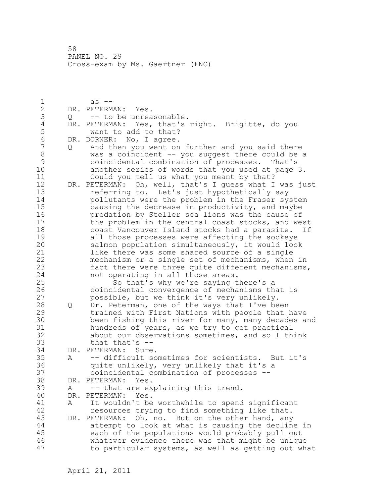1 as --<br>2 DR. PETERM DR. PETERMAN: Yes. 3 Q -- to be unreasonable.<br>4 DR. PETERMAN: Yes, that's 4 DR. PETERMAN: Yes, that's right. Brigitte, do you<br>5 want to add to that? 5 want to add to that?<br>6 DR. DORNER: No, I agree. 6 DR. DORNER: No, I agree.<br>7 0 And then you went on 7 Q And then you went on further and you said there 8 was a coincident -- you suggest there could be a<br>9 coincidental combination of processes. That's 9 coincidental combination of processes. That's another series of words that you used at page 3. 11 Could you tell us what you meant by that? 12 DR. PETERMAN: Oh, well, that's I guess what I was just 13 referring to. Let's just hypothetically say 14 pollutants were the problem in the Fraser system 15 causing the decrease in productivity, and maybe 16 predation by Steller sea lions was the cause of 17 the problem in the central coast stocks, and west 18 coast Vancouver Island stocks had a parasite. If 19 all those processes were affecting the sockeye<br>20 salmon population simultaneously, it would loo! salmon population simultaneously, it would look 21 like there was some shared source of a single 22 mechanism or a single set of mechanisms, when in 23 fact there were three quite different mechanisms, 24 not operating in all those areas. 25 So that's why we're saying there's a 26 coincidental convergence of mechanisms that is<br>27 possible, but we think it's very unlikely. possible, but we think it's very unlikely. 28 Q Dr. Peterman, one of the ways that I've been 29 trained with First Nations with people that have 30 been fishing this river for many, many decades and<br>31 hundreds of vears, as we try to get practical hundreds of years, as we try to get practical 32 about our observations sometimes, and so I think 33 that that's -- 34 DR. PETERMAN: Sure. 35 A -- difficult sometimes for scientists. But it's 36 quite unlikely, very unlikely that it's a 37 coincidental combination of processes -- 38 DR. PETERMAN: Yes. 39 A -- that are explaining this trend. 40 DR. PETERMAN: Yes. 41 A It wouldn't be worthwhile to spend significant<br>42 Tesources trving to find something like that. resources trying to find something like that. 43 DR. PETERMAN: Oh, no. But on the other hand, any 44 attempt to look at what is causing the decline in 45 each of the populations would probably pull out 46 whatever evidence there was that might be unique 47 to particular systems, as well as getting out what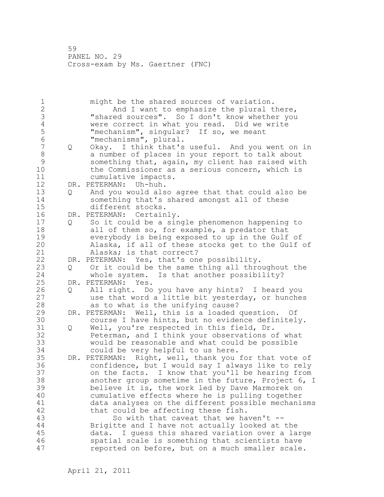1 might be the shared sources of variation.<br>2 And I want to emphasize the plural t And I want to emphasize the plural there, 3 The shared sources". So I don't know whether you<br>4 Were correct in what you read. Did we write 4 were correct in what you read. Did we write<br>5 Thechanism", singular? If so, we meant 5 "mechanism", singular? If so, we meant 6 "mechanisms", plural. 7 Q Okay. I think that's useful. And you went on in 8 a number of places in your report to talk about 9 something that, again, my client has raised with<br>10 the Commissioner as a serious concern, which is the Commissioner as a serious concern, which is 11 cumulative impacts. 12 DR. PETERMAN: Uh-huh. 13 Q And you would also agree that that could also be 14 something that's shared amongst all of these 15 different stocks. 16 DR. PETERMAN: Certainly. 17 Q So it could be a single phenomenon happening to 18 all of them so, for example, a predator that 19 everybody is being exposed to up in the Gulf of<br>20 hlaska, if all of these stocks get to the Gulf Alaska, if all of these stocks get to the Gulf of 21 Alaska; is that correct? 22 DR. PETERMAN: Yes, that's one possibility. 23 Q Or it could be the same thing all throughout the 24 whole system. Is that another possibility? 25 DR. PETERMAN: Yes. 26 Q All right. Do you have any hints? I heard you<br>27 use that word a little bit yesterday, or hunches use that word a little bit yesterday, or hunches 28 as to what is the unifying cause? 29 DR. PETERMAN: Well, this is a loaded question. Of 30 course I have hints, but no evidence definitely.<br>31 0 Well, you're respected in this field, Dr. 31 Q Well, you're respected in this field, Dr.<br>32 Determan, and I think your observations o Peterman, and I think your observations of what 33 would be reasonable and what could be possible 34 could be very helpful to us here. 35 DR. PETERMAN: Right, well, thank you for that vote of 36 confidence, but I would say I always like to rely 37 on the facts. I know that you'll be hearing from 38 another group sometime in the future, Project 6, I 39 believe it is, the work led by Dave Marmorek on 40 cumulative effects where he is pulling together 41 data analyses on the different possible mechanisms<br>42 that could be affecting these fish. that could be affecting these fish. 43 So with that caveat that we haven't -- 44 Brigitte and I have not actually looked at the 45 data. I guess this shared variation over a large 46 spatial scale is something that scientists have 47 reported on before, but on a much smaller scale.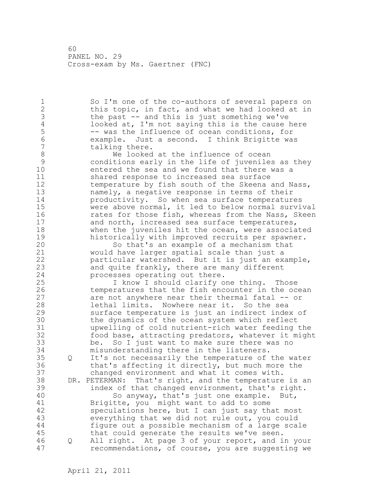1 So I'm one of the co-authors of several papers on 2 this topic, in fact, and what we had looked at in 3 the past -- and this is just something we've<br>4 looked at, I'm not saying this is the cause! 4 looked at, I'm not saying this is the cause here<br>5 -- was the influence of ocean conditions, for 5 -- was the influence of ocean conditions, for<br>6 -- example. Just a second. I think Brigitte wa 6 example. Just a second. I think Brigitte was talking there. 8 We looked at the influence of ocean<br>9 conditions early in the life of juvenile 9 conditions early in the life of juveniles as they entered the sea and we found that there was a 11 shared response to increased sea surface 12 temperature by fish south of the Skeena and Nass, 13 namely, a negative response in terms of their 14 productivity. So when sea surface temperatures 15 were above normal, it led to below normal survival 16 **rates for those fish, whereas from the Nass, Skeen** 17 and north, increased sea surface temperatures, 18 when the juveniles hit the ocean, were associated 19 historically with improved recruits per spawner.<br>20 So that's an example of a mechanism that So that's an example of a mechanism that 21 would have larger spatial scale than just a 22 particular watershed. But it is just an example, 23 and quite frankly, there are many different 24 processes operating out there. 25 I know I should clarify one thing. Those 26 temperatures that the fish encounter in the ocean<br>27 are not anywhere near their thermal fatal -- or are not anywhere near their thermal fatal -- or 28 lethal limits. Nowhere near it. So the sea 29 surface temperature is just an indirect index of 30 the dynamics of the ocean system which reflect<br>31 wheelling of cold nutrient-rich water feeding upwelling of cold nutrient-rich water feeding the 32 food base, attracting predators, whatever it might 33 be. So I just want to make sure there was no 34 misunderstanding there in the listeners. 35 Q It's not necessarily the temperature of the water 36 that's affecting it directly, but much more the 37 changed environment and what it comes with. 38 DR. PETERMAN: That's right, and the temperature is an 39 index of that changed environment, that's right. 40 So anyway, that's just one example. But, 41 Brigitte, you might want to add to some<br>42 speculations here, but I can just say the speculations here, but I can just say that most 43 everything that we did not rule out, you could 44 figure out a possible mechanism of a large scale 45 that could generate the results we've seen. 46 Q All right. At page 3 of your report, and in your 47 recommendations, of course, you are suggesting we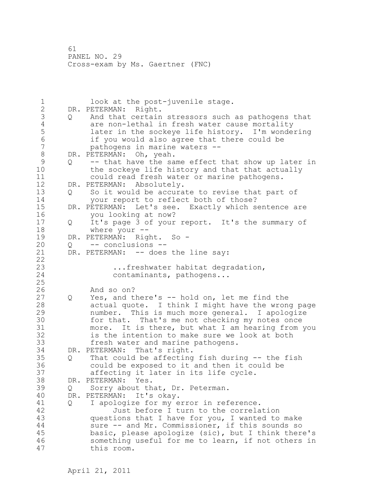1 look at the post-juvenile stage. 2 DR. PETERMAN: Right. 3 Q And that certain stressors such as pathogens that<br>4 are non-lethal in fresh water cause mortality 4 are non-lethal in fresh water cause mortality<br>5 1ater in the sockeye life history. I'm wonde 5 later in the sockeye life history. I'm wondering 6 if you would also agree that there could be<br>7 bathogens in marine waters -pathogens in marine waters --8 DR. PETERMAN: Oh, yeah.<br>9 0 -- that have the sa 9 Q -- that have the same effect that show up later in<br>10 the sockeve life history and that that actually the sockeye life history and that that actually 11 could read fresh water or marine pathogens. 12 DR. PETERMAN: Absolutely. 13 Q So it would be accurate to revise that part of 14 your report to reflect both of those? 15 DR. PETERMAN: Let's see. Exactly which sentence are 16 you looking at now? 17 Q It's page 3 of your report. It's the summary of 18 where your -- 19 DR. PETERMAN: Right. So -<br>20 0 -- conclusions --20 Q -- conclusions -- 21 DR. PETERMAN: -- does the line say: 22 23 ...freshwater habitat degradation,<br>24 contaminants, pathogens... contaminants, pathogens... 25 26 And so on?<br>27 Q Yes, and t 0 Yes, and there's -- hold on, let me find the 28 actual quote. I think I might have the wrong page 29 number. This is much more general. I apologize 30 for that. That's me not checking my notes once<br>31 more. It is there, but what I am hearing from more. It is there, but what I am hearing from you 32 is the intention to make sure we look at both 33 fresh water and marine pathogens. 34 DR. PETERMAN: That's right. 35 Q That could be affecting fish during -- the fish 36 could be exposed to it and then it could be 37 affecting it later in its life cycle. 38 DR. PETERMAN: Yes. 39 Q Sorry about that, Dr. Peterman. 40 DR. PETERMAN: It's okay. 41 Q I apologize for my error in reference.<br>42 Just before I turn to the correla Just before I turn to the correlation 43 questions that I have for you, I wanted to make 44 sure -- and Mr. Commissioner, if this sounds so 45 basic, please apologize (sic), but I think there's 46 something useful for me to learn, if not others in 47 this room.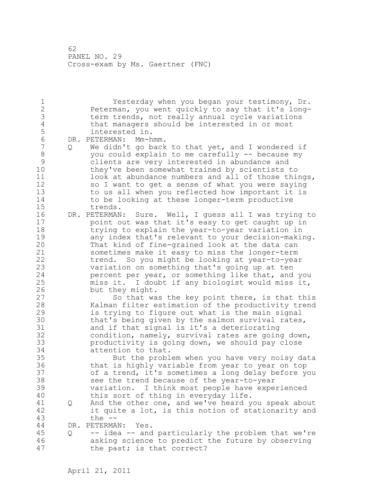1 Yesterday when you began your testimony, Dr. 2 Peterman, you went quickly to say that it's long-3 term trends, not really annual cycle variations 4 that managers should be interested in or most 5 interested in.<br>6 DR. PETERMAN: Mm-h 6 DR. PETERMAN: Mm-hmm. Q We didn't go back to that yet, and I wondered if 8 you could explain to me carefully -- because my 9 clients are very interested in abundance and<br>10 thev've been somewhat trained by scientists they've been somewhat trained by scientists to 11 look at abundance numbers and all of those things, 12 so I want to get a sense of what you were saying 13 to us all when you reflected how important it is 14 to be looking at these longer-term productive 15 trends. 16 DR. PETERMAN: Sure. Well, I guess all I was trying to 17 point out was that it's easy to get caught up in 18 trying to explain the year-to-year variation in 19 any index that's relevant to your decision-making.<br>20 That kind of fine-grained look at the data can That kind of fine-grained look at the data can 21 sometimes make it easy to miss the longer-term 22 trend. So you might be looking at year-to-year 23 variation on something that's going up at ten 24 **percent per year, or something like that, and you** 25 miss it. I doubt if any biologist would miss it, 26 but they might.<br>27 So that wa So that was the key point there, is that this 28 Kalman filter estimation of the productivity trend 29 is trying to figure out what is the main signal 30 that's being given by the salmon survival rates,<br>31 and if that signal is it's a deteriorating and if that signal is it's a deteriorating 32 condition, namely, survival rates are going down, 33 productivity is going down, we should pay close 34 attention to that. 35 But the problem when you have very noisy data 36 that is highly variable from year to year on top 37 of a trend, it's sometimes a long delay before you 38 see the trend because of the year-to-year 39 variation. I think most people have experienced 40 this sort of thing in everyday life. 41 Q And the other one, and we've heard you speak about<br>42 it quite a lot, is this notion of stationarity and it quite a lot, is this notion of stationarity and 43 the -- 44 DR. PETERMAN: Yes. 45 Q -- idea -- and particularly the problem that we're 46 asking science to predict the future by observing 47 the past; is that correct?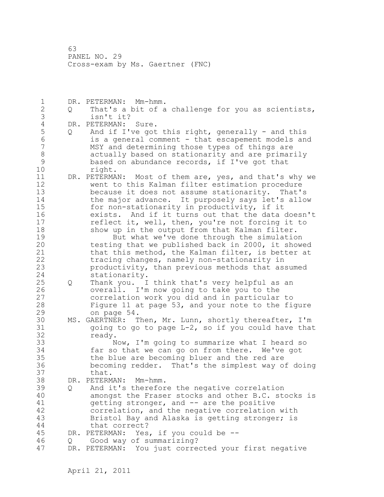1 DR. PETERMAN: Mm-hmm. 2 Q That's a bit of a challenge for you as scientists, 3 isn't it?<br>4 DR. PETERMAN: 4 DR. PETERMAN: Sure.<br>5 Q And if I've got 5 Q And if I've got this right, generally - and this<br>6 is a general comment - that escapement models and 6 is a general comment - that escapement models and MSY and determining those types of things are 8 actually based on stationarity and are primarily 9 based on abundance records, if I've got that  $10$  right. right. 11 DR. PETERMAN: Most of them are, yes, and that's why we 12 went to this Kalman filter estimation procedure 13 because it does not assume stationarity. That's 14 the major advance. It purposely says let's allow 15 for non-stationarity in productivity, if it 16 exists. And if it turns out that the data doesn't 17 reflect it, well, then, you're not forcing it to 18 show up in the output from that Kalman filter. 19 But what we've done through the simulation<br>20 testing that we published back in 2000, it show testing that we published back in 2000, it showed 21 that this method, the Kalman filter, is better at 22 tracing changes, namely non-stationarity in 23 productivity, than previous methods that assumed 24 stationarity. 25 Q Thank you. I think that's very helpful as an 26 overall. I'm now going to take you to the<br>27 correlation work you did and in particular correlation work you did and in particular to 28 Figure 11 at page 53, and your note to the figure 29 on page 54. 30 MS. GAERTNER: Then, Mr. Lunn, shortly thereafter, I'm<br>31 and any to go to page L-2, so if you could have that going to go to page  $L-2$ , so if you could have that 32 ready. 33 Now, I'm going to summarize what I heard so 34 far so that we can go on from there. We've got 35 the blue are becoming bluer and the red are 36 becoming redder. That's the simplest way of doing 37 that. 38 DR. PETERMAN: Mm-hmm. 39 Q And it's therefore the negative correlation 40 amongst the Fraser stocks and other B.C. stocks is 41 getting stronger, and -- are the positive<br>42 correlation, and the negative correlation correlation, and the negative correlation with 43 Bristol Bay and Alaska is getting stronger; is 44 that correct? 45 DR. PETERMAN: Yes, if you could be -- 46 Q Good way of summarizing? 47 DR. PETERMAN: You just corrected your first negative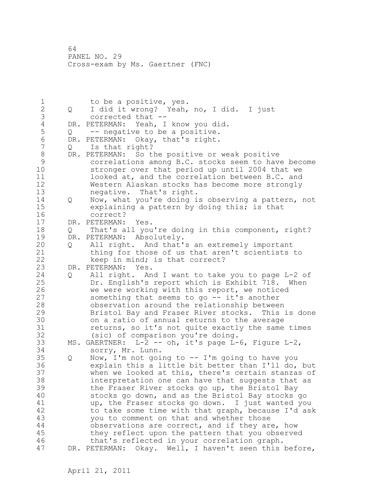1 to be a positive, yes.<br>2 0 I did it wrong? Yeah. 2 Q I did it wrong? Yeah, no, I did. I just 3 corrected that --<br>4 DR. PETERMAN: Yeah, I 4 DR. PETERMAN: Yeah, I know you did.<br>5 0 -- neqative to be a positive. 5 Q -- negative to be a positive.<br>6 DR. PETERMAN: Okav, that's right. 6 DR. PETERMAN: Okay, that's right.<br>7 0 Is that right? Q Is that right? 8 DR. PETERMAN: So the positive or weak positive<br>9 0 000 correlations among B.C. stocks seem to have 9 correlations among B.C. stocks seem to have become stronger over that period up until 2004 that we 11 looked at, and the correlation between B.C. and 12 Western Alaskan stocks has become more strongly 13 negative. That's right. 14 Q Now, what you're doing is observing a pattern, not 15 explaining a pattern by doing this; is that 16 correct? 17 DR. PETERMAN: Yes. 18 Q That's all you're doing in this component, right? 19 DR. PETERMAN: Absolutely.<br>20 0 All right. And that' 20 Q All right. And that's an extremely important 21 thing for those of us that aren't scientists to 22 keep in mind; is that correct? 23 DR. PETERMAN: Yes. 24 Q All right. And I want to take you to page L-2 of 25 Dr. English's report which is Exhibit 718. When 26 we were working with this report, we noticed<br>27 something that seems to go -- it's another something that seems to go  $-$ - it's another 28 observation around the relationship between 29 Bristol Bay and Fraser River stocks. This is done 30 on a ratio of annual returns to the average<br>31 ceturns, so it's not quite exactly the same 31 returns, so it's not quite exactly the same times<br>32 (sic) of comparison you're doing. (sic) of comparison you're doing. 33 MS. GAERTNER: L-2 -- oh, it's page L-6, Figure L-2, 34 sorry, Mr. Lunn. 35 Q Now, I'm not going to -- I'm going to have you 36 explain this a little bit better than I'll do, but 37 when we looked at this, there's certain stanzas of 38 interpretation one can have that suggests that as 39 the Fraser River stocks go up, the Bristol Bay 40 stocks go down, and as the Bristol Bay stocks go 41 up, the Fraser stocks go down. I just wanted you<br>42 to take some time with that graph, because I'd as! to take some time with that graph, because I'd ask 43 you to comment on that and whether those 44 observations are correct, and if they are, how 45 they reflect upon the pattern that you observed 46 that's reflected in your correlation graph. 47 DR. PETERMAN: Okay. Well, I haven't seen this before,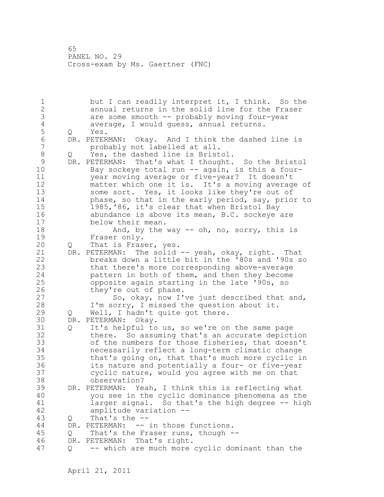1 but I can readily interpret it, I think. So the 2 annual returns in the solid line for the Fraser 3 are some smooth -- probably moving four-year<br>4 average, I would quess, annual returns. 4 average, I would guess, annual returns.<br>5 0 Yes. 5 Q Yes.<br>6 DR.PETER 6 DR. PETERMAN: Okay. And I think the dashed line is<br>7 orobably not labelled at all. probably not labelled at all. 8 Q Yes, the dashed line is Bristol.<br>9 DR. PETERMAN: That's what I thought. 9 DR. PETERMAN: That's what I thought. So the Bristol<br>10 Bay sockeve total run -- again, is this a four-Bay sockeye total run  $--$  again, is this a four-11 year moving average or five-year? It doesn't 12 matter which one it is. It's a moving average of 13 some sort. Yes, it looks like they're out of 14 **phase, so that in the early period, say, prior to** 15 1985,'86, it's clear that when Bristol Bay 16 abundance is above its mean, B.C. sockeye are 17 below their mean. 18 And, by the way -- oh, no, sorry, this is 19 Fraser only.<br>20 0 That is Fras 20 Q That is Fraser, yes. 21 DR. PETERMAN: The solid -- yeah, okay, right. That 22 breaks down a little bit in the '80s and '90s so 23 that there's more corresponding above-average 24 pattern in both of them, and then they become 25 opposite again starting in the late '90s, so 26 they're out of phase.<br>27 So, okay, now I' So, okay, now I've just described that and, 28 I'm sorry, I missed the question about it. 29 Q Well, I hadn't quite got there. 30 DR. PETERMAN: Okay. Q It's helpful to us, so we're on the same page 32 there. So assuming that's an accurate depiction 33 of the numbers for those fisheries, that doesn't 34 necessarily reflect a long-term climatic change 35 that's going on, that that's much more cyclic in 36 its nature and potentially a four- or five-year 37 cyclic nature, would you agree with me on that 38 observation? 39 DR. PETERMAN: Yeah, I think this is reflecting what 40 you see in the cyclic dominance phenomena as the 41 larger signal. So that's the high degree -- high<br>42 amplitude variation -amplitude variation --43 Q That's the -- 44 DR. PETERMAN: -- in those functions. 45 Q That's the Fraser runs, though -- 46 DR. PETERMAN: That's right. 47 Q -- which are much more cyclic dominant than the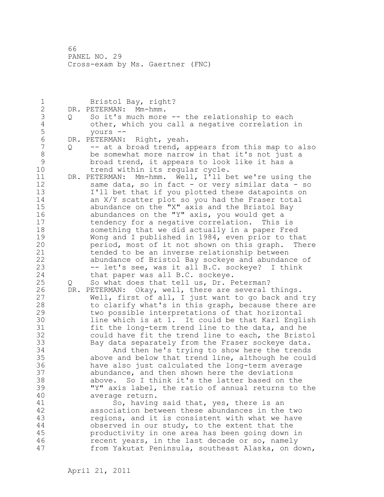1 Bristol Bay, right? 2 DR. PETERMAN: Mm-hmm. 3 Q So it's much more -- the relationship to each 4 other, which you call a negative correlation in<br>5 vours --5 yours -- 6 DR. PETERMAN: Right, yeah. -- at a broad trend, appears from this map to also 8 be somewhat more narrow in that it's not just a 9 broad trend, it appears to look like it has a<br>10 trend within its regular cycle. trend within its regular cycle. 11 DR. PETERMAN: Mm-hmm. Well, I'll bet we're using the 12 same data, so in fact - or very similar data - so 13 I'll bet that if you plotted these datapoints on 14 an X/Y scatter plot so you had the Fraser total 15 abundance on the "X" axis and the Bristol Bay 16 abundances on the "Y" axis, you would get a 17 tendency for a negative correlation. This is 18 something that we did actually in a paper Fred 19 Wong and I published in 1984, even prior to that<br>20 **period, most of it not shown on this graph.** The period, most of it not shown on this graph. There 21 tended to be an inverse relationship between 22 abundance of Bristol Bay sockeye and abundance of 23 -- let's see, was it all B.C. sockeye? I think 24 that paper was all B.C. sockeye. 25 Q So what does that tell us, Dr. Peterman? 26 DR. PETERMAN: Okay, well, there are several things.<br>27 Well, first of all, I just want to go back and Well, first of all, I just want to go back and try 28 to clarify what's in this graph, because there are 29 two possible interpretations of that horizontal 30 line which is at 1. It could be that Karl English<br>31 fit the long-term trend line to the data, and he 31 fit the long-term trend line to the data, and he<br>32 could have fit the trend line to each, the Brist could have fit the trend line to each, the Bristol 33 Bay data separately from the Fraser sockeye data. 34 And then he's trying to show here the trends 35 above and below that trend line, although he could 36 have also just calculated the long-term average 37 abundance, and then shown here the deviations 38 above. So I think it's the latter based on the 39 "Y" axis label, the ratio of annual returns to the 40 average return. 41 So, having said that, yes, there is an<br>42 association between these abundances in the association between these abundances in the two 43 regions, and it is consistent with what we have 44 observed in our study, to the extent that the 45 productivity in one area has been going down in 46 recent years, in the last decade or so, namely 47 from Yakutat Peninsula, southeast Alaska, on down,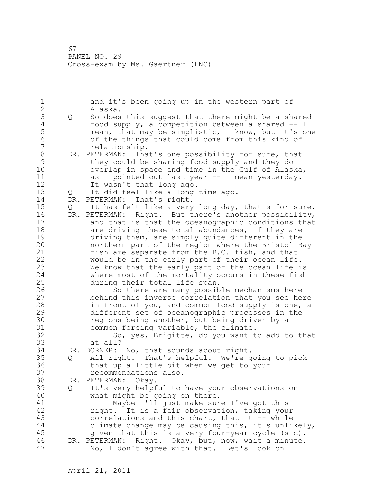1 and it's been going up in the western part of 2 Alaska. 3 Q So does this suggest that there might be a shared<br>4 food supply, a competition between a shared -- I 4 food supply, a competition between a shared -- I<br>5 mean, that may be simplistic, I know, but it's o 5 mean, that may be simplistic, I know, but it's one<br>6 6 f the things that could come from this kind of 6 of the things that could come from this kind of relationship. 8 DR. PETERMAN: That's one possibility for sure, that 9 they could be sharing food supply and they do overlap in space and time in the Gulf of Alaska, 11 as I pointed out last year -- I mean yesterday. 12 It wasn't that long ago. 13 Q It did feel like a long time ago. 14 DR. PETERMAN: That's right. 15 Q It has felt like a very long day, that's for sure. 16 DR. PETERMAN: Right. But there's another possibility, 17 and that is that the oceanographic conditions that 18 **are driving these total abundances, if they are** 19 driving them, are simply quite different in the<br>20 horthern part of the region where the Bristol B northern part of the region where the Bristol Bay 21 fish are separate from the B.C. fish, and that 22 would be in the early part of their ocean life. 23 We know that the early part of the ocean life is 24 where most of the mortality occurs in these fish 25 during their total life span. 26 So there are many possible mechanisms here<br>27 behind this inverse correlation that you see he behind this inverse correlation that you see here 28 in front of you, and common food supply is one, a 29 different set of oceanographic processes in the 30 regions being another, but being driven by a<br>31 common forcing variable, the climate. 31 common forcing variable, the climate.<br>32 So, yes, Brigitte, do you want t So, yes, Brigitte, do you want to add to that 33 at all? 34 DR. DORNER: No, that sounds about right. 35 Q All right. That's helpful. We're going to pick 36 that up a little bit when we get to your 37 recommendations also. 38 DR. PETERMAN: Okay. 39 Q It's very helpful to have your observations on 40 what might be going on there. 41 Maybe I'll just make sure I've got this<br>42 might. It is a fair observation, taking you right. It is a fair observation, taking your 43 correlations and this chart, that it -- while 44 climate change may be causing this, it's unlikely, 45 given that this is a very four-year cycle (sic). 46 DR. PETERMAN: Right. Okay, but, now, wait a minute. 47 No, I don't agree with that. Let's look on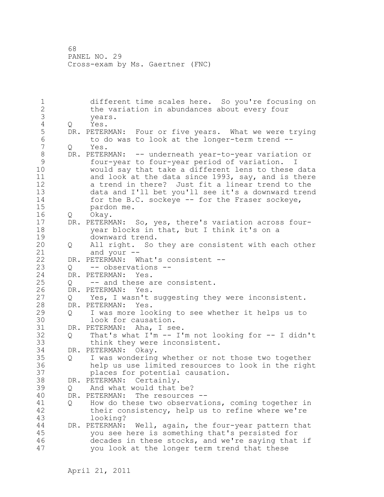1 different time scales here. So you're focusing on 2 the variation in abundances about every four 3 years.<br>4 Q Yes. 4 Q Yes.<br>5 DR. PETER 5 DR. PETERMAN: Four or five years. What we were trying<br>6 to do was to look at the longer-term trend --6 to do was to look at the longer-term trend -- 0 Yes. 8 DR. PETERMAN: -- underneath year-to-year variation or<br>9 four-vear to four-vear period of variation. I 9 four-year to four-year period of variation. I<br>10 would sav that take a different lens to these would say that take a different lens to these data 11 and look at the data since 1993, say, and is there 12 a trend in there? Just fit a linear trend to the 13 data and I'll bet you'll see it's a downward trend 14 for the B.C. sockeye -- for the Fraser sockeye,<br>15 mardon me. pardon me. 16 Q Okay. 17 DR. PETERMAN: So, yes, there's variation across four-18 year blocks in that, but I think it's on a 19 downward trend.<br>20 0 All right. So 20 Q All right. So they are consistent with each other 21 and your -- 22 DR. PETERMAN: What's consistent -- 23 Q -- observations --<br>24 DR. PETERMAN: Yes. DR. PETERMAN: Yes. 25 Q -- and these are consistent. 26 DR. PETERMAN: Yes.<br>27 0 Yes, I wasn't 27 Q Yes, I wasn't suggesting they were inconsistent.<br>28 DR. PETERMAN: Yes. DR. PETERMAN: Yes. 29 Q I was more looking to see whether it helps us to 30 100k for causation.<br>31 DR. PETERMAN: Aha, I se 31 DR. PETERMAN: Aha, I see.<br>32 O That's what I'm -- I'  $Q$  That's what I'm  $-$  I'm not looking for  $-$  I didn't 33 think they were inconsistent. 34 DR. PETERMAN: Okay. 35 Q I was wondering whether or not those two together 36 help us use limited resources to look in the right 37 places for potential causation. 38 DR. PETERMAN: Certainly. 39 Q And what would that be? 40 DR. PETERMAN: The resources -- 41 Q How do these two observations, coming together in<br>42 their consistency, help us to refine where we're their consistency, help us to refine where we're 43 looking? 44 DR. PETERMAN: Well, again, the four-year pattern that 45 you see here is something that's persisted for 46 decades in these stocks, and we're saying that if 47 you look at the longer term trend that these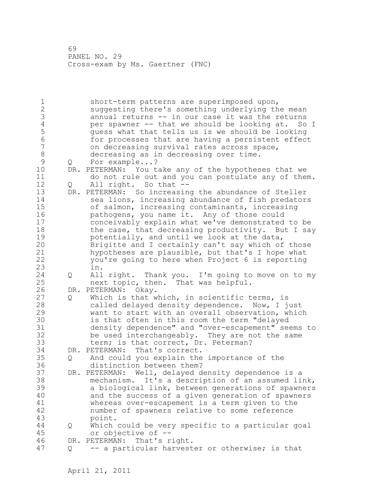1 short-term patterns are superimposed upon, 2 suggesting there's something underlying the mean 3 annual returns -- in our case it was the returns<br>4 ber spawner -- that we should be looking at. So 4 per spawner -- that we should be looking at. So I<br>5 quess what that tells us is we should be looking 5 guess what that tells us is we should be looking 6 for processes that are having a persistent effect<br>7 condecreasing survival rates across space. on decreasing survival rates across space, 8 decreasing as in decreasing over time.<br>9 0 For example...? 9 Q Forexample...?<br>10 DR.PETERMAN: Yout DR. PETERMAN: You take any of the hypotheses that we 11 do not rule out and you can postulate any of them. 12 Q All right. So that -- 13 DR. PETERMAN: So increasing the abundance of Steller 14 sea lions, increasing abundance of fish predators 15 of salmon, increasing contaminants, increasing 16 pathogens, you name it. Any of those could 17 conceivably explain what we've demonstrated to be 18 the case, that decreasing productivity. But I say 19 **potentially, and until we look at the data,**<br>20 **Brigitte and I certainly can't say which of** Brigitte and I certainly can't say which of those 21 hypotheses are plausible, but that's I hope what 22 you're going to here when Project 6 is reporting 23 in. 24 Q All right. Thank you. I'm going to move on to my 25 next topic, then. That was helpful. 26 DR. PETERMAN: Okay.<br>27 0 Which is that w 0 Which is that which, in scientific terms, is 28 called delayed density dependence. Now, I just 29 want to start with an overall observation, which 30 is that often in this room the term "delayed<br>31 density dependence" and "over-escapement" see 31 density dependence" and "over-escapement" seems to be used interchangeably. They are not the same 33 term; is that correct, Dr. Peterman? 34 DR. PETERMAN: That's correct. 35 Q And could you explain the importance of the 36 distinction between them? 37 DR. PETERMAN: Well, delayed density dependence is a 38 mechanism. It's a description of an assumed link, 39 a biological link, between generations of spawners 40 and the success of a given generation of spawners 41 whereas over-escapement is a term given to the<br>42 mumber of spawners relative to some reference number of spawners relative to some reference 43 point. 44 Q Which could be very specific to a particular goal 45 or objective of -- 46 DR. PETERMAN: That's right. 47 Q -- a particular harvester or otherwise; is that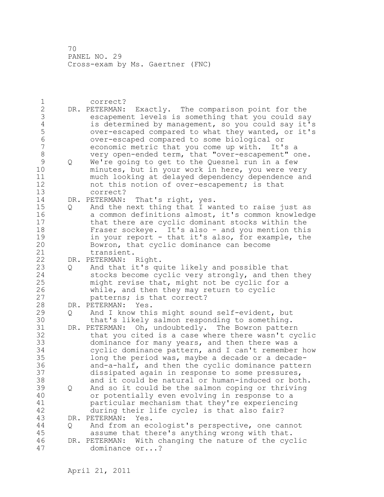1 correct? 2 DR. PETERMAN: Exactly. The comparison point for the 3 escapement levels is something that you could say<br>4 is determined by management, so you could say it's 4 is determined by management, so you could say it's<br>5 over-escaped compared to what they wanted, or it's 5 over-escaped compared to what they wanted, or it's<br>6 over-escaped compared to some biological or 6 over-escaped compared to some biological or economic metric that you come up with. It's a 8 very open-ended term, that "over-escapement" one. 9 Q We're going to get to the Quesnel run in a few<br>10 minutes, but in your work in here, you were ye minutes, but in your work in here, you were very 11 much looking at delayed dependency dependence and 12 not this notion of over-escapement; is that 13 correct? 14 DR. PETERMAN: That's right, yes. 15 Q And the next thing that I wanted to raise just as 16 a common definitions almost, it's common knowledge 17 that there are cyclic dominant stocks within the 18 Fraser sockeye. It's also - and you mention this 19 in your report - that it's also, for example, the<br>20 Bowron, that cyclic dominance can become Bowron, that cyclic dominance can become 21 transient. 22 DR. PETERMAN: Right. 23 Q And that it's quite likely and possible that 24 stocks become cyclic very strongly, and then they 25 might revise that, might not be cyclic for a 26 while, and then they may return to cyclic<br>27 batterns; is that correct? patterns; is that correct? 28 DR. PETERMAN: Yes. 29 Q And I know this might sound self-evident, but 30 that's likely salmon responding to something.<br>31 DR. PETERMAN: Oh, undoubtedly. The Bowron patter DR. PETERMAN: Oh, undoubtedly. The Bowron pattern 32 that you cited is a case where there wasn't cyclic 33 dominance for many years, and then there was a 34 cyclic dominance pattern, and I can't remember how 35 long the period was, maybe a decade or a decade-36 and-a-half, and then the cyclic dominance pattern 37 dissipated again in response to some pressures, 38 and it could be natural or human-induced or both. 39 Q And so it could be the salmon coping or thriving 40 or potentially even evolving in response to a 41 particular mechanism that they're experiencing<br>42 during their life cycle: is that also fair? during their life cycle; is that also fair? 43 DR. PETERMAN: Yes. 44 Q And from an ecologist's perspective, one cannot 45 assume that there's anything wrong with that. 46 DR. PETERMAN: With changing the nature of the cyclic 47 dominance or...?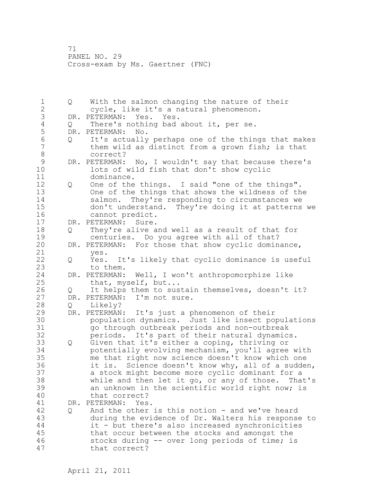1 Q With the salmon changing the nature of their 2 cycle, like it's a natural phenomenon. 3 DR. PETERMAN: Yes. Yes.<br>4 0 There's nothing bad 4 Q There's nothing bad about it, per se.<br>5 DR. PETERMAN: No. 5 DR. PETERMAN: No.<br>6 0 It's actually 6 Q It's actually perhaps one of the things that makes<br>7 them wild as distinct from a grown fish: is that them wild as distinct from a grown fish; is that 8 correct?<br>9 DR. PETERMAN: 9 DR. PETERMAN: No, I wouldn't say that because there's<br>10 10 10ts of wild fish that don't show cyclic lots of wild fish that don't show cyclic 11 dominance. 12 Q One of the things. I said "one of the things". 13 One of the things that shows the wildness of the 14 salmon. They're responding to circumstances we 15 don't understand. They're doing it at patterns we 16 cannot predict. 17 DR. PETERMAN: Sure. 18 Q They're alive and well as a result of that for 19 centuries. Do you agree with all of that?<br>20 DR. PETERMAN: For those that show cyclic domin DR. PETERMAN: For those that show cyclic dominance, 21 yes. 22 Q Yes. It's likely that cyclic dominance is useful 23 to them. 24 DR. PETERMAN: Well, I won't anthropomorphize like 25 that, myself, but... 26 Q It helps them to sustain themselves, doesn't it?<br>27 DR. PETERMAN: I'm not sure. DR. PETERMAN: I'm not sure. 28 Q Likely? 29 DR. PETERMAN: It's just a phenomenon of their 30 population dynamics. Just like insect populations 31 go through outbreak periods and non-outbreak periods. It's part of their natural dynamics. 33 Q Given that it's either a coping, thriving or 34 potentially evolving mechanism, you'll agree with 35 me that right now science doesn't know which one 36 it is. Science doesn't know why, all of a sudden, 37 a stock might become more cyclic dominant for a 38 while and then let it go, or any of those. That's 39 an unknown in the scientific world right now; is 40 that correct? 41 DR. PETERMAN: Yes.<br>42 0 And the other 42 Q And the other is this notion - and we've heard 43 during the evidence of Dr. Walters his response to 44 it - but there's also increased synchronicities 45 that occur between the stocks and amongst the 46 stocks during -- over long periods of time; is 47 that correct?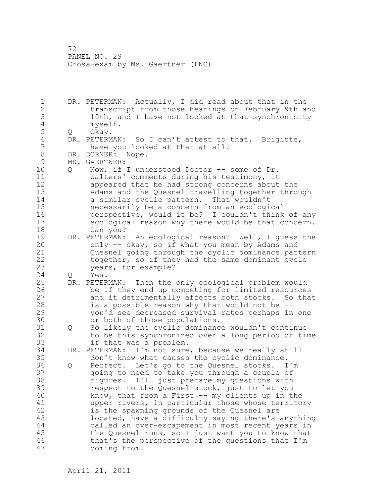1 DR. PETERMAN: Actually, I did read about that in the 2 transcript from those hearings on February 9th and 3 10th, and I have not looked at that synchronicity 4 myself.<br>5 Q Okay. 5 Q Okay.<br>6 DR.PETERM 6 DR. PETERMAN: So I can't attest to that. Brigitte,<br>7 have you looked at that at all? have you looked at that at all? 8 DR. DORNER: Nope.<br>9 MS. GAERTNER: 9 MS. GAERTNER:<br>10 0 Now. if 10 Q Now, if I understood Doctor -- some of Dr. 11 Walters' comments during his testimony, it 12 appeared that he had strong concerns about the 13 Adams and the Quesnel travelling together through 14 a similar cyclic pattern. That wouldn't 15 necessarily be a concern from an ecological 16 perspective, would it be? I couldn't think of any 17 ecological reason why there would be that concern. 18 Can you? 19 DR. PETERMAN: An ecological reason? Well, I guess the<br>20 0nly -- okay, so if what you mean by Adams and only -- okay, so if what you mean by Adams and 21 Quesnel going through the cyclic dominance pattern 22 together, so if they had the same dominant cycle 23 years, for example? 24 Q Yes. 25 DR. PETERMAN: Then the only ecological problem would 26 be if they end up competing for limited resources<br>27 and it detrimentally affects both stocks. So tha and it detrimentally affects both stocks. So that 28 is a possible reason why that would not be -- 29 you'd see decreased survival rates perhaps in one 30 or both of those populations.<br>31 0 So likely the cyclic dominanc 31 Q So likely the cyclic dominance wouldn't continue 32 to be this synchronized over a long period of time 33 if that was a problem. 34 DR. PETERMAN: I'm not sure, because we really still 35 don't know what causes the cyclic dominance. 36 Q Perfect. Let's go to the Quesnel stocks. I'm 37 going to need to take you through a couple of 38 figures. I'll just preface my questions with 39 respect to the Quesnel stock, just to let you 40 know, that from a First -- my clients up in the 41 upper rivers, in particular those whose territory<br>42 is the spawning grounds of the Quesnel are is the spawning grounds of the Quesnel are 43 located, have a difficulty saying there's anything 44 called an over-escapement in most recent years in 45 the Quesnel runs, so I just want you to know that 46 that's the perspective of the questions that I'm 47 coming from.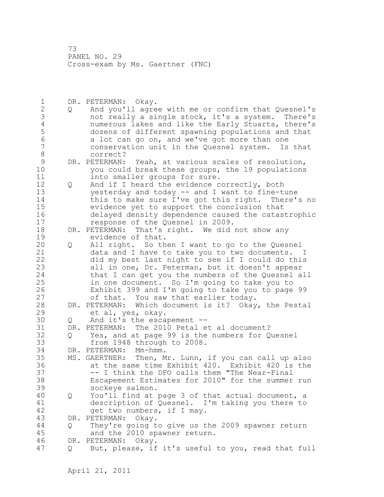1 DR. PETERMAN: Okay. 2 Q And you'll agree with me or confirm that Quesnel's 3 not really a single stock, it's a system. There's 4 numerous lakes and like the Early Stuarts, there's<br>5 dozens of different spawning populations and that 5 dozens of different spawning populations and that 6 a lot can go on, and we've got more than one conservation unit in the Quesnel system. Is that 8 correct? 9 DR. PETERMAN: Yeah, at various scales of resolution,<br>10 vou could break these groups, the 19 populations you could break these groups, the 19 populations 11 into smaller groups for sure. 12 Q And if I heard the evidence correctly, both 13 yesterday and today -- and I want to fine-tune 14 this to make sure I've got this right. There's no 15 evidence yet to support the conclusion that 16 delayed density dependence caused the catastrophic 17 response of the Quesnel in 2009. 18 DR. PETERMAN: That's right. We did not show any 19 evidence of that.<br>20 0 All right. So th 20 Q All right. So then I want to go to the Quesnel 21 data and I have to take you to two documents. I 22 did my best last night to see if I could do this 23 all in one, Dr. Peterman, but it doesn't appear 24 that I can get you the numbers of the Quesnel all 25 in one document. So I'm going to take you to 26 Exhibit 399 and I'm going to take you to page 99<br>27 of that. You saw that earlier today. of that. You saw that earlier today. 28 DR. PETERMAN: Which document is it? Okay, the Pestal 29 et al, yes, okay. 30 Q And it's the escapement --<br>31 DR. PETERMAN: The 2010 Petal e DR. PETERMAN: The 2010 Petal et al document? 32 Q Yes, and at page 99 is the numbers for Quesnel 33 from 1948 through to 2008. 34 DR. PETERMAN: Mm-hmm. 35 MS. GAERTNER: Then, Mr. Lunn, if you can call up also 36 at the same time Exhibit 420. Exhibit 420 is the 37 -- I think the DFO calls them "The Near-Final 38 Escapement Estimates for 2010" for the summer run 39 sockeye salmon. 40 Q You'll find at page 3 of that actual document, a 41 description of Quesnel. I'm taking you there to<br>42 oet two numbers, if I mav. get two numbers, if I may. 43 DR. PETERMAN: Okay. 44 Q They're going to give us the 2009 spawner return 45 and the 2010 spawner return. 46 DR. PETERMAN: Okay. 47 Q But, please, if it's useful to you, read that full

April 21, 2011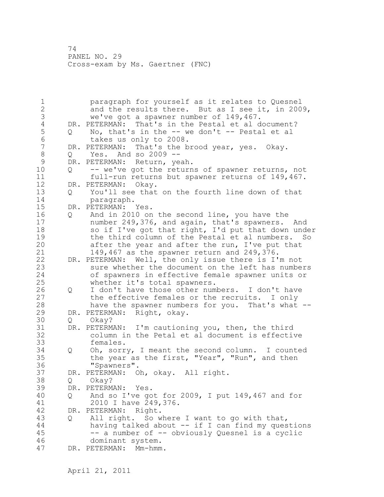1 paragraph for yourself as it relates to Quesnel 2 and the results there. But as I see it, in 2009, 3 we've got a spawner number of 149,467.<br>4 DR. PETERMAN: That's in the Pestal et ald 4 DR. PETERMAN: That's in the Pestal et al document?<br>5 0 No, that's in the -- we don't -- Pestal et al 5 Q No, that's in the -- we don't -- Pestal et al<br>6 takes us only to 2008. 6 takes us only to 2008.<br>7 DR. PETERMAN: That's the b DR. PETERMAN: That's the brood year, yes. Okay. 8 Q Yes. And so 2009 --<br>9 DR. PETERMAN: Return, ve 9 DR. PETERMAN: Return, yeah.<br>10 0 -- we've got the return 10 Q -- we've got the returns of spawner returns, not 11 full-run returns but spawner returns of 149,467. 12 DR. PETERMAN: Okay. 13 Q You'll see that on the fourth line down of that 14 paragraph. 15 DR. PETERMAN: Yes. 16 Q And in 2010 on the second line, you have the 17 number 249,376, and again, that's spawners. And 18 so if I've got that right, I'd put that down under 19 the third column of the Pestal et al numbers. So<br>20 after the year and after the run, I've put that after the year and after the run, I've put that 21 149,467 as the spawner return and 249,376. 22 DR. PETERMAN: Well, the only issue there is I'm not 23 sure whether the document on the left has numbers 24 of spawners in effective female spawner units or 25 whether it's total spawners. 26 Q I don't have those other numbers. I don't have<br>27 the effective females or the recruits. I only the effective females or the recruits. I only 28 have the spawner numbers for you. That's what -- 29 DR. PETERMAN: Right, okay. 30 Q Okay?<br>31 DR. PETERM 31 DR. PETERMAN: I'm cautioning you, then, the third<br>32 6 Column in the Petal et al document is effection column in the Petal et al document is effective 33 females. 34 Q Oh, sorry, I meant the second column. I counted 35 the year as the first, "Year", "Run", and then 36 "Spawners". 37 DR. PETERMAN: Oh, okay. All right. 38 Q Okay? 39 DR. PETERMAN: Yes. 40 Q And so I've got for 2009, I put 149,467 and for 41 2010 I have 249,376.<br>42 DR. PETERMAN: Right. DR. PETERMAN: Right. 43 Q All right. So where I want to go with that, 44 having talked about -- if I can find my questions 45 -- a number of -- obviously Quesnel is a cyclic 46 dominant system. 47 DR. PETERMAN: Mm-hmm.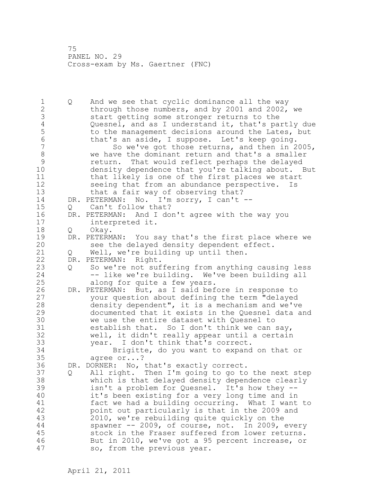1 Q And we see that cyclic dominance all the way 2 through those numbers, and by 2001 and 2002, we 3 start getting some stronger returns to the<br>4 Quesnel, and as I understand it, that's pay 4 Quesnel, and as I understand it, that's partly due<br>5 to the management decisions around the Lates, but 5 to the management decisions around the Lates, but<br>6 that's an aside, I suppose. Let's keep going. 6 that's an aside, I suppose. Let's keep going. So we've got those returns, and then in 2005, 8 we have the dominant return and that's a smaller<br>9 seturn. That would reflect perhaps the delayed 9 10 return. That would reflect perhaps the delayed<br>10 10 density dependence that you're talking about. I density dependence that you're talking about. But 11 that likely is one of the first places we start 12 seeing that from an abundance perspective. Is 13 that a fair way of observing that? 14 DR. PETERMAN: No. I'm sorry, I can't -- 15 Q Can't follow that? 16 DR. PETERMAN: And I don't agree with the way you 17 interpreted it. 18 Q Okay. 19 DR. PETERMAN: You say that's the first place where we<br>20 see the delayed density dependent effect. see the delayed density dependent effect. 21 Q Well, we're building up until then. 22 DR. PETERMAN: Right. 23 Q So we're not suffering from anything causing less 24 -- like we're building. We've been building all 25 along for quite a few years. 26 DR. PETERMAN: But, as I said before in response to<br>27 vour question about defining the term "delayed your question about defining the term "delayed 28 density dependent", it is a mechanism and we've 29 documented that it exists in the Quesnel data and 30 we use the entire dataset with Quesnel to<br>31 establish that. So I don't think we can establish that. So I don't think we can say, 32 well, it didn't really appear until a certain 33 year. I don't think that's correct. 34 Brigitte, do you want to expand on that or 35 agree or...? 36 DR. DORNER: No, that's exactly correct. 37 Q All right. Then I'm going to go to the next step 38 which is that delayed density dependence clearly 39 isn't a problem for Quesnel. It's how they -- 40 it's been existing for a very long time and in 41 fact we had a building occurring. What I want to<br>42 boint out particularly is that in the 2009 and point out particularly is that in the 2009 and 43 2010, we're rebuilding quite quickly on the 44 spawner -- 2009, of course, not. In 2009, every 45 stock in the Fraser suffered from lower returns. 46 But in 2010, we've got a 95 percent increase, or 47 so, from the previous year.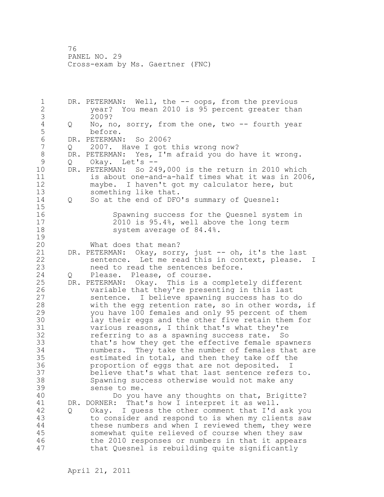1 DR. PETERMAN: Well, the -- oops, from the previous 2 year? You mean 2010 is 95 percent greater than 3 2009?<br>4 Q No, no 4 Q No, no, sorry, from the one, two -- fourth year 5 before.<br>6 DR. PETERMAN 6 DR. PETERMAN: So 2006? Q 2007. Have I got this wrong now? 8 DR. PETERMAN: Yes, I'm afraid you do have it wrong.<br>9 0 Okav. Let's --9 Q Okay. Let's --<br>10 DR. PETERMAN: So 249 DR. PETERMAN: So 249,000 is the return in 2010 which 11 is about one-and-a-half times what it was in 2006, 12 maybe. I haven't got my calculator here, but 13 something like that. 14 Q So at the end of DFO's summary of Quesnel: 15 16 Spawning success for the Quesnel system in 17 2010 is 95.4%, well above the long term 18 system average of 84.4%.  $\begin{array}{c} 19 \\ 20 \end{array}$ What does that mean? 21 DR. PETERMAN: Okay, sorry, just -- oh, it's the last 22 sentence. Let me read this in context, please. I 23 need to read the sentences before. 24 Q Please. Please, of course. 25 DR. PETERMAN: Okay. This is a completely different 26 variable that they're presenting in this last<br>27 sentence. I believe spawning success has to sentence. I believe spawning success has to do 28 with the egg retention rate, so in other words, if 29 you have 100 females and only 95 percent of them 30 lay their eggs and the other five retain them for<br>31 various reasons, I think that's what they're 31 various reasons, I think that's what they're<br>32 referring to as a spawning success rate. So referring to as a spawning success rate. So 33 that's how they get the effective female spawners 34 numbers. They take the number of females that are 35 estimated in total, and then they take off the 36 proportion of eggs that are not deposited. I 37 believe that's what that last sentence refers to. 38 Spawning success otherwise would not make any 39 sense to me. 40 Do you have any thoughts on that, Brigitte? 41 DR. DORNER: That's how I interpret it as well.<br>42 O Okav. I quess the other comment that I'd 42 Q Okay. I guess the other comment that I'd ask you 43 to consider and respond to is when my clients saw 44 these numbers and when I reviewed them, they were 45 somewhat quite relieved of course when they saw 46 the 2010 responses or numbers in that it appears 47 that Quesnel is rebuilding quite significantly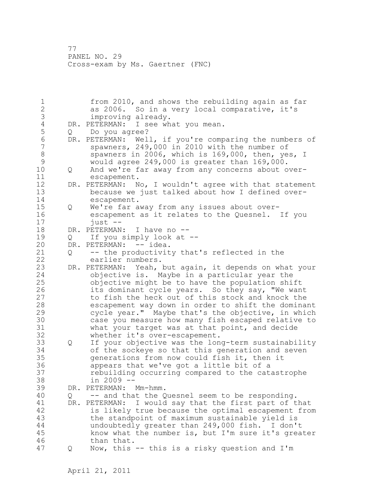1 from 2010, and shows the rebuilding again as far 2 as 2006. So in a very local comparative, it's 3 improving already.<br>4 DR. PETERMAN: I see wh 4 DR. PETERMAN: I see what you mean.<br>5 0 Do you agree? 5 Q Do you agree?<br>6 DR. PETERMAN: Wel 6 DR. PETERMAN: Well, if you're comparing the numbers of spawners, 249,000 in 2010 with the number of spawners, 249,000 in 2010 with the number of 8 spawners in 2006, which is 169,000, then, yes, I<br>9 would agree 249,000 is greater than 169,000. 9 would agree 249,000 is greater than 169,000.<br>10 0 And we're far away from any concerns about o 10 Q And we're far away from any concerns about over-11 escapement. 12 DR. PETERMAN: No, I wouldn't agree with that statement 13 because we just talked about how I defined over-14 escapement. 15 Q We're far away from any issues about over-16 escapement as it relates to the Quesnel. If you 17 just -- 18 DR. PETERMAN: I have no --19 Q If you simply look at --<br>20 DR. PETERMAN: -- idea. DR. PETERMAN: -- idea. 21 Q -- the productivity that's reflected in the 22 earlier numbers. 23 DR. PETERMAN: Yeah, but again, it depends on what your 24 objective is. Maybe in a particular year the 25 objective might be to have the population shift 26 its dominant cycle years. So they say, "We want<br>27 to fish the heck out of this stock and knock the to fish the heck out of this stock and knock the 28 escapement way down in order to shift the dominant 29 cycle year." Maybe that's the objective, in which 30 case you measure how many fish escaped relative to<br>31 what your target was at that point, and decide what your target was at that point, and decide 32 whether it's over-escapement. 33 Q If your objective was the long-term sustainability 34 of the sockeye so that this generation and seven 35 generations from now could fish it, then it 36 appears that we've got a little bit of a 37 rebuilding occurring compared to the catastrophe 38 in 2009 -- 39 DR. PETERMAN: Mm-hmm. 40 Q -- and that the Quesnel seem to be responding. 41 DR. PETERMAN: I would say that the first part of that<br>42 is likely true because the optimal escapement from is likely true because the optimal escapement from 43 the standpoint of maximum sustainable yield is 44 undoubtedly greater than 249,000 fish. I don't 45 know what the number is, but I'm sure it's greater 46 than that. 47 Q Now, this -- this is a risky question and I'm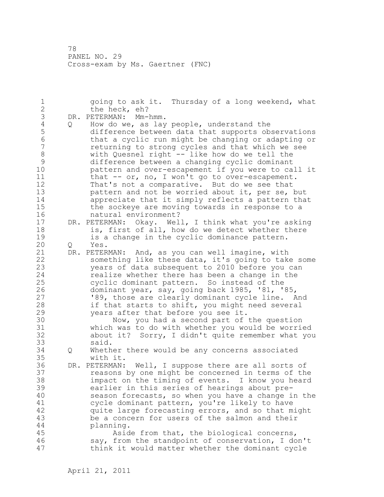1 going to ask it. Thursday of a long weekend, what 2 the heck, eh? 3 DR. PETERMAN: Mm-hmm.<br>4 Q How do we, as lay 4 Q How do we, as lay people, understand the<br>5 difference between data that supports ob. 5 difference between data that supports observations 6 that a cyclic run might be changing or adapting or returning to strong cycles and that which we see 8 with Quesnel right -- like how do we tell the 9 difference between a changing cyclic dominant pattern and over-escapement if you were to call it 11 that -- or, no, I won't go to over-escapement. 12 That's not a comparative. But do we see that 13 pattern and not be worried about it, per se, but 14 appreciate that it simply reflects a pattern that 15 the sockeye are moving towards in response to a 16 natural environment? 17 DR. PETERMAN: Okay. Well, I think what you're asking 18 is, first of all, how do we detect whether there 19 is a change in the cyclic dominance pattern.<br>20 0 Yes. 20 Q Yes. 21 DR. PETERMAN: And, as you can well imagine, with 22 something like these data, it's going to take some 23 years of data subsequent to 2010 before you can 24 realize whether there has been a change in the 25 cyclic dominant pattern. So instead of the 26 dominant year, say, going back 1985, '81, '85,<br>27 '89, those are clearly dominant cycle line. A '89, those are clearly dominant cycle line. And 28 if that starts to shift, you might need several 29 years after that before you see it. 30 Now, you had a second part of the question<br>31 which was to do with whether you would be worrie which was to do with whether you would be worried 32 about it? Sorry, I didn't quite remember what you 33 said. 34 Q Whether there would be any concerns associated 35 with it. 36 DR. PETERMAN: Well, I suppose there are all sorts of 37 reasons by one might be concerned in terms of the 38 impact on the timing of events. I know you heard 39 earlier in this series of hearings about pre-40 season forecasts, so when you have a change in the 41 cycle dominant pattern, you're likely to have<br>42 quite large forecasting errors, and so that m quite large forecasting errors, and so that might 43 be a concern for users of the salmon and their 44 planning. 45 Aside from that, the biological concerns, 46 say, from the standpoint of conservation, I don't 47 think it would matter whether the dominant cycle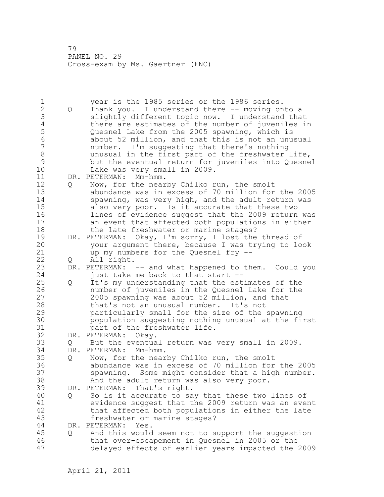1 year is the 1985 series or the 1986 series. 2 Q Thank you. I understand there -- moving onto a 3 slightly different topic now. I understand that<br>4 there are estimates of the number of juveniles i 4 there are estimates of the number of juveniles in<br>5 Quesnel Lake from the 2005 spawning, which is 5 9 Quesnel Lake from the 2005 spawning, which is<br>6 3 about 52 million, and that this is not an unu 6 about 52 million, and that this is not an unusual number. I'm suggesting that there's nothing 8 unusual in the first part of the freshwater life,<br>9 but the eventual return for iuveniles into Ouesne 9 but the eventual return for juveniles into Quesnel Lake was very small in 2009. 11 DR. PETERMAN: Mm-hmm. 12 Q Now, for the nearby Chilko run, the smolt 13 abundance was in excess of 70 million for the 2005 14 spawning, was very high, and the adult return was 15 also very poor. Is it accurate that these two 16 lines of evidence suggest that the 2009 return was 17 an event that affected both populations in either 18 the late freshwater or marine stages? 19 DR. PETERMAN: Okay, I'm sorry, I lost the thread of<br>20 vour arqument there, because I was trying to low your argument there, because I was trying to look 21 up my numbers for the Quesnel fry -- 22 0 All right. 23 DR. PETERMAN: -- and what happened to them. Could you 24 just take me back to that start -- 25 Q It's my understanding that the estimates of the 26 number of juveniles in the Quesnel Lake for the<br>27 2005 spawning was about 52 million, and that 2005 spawning was about 52 million, and that 28 that's not an unusual number. It's not 29 particularly small for the size of the spawning 30 population suggesting nothing unusual at the first 31 part of the freshwater life.<br>32 DR. PETERMAN: Okav. DR. PETERMAN: Okay. 33 Q But the eventual return was very small in 2009. 34 DR. PETERMAN: Mm-hmm. 35 Q Now, for the nearby Chilko run, the smolt 36 abundance was in excess of 70 million for the 2005 37 spawning. Some might consider that a high number. 38 And the adult return was also very poor. 39 DR. PETERMAN: That's right. 40 Q So is it accurate to say that these two lines of 41 evidence suggest that the 2009 return was an event<br>42 that affected both populations in either the late that affected both populations in either the late 43 freshwater or marine stages? 44 DR. PETERMAN: Yes. 45 Q And this would seem not to support the suggestion 46 that over-escapement in Quesnel in 2005 or the 47 delayed effects of earlier years impacted the 2009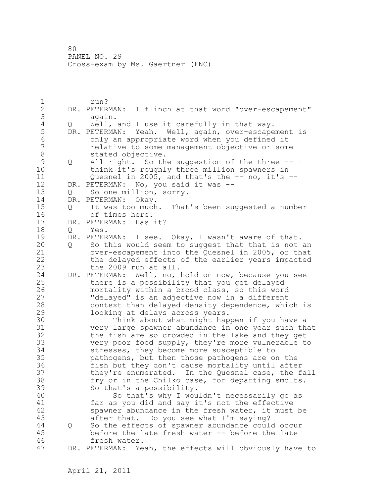1 run? 2 DR. PETERMAN: I flinch at that word "over-escapement" 3 again.<br>4 Q Well, 4 Q Well, and I use it carefully in that way.<br>5 DR. PETERMAN: Yeah. Well, again, over-escape 5 DR. PETERMAN: Yeah. Well, again, over-escapement is 6 only an appropriate word when you defined it relative to some management objective or some 8 stated objective.<br>9 0 All right. So th 9 Q All right. So the suggestion of the three -- I<br>10 think it's roughly three million spawners in think it's roughly three million spawners in 11 Quesnel in 2005, and that's the -- no, it's -- 12 DR. PETERMAN: No, you said it was -- 13 Q So one million, sorry. 14 DR. PETERMAN: Okay. 15 Q It was too much. That's been suggested a number 16 of times here. 17 DR. PETERMAN: Has it? 18 Q Yes. 19 DR. PETERMAN: I see. Okay, I wasn't aware of that.<br>20 0 So this would seem to suggest that that is not 20 Q So this would seem to suggest that that is not an 21 over-escapement into the Quesnel in 2005, or that 22 the delayed effects of the earlier years impacted 23 the 2009 run at all. 24 DR. PETERMAN: Well, no, hold on now, because you see 25 there is a possibility that you get delayed 26 mortality within a brood class, so this word<br>27 Thelayed" is an adjective now in a different "delayed" is an adjective now in a different 28 context than delayed density dependence, which is 29 looking at delays across years. 30 Think about what might happen if you have a<br>31 very large spawner abundance in one year such th 31 very large spawner abundance in one year such that the fish are so crowded in the lake and they get 33 very poor food supply, they're more vulnerable to 34 stresses, they become more susceptible to 35 pathogens, but then those pathogens are on the 36 fish but they don't cause mortality until after 37 they're enumerated. In the Quesnel case, the fall 38 fry or in the Chilko case, for departing smolts. 39 So that's a possibility. 40 So that's why I wouldn't necessarily go as 41 far as you did and say it's not the effective<br>42 spawner abundance in the fresh water, it must spawner abundance in the fresh water, it must be 43 after that. Do you see what I'm saying? 44 Q So the effects of spawner abundance could occur 45 before the late fresh water -- before the late 46 fresh water. 47 DR. PETERMAN: Yeah, the effects will obviously have to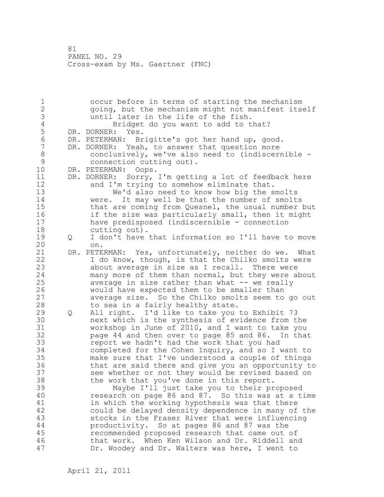1 occur before in terms of starting the mechanism 2 going, but the mechanism might not manifest itself 3 until later in the life of the fish.<br>4 Bridget do you want to add to t 4 Bridget do you want to add to that?<br>5 DR. DORNER: Yes. 5 DR. DORNER: Yes.<br>6 DR. PETERMAN: Br 6 DR. PETERMAN: Brigitte's got her hand up, good. DR. DORNER: Yeah, to answer that question more 8 conclusively, we've also need to (indiscernible - 9 connection cutting out).<br>10 DR. PETERMAN: Oops. DR. PETERMAN: Oops. 11 DR. DORNER: Sorry, I'm getting a lot of feedback here 12 and I'm trying to somehow eliminate that. 13 We'd also need to know how big the smolts 14 were. It may well be that the number of smolts 15 that are coming from Quesnel, the usual number but 16 if the size was particularly small, then it might 17 have predisposed (indiscernible - connection 18 cutting out). 19 Q I don't have that information so I'll have to move 20 20 on. 21 DR. PETERMAN: Yes, unfortunately, neither do we. What 22 I do know, though, is that the Chilko smolts were 23 about average in size as I recall. There were 24 many more of them than normal, but they were about 25 average in size rather than what -- we really 26 would have expected them to be smaller than<br>27 average size. So the Chilko smolts seem to average size. So the Chilko smolts seem to go out 28 to sea in a fairly healthy state. 29 Q All right. I'd like to take you to Exhibit 73 30 0 10 next which is the synthesis of evidence from the<br>31 0 workshop in June of 2010, and I want to take you workshop in June of 2010, and I want to take you 32 page 44 and then over to page 85 and 86. In that 33 report we hadn't had the work that you had 34 completed for the Cohen Inquiry, and so I want to 35 make sure that I've understood a couple of things 36 that are said there and give you an opportunity to 37 see whether or not they would be revised based on 38 the work that you've done in this report. 39 Maybe I'll just take you to their proposed 40 research on page 86 and 87. So this was at a time 41 in which the working hypothesis was that there<br>42 could be delayed density dependence in many of could be delayed density dependence in many of the 43 stocks in the Fraser River that were influencing 44 productivity. So at pages 86 and 87 was the 45 recommended proposed research that came out of 46 that work. When Ken Wilson and Dr. Riddell and 47 Dr. Woodey and Dr. Walters was here, I went to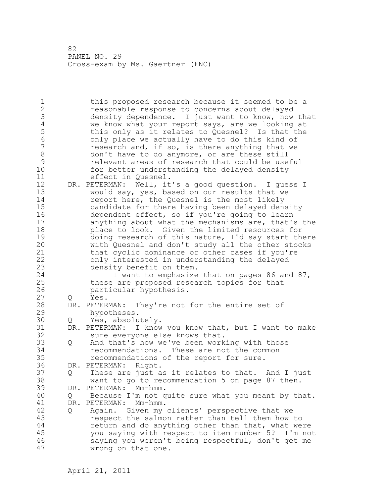1 this proposed research because it seemed to be a 2 reasonable response to concerns about delayed 3 density dependence. I just want to know, now that<br>4 we know what your report says, are we looking at 4 we know what your report says, are we looking at<br>5 this only as it relates to Quesnel? Is that the 5 this only as it relates to Quesnel? Is that the<br>6 only place we actually have to do this kind of 6 only place we actually have to do this kind of research and, if so, is there anything that we 8 don't have to do anymore, or are these still<br>9 second relevant areas of research that could be use 9 elevant areas of research that could be useful<br>10 for better understanding the delaved density for better understanding the delayed density 11 effect in Quesnel. 12 DR. PETERMAN: Well, it's a good question. I guess I 13 would say, yes, based on our results that we<br>14 ment here, the Ouesnel is the most likely report here, the Quesnel is the most likely 15 candidate for there having been delayed density 16 dependent effect, so if you're going to learn 17 anything about what the mechanisms are, that's the 18 place to look. Given the limited resources for 19 doing research of this nature, I'd say start there<br>20 with Quesnel and don't study all the other stocks with Quesnel and don't study all the other stocks 21 that cyclic dominance or other cases if you're 22 only interested in understanding the delayed 23 density benefit on them. 24 I want to emphasize that on pages 86 and 87, 25 these are proposed research topics for that 26 particular hypothesis.<br>27 0 Yes. Q Yes. 28 DR. PETERMAN: They're not for the entire set of 29 hypotheses. 30 Q Yes, absolutely. DR. PETERMAN: I know you know that, but I want to make 32 sure everyone else knows that. 33 Q And that's how we've been working with those 34 recommendations. These are not the common 35 recommendations of the report for sure. 36 DR. PETERMAN: Right. 37 Q These are just as it relates to that. And I just 38 want to go to recommendation 5 on page 87 then. 39 DR. PETERMAN: Mm-hmm. 40 Q Because I'm not quite sure what you meant by that. 41 DR. PETERMAN: Mm-hmm.<br>42 O Again. Given my 42 Q Again. Given my clients' perspective that we 43 respect the salmon rather than tell them how to 44 **return and do anything other than that, what were** 45 you saying with respect to item number 5? I'm not 46 saying you weren't being respectful, don't get me 47 wrong on that one.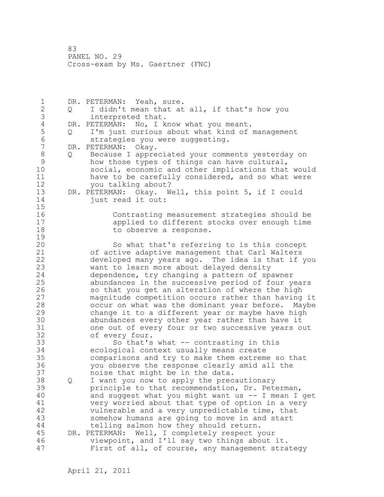1 DR. PETERMAN: Yeah, sure. 2 Q I didn't mean that at all, if that's how you 3 interpreted that.<br>4 DR. PETERMAN: No, I k 4 DR. PETERMAN: No, I know what you meant.<br>5 Q I'm just curious about what kind of 5 Q I'm just curious about what kind of management<br>6 Strategies vou were suggesting. 6 strategies you were suggesting.<br>7 DR. PETERMAN: Okav. DR. PETERMAN: Okay. 8 Q Because I appreciated your comments yesterday on 9 how those types of things can have cultural,<br>10 social, economic and other implications that social, economic and other implications that would 11 have to be carefully considered, and so what were 12 you talking about? 13 DR. PETERMAN: Okay. Well, this point 5, if I could 14 just read it out: 15 16 Contrasting measurement strategies should be 17 applied to different stocks over enough time 18 to observe a response.  $\begin{array}{c} 19 \\ 20 \end{array}$ So what that's referring to is this concept 21 of active adaptive management that Carl Walters 22 developed many years ago. The idea is that if you 23 want to learn more about delayed density 24 dependence, try changing a pattern of spawner 25 abundances in the successive period of four years 26 so that you get an alteration of where the high<br>27 magnitude competition occurs rather than having magnitude competition occurs rather than having it 28 occur on what was the dominant year before. Maybe 29 change it to a different year or maybe have high 30 abundances every other year rather than have it 31 one out of every four or two successive years out 32 of every four. 33 So that's what -- contrasting in this 34 ecological context usually means create 35 comparisons and try to make them extreme so that 36 you observe the response clearly amid all the 37 noise that might be in the data. 38 Q I want you now to apply the precautionary 39 principle to that recommendation, Dr. Peterman, 40 and suggest what you might want us -- I mean I get 41 very worried about that type of option in a very<br>42 vulnerable and a very unpredictable time, that vulnerable and a very unpredictable time, that 43 somehow humans are going to move in and start 44 telling salmon how they should return. 45 DR. PETERMAN: Well, I completely respect your 46 viewpoint, and I'll say two things about it. 47 First of all, of course, any management strategy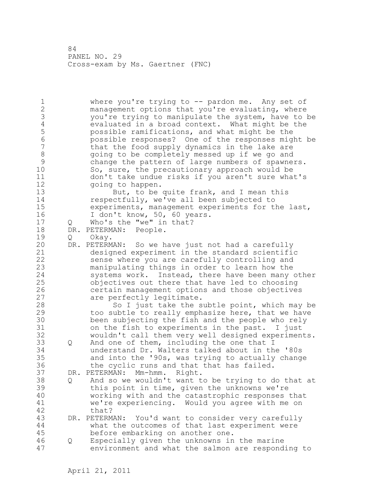1 where you're trying to -- pardon me. Any set of 2 management options that you're evaluating, where 3 you're trying to manipulate the system, have to be 4 evaluated in a broad context. What might be the<br>5 bossible ramifications, and what might be the 5 possible ramifications, and what might be the 6 possible responses? One of the responses might be that the food supply dynamics in the lake are 8 going to be completely messed up if we go and<br>9 change the pattern of large numbers of spawne 9 change the pattern of large numbers of spawners.<br>10 So, sure, the precautionary approach would be So, sure, the precautionary approach would be 11 don't take undue risks if you aren't sure what's 12 going to happen. 13 But, to be quite frank, and I mean this 14 respectfully, we've all been subjected to 15 experiments, management experiments for the last, 16 I don't know, 50, 60 years. 17 Q Who's the "we" in that? 18 DR. PETERMAN: People. 19 Q Okay.<br>20 DR. PETERM DR. PETERMAN: So we have just not had a carefully 21 designed experiment in the standard scientific 22 sense where you are carefully controlling and 23 manipulating things in order to learn how the 24 systems work. Instead, there have been many other 25 objectives out there that have led to choosing 26 certain management options and those objectives<br>27 are perfectly legitimate. are perfectly legitimate. 28 So I just take the subtle point, which may be 29 too subtle to really emphasize here, that we have 30 been subjecting the fish and the people who rely<br>31 on the fish to experiments in the past. I just on the fish to experiments in the past. I just 32 wouldn't call them very well designed experiments. 33 Q And one of them, including the one that I 34 understand Dr. Walters talked about in the '80s 35 and into the '90s, was trying to actually change 36 the cyclic runs and that that has failed. 37 DR. PETERMAN: Mm-hmm. Right. 38 Q And so we wouldn't want to be trying to do that at 39 this point in time, given the unknowns we're 40 working with and the catastrophic responses that 41 we're experiencing. Would you agree with me on that?<br>DR. PETERMAN: 43 DR. PETERMAN: You'd want to consider very carefully 44 what the outcomes of that last experiment were 45 before embarking on another one. 46 Q Especially given the unknowns in the marine 47 environment and what the salmon are responding to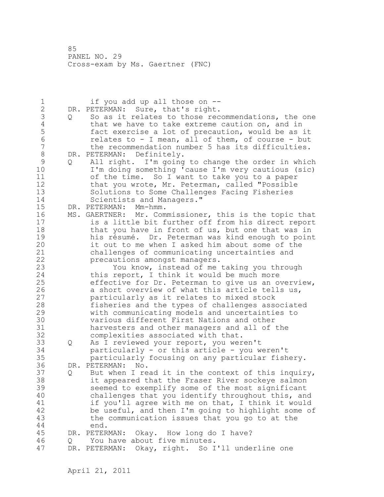1 if you add up all those on -- 2 DR. PETERMAN: Sure, that's right. 3 Q So as it relates to those recommendations, the one<br>4 that we have to take extreme caution on, and in 4 that we have to take extreme caution on, and in<br>5 fact exercise a lot of precaution, would be as: 5 fact exercise a lot of precaution, would be as it 6 relates to - I mean, all of them, of course - but the recommendation number 5 has its difficulties. 8 DR. PETERMAN: Definitely.<br>9 0 All right. I'm going 9 Q All right. I'm going to change the order in which<br>10 I'm doing something 'cause I'm yery cautious (sic) I'm doing something 'cause I'm very cautious (sic) 11 of the time. So I want to take you to a paper 12 that you wrote, Mr. Peterman, called "Possible 13 Solutions to Some Challenges Facing Fisheries 14 Scientists and Managers." 15 DR. PETERMAN: Mm-hmm. 16 MS. GAERTNER: Mr. Commissioner, this is the topic that 17 is a little bit further off from his direct report 18 that you have in front of us, but one that was in 19 his résumé. Dr. Peterman was kind enough to point<br>20 it out to me when I asked him about some of the it out to me when I asked him about some of the 21 challenges of communicating uncertainties and 22 precautions amongst managers. 23 You know, instead of me taking you through 24 this report, I think it would be much more 25 effective for Dr. Peterman to give us an overview, 26 a short overview of what this article tells us,<br>27 harticularly as it relates to mixed stock particularly as it relates to mixed stock 28 fisheries and the types of challenges associated 29 with communicating models and uncertainties to 30 various different First Nations and other harvesters and other managers and all of the 32 complexities associated with that. 33 Q As I reviewed your report, you weren't 34 particularly - or this article - you weren't 35 particularly focusing on any particular fishery. 36 DR. PETERMAN: No. 37 Q But when I read it in the context of this inquiry, 38 it appeared that the Fraser River sockeye salmon 39 seemed to exemplify some of the most significant 40 challenges that you identify throughout this, and 41 if you'll agree with me on that, I think it would<br>42 be useful, and then I'm going to highlight some ob be useful, and then I'm going to highlight some of 43 the communication issues that you go to at the 44 end. 45 DR. PETERMAN: Okay. How long do I have? 46 Q You have about five minutes. 47 DR. PETERMAN: Okay, right. So I'll underline one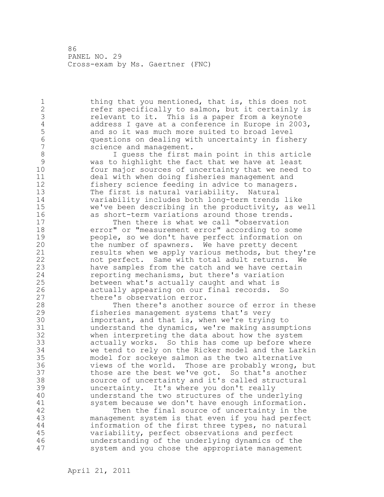1 thing that you mentioned, that is, this does not 2 refer specifically to salmon, but it certainly is 3 3 relevant to it. This is a paper from a keynote<br>4 3 address I gave at a conference in Europe in 200 4 address I gave at a conference in Europe in 2003,<br>5 and so it was much more suited to broad level 5 and so it was much more suited to broad level<br>6 questions on dealing with uncertainty in fish 6 questions on dealing with uncertainty in fishery science and management.

8 I guess the first main point in this article<br>9 was to highlight the fact that we have at least 9 was to highlight the fact that we have at least four major sources of uncertainty that we need to 11 deal with when doing fisheries management and 12 fishery science feeding in advice to managers. 13 The first is natural variability. Natural 14 variability includes both long-term trends like 15 we've been describing in the productivity, as well 16 as short-term variations around those trends.<br>17 Then there is what we call "observation

Then there is what we call "observation 18 error" or "measurement error" according to some 19 people, so we don't have perfect information on<br>20 the number of spawners. We have pretty decent the number of spawners. We have pretty decent 21 results when we apply various methods, but they're 22 not perfect. Same with total adult returns. We 23 have samples from the catch and we have certain 24 reporting mechanisms, but there's variation 25 between what's actually caught and what is 26 actually appearing on our final records. So<br>27 there's observation error. 27 there's observation error.<br>28 Then there's another

Then there's another source of error in these 29 fisheries management systems that's very 30 important, and that is, when we're trying to<br>31 understand the dynamics, we're making assump 31 understand the dynamics, we're making assumptions when interpreting the data about how the system 33 actually works. So this has come up before where 34 we tend to rely on the Ricker model and the Larkin 35 model for sockeye salmon as the two alternative 36 views of the world. Those are probably wrong, but 37 those are the best we've got. So that's another 38 source of uncertainty and it's called structural 39 uncertainty. It's where you don't really 40 understand the two structures of the underlying 41 system because we don't have enough information.<br>42 Then the final source of uncertainty in the

Then the final source of uncertainty in the 43 management system is that even if you had perfect 44 information of the first three types, no natural 45 variability, perfect observations and perfect 46 understanding of the underlying dynamics of the 47 system and you chose the appropriate management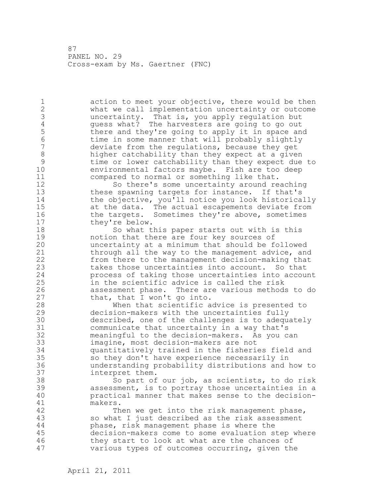1 action to meet your objective, there would be then 2 what we call implementation uncertainty or outcome 3 uncertainty. That is, you apply regulation but 4 guess what? The harvesters are going to go out<br>5 there and they're going to apply it in space an 5 there and they're going to apply it in space and<br>6 time in some manner that will probably slightly 6 time in some manner that will probably slightly<br>7 deviate from the regulations, because they get deviate from the regulations, because they get 8 higher catchability than they expect at a given<br>9 time or lower catchability than they expect due 9 time or lower catchability than they expect due to environmental factors maybe. Fish are too deep 11 compared to normal or something like that. 12 So there's some uncertainty around reaching 13 these spawning targets for instance. If that's 14 the objective, you'll notice you look historically 15 at the data. The actual escapements deviate from 16 the targets. Sometimes they're above, sometimes 17 they're below. 18 So what this paper starts out with is this 19 19 notion that there are four key sources of<br>20 mncertainty at a minimum that should be f uncertainty at a minimum that should be followed 21 through all the way to the management advice, and 22 from there to the management decision-making that 23 takes those uncertainties into account. So that 24 process of taking those uncertainties into account 25 in the scientific advice is called the risk 26 assessment phase. There are various methods to do<br>27 that, that I won't go into. that, that I won't go into. 28 When that scientific advice is presented to 29 decision-makers with the uncertainties fully 30 described, one of the challenges is to adequately 31 communicate that uncertainty in a way that's meaningful to the decision-makers. As you can 33 imagine, most decision-makers are not 34 quantitatively trained in the fisheries field and 35 so they don't have experience necessarily in 36 understanding probability distributions and how to 37 interpret them. 38 So part of our job, as scientists, to do risk 39 assessment, is to portray those uncertainties in a 40 practical manner that makes sense to the decision-41 makers.<br>42 Th Then we get into the risk management phase, 43 so what I just described as the risk assessment 44 phase, risk management phase is where the 45 decision-makers come to some evaluation step where 46 they start to look at what are the chances of 47 various types of outcomes occurring, given the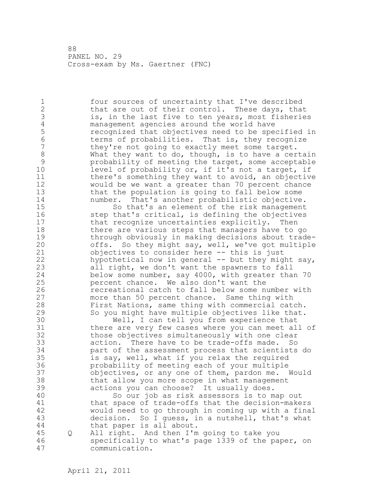1 four sources of uncertainty that I've described 2 that are out of their control. These days, that 3 is, in the last five to ten years, most fisheries<br>4 management agencies around the world have 4 management agencies around the world have<br>5 secognized that objectives need to be spe 5 recognized that objectives need to be specified in 6 terms of probabilities. That is, they recognize<br>7 they're not going to exactly meet some target. they're not going to exactly meet some target. 8 What they want to do, though, is to have a certain<br>9 probability of meeting the target, some acceptable 9 probability of meeting the target, some acceptable<br>10 level of probability or, if it's not a target, if level of probability or, if it's not a target, if 11 there's something they want to avoid, an objective 12 would be we want a greater than 70 percent chance 13 that the population is going to fall below some 14 number. That's another probabilistic objective. 15 So that's an element of the risk management 16 step that's critical, is defining the objectives 17 that recognize uncertainties explicitly. Then 18 there are various steps that managers have to go 19 through obviously in making decisions about trade-<br>20 offs. So they might say, well, we've got multiple offs. So they might say, well, we've got multiple 21 objectives to consider here -- this is just 22 hypothetical now in general -- but they might say, 23 all right, we don't want the spawners to fall 24 below some number, say 4000, with greater than 70 25 percent chance. We also don't want the 26 recreational catch to fall below some number with<br>27 more than 50 percent chance. Same thing with more than 50 percent chance. Same thing with 28 First Nations, same thing with commercial catch. 29 So you might have multiple objectives like that. 30 Well, I can tell you from experience that<br>31 there are very few cases where you can meet al there are very few cases where you can meet all of 32 those objectives simultaneously with one clear 33 action. There have to be trade-offs made. So 34 part of the assessment process that scientists do 35 is say, well, what if you relax the required 36 probability of meeting each of your multiple 37 objectives, or any one of them, pardon me. Would 38 that allow you more scope in what management 39 actions you can choose? It usually does. 40 So our job as risk assessors is to map out 41 that space of trade-offs that the decision-makers<br>42 would need to go through in coming up with a final would need to go through in coming up with a final 43 decision. So I guess, in a nutshell, that's what 44 that paper is all about. 45 Q All right. And then I'm going to take you 46 specifically to what's page 1339 of the paper, on 47 communication.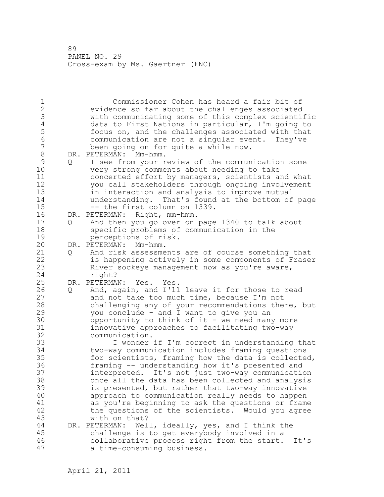1 Commissioner Cohen has heard a fair bit of 2 evidence so far about the challenges associated 3 with communicating some of this complex scientific 4 data to First Nations in particular, I'm going to<br>5 focus on, and the challenges associated with that 5 focus on, and the challenges associated with that 6 communication are not a singular event. They've been going on for quite a while now. 8 DR. PETERMAN: Mm-hmm.<br>9 0 I see from your r 9 Q I see from your review of the communication some<br>10 verv strong comments about needing to take very strong comments about needing to take 11 concerted effort by managers, scientists and what 12 you call stakeholders through ongoing involvement 13 in interaction and analysis to improve mutual 14 understanding. That's found at the bottom of page 15 -- the first column on 1339. 16 DR. PETERMAN: Right, mm-hmm. 17 Q And then you go over on page 1340 to talk about 18 specific problems of communication in the 19 perceptions of risk.<br>20 DR. PETERMAN: Mm-hmm. DR. PETERMAN: Mm-hmm. 21 Q And risk assessments are of course something that 22 is happening actively in some components of Fraser 23 River sockeye management now as you're aware, 24 right? 25 DR. PETERMAN: Yes. Yes. 26 Q And, again, and I'll leave it for those to read<br>27 and not take too much time, because I'm not and not take too much time, because I'm not 28 challenging any of your recommendations there, but 29 you conclude - and I want to give you an 30 opportunity to think of it - we need many more<br>31 innovative approaches to facilitating two-way 31 innovative approaches to facilitating two-way communication. 33 I wonder if I'm correct in understanding that 34 two-way communication includes framing questions 35 for scientists, framing how the data is collected, 36 framing -- understanding how it's presented and 37 interpreted. It's not just two-way communication 38 once all the data has been collected and analysis 39 is presented, but rather that two-way innovative 40 approach to communication really needs to happen 41 as you're beginning to ask the questions or frame<br>42 the questions of the scientists. Would you agree the questions of the scientists. Would you agree 43 with on that? 44 DR. PETERMAN: Well, ideally, yes, and I think the 45 challenge is to get everybody involved in a 46 collaborative process right from the start. It's 47 a time-consuming business.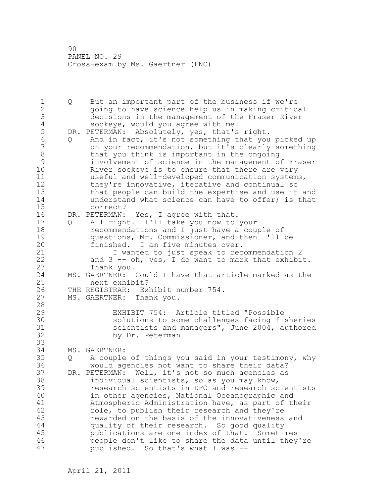1 Q But an important part of the business if we're 2 going to have science help us in making critical 3 decisions in the management of the Fraser River 4 sockeye, would you agree with me?<br>5 DR. PETERMAN: Absolutely, yes, that's 5 DR. PETERMAN: Absolutely, yes, that's right.<br>6 0 And in fact, it's not something that you 6 Q And in fact, it's not something that you picked up 7 on your recommendation, but it's clearly something 8 that you think is important in the ongoing<br>9 involvement of science in the management o 9 involvement of science in the management of Fraser River sockeye is to ensure that there are very 11 useful and well-developed communication systems, 12 they're innovative, iterative and continual so 13 that people can build the expertise and use it and 14 understand what science can have to offer; is that 15 correct? 16 DR. PETERMAN: Yes, I agree with that. 17 Q All right. I'll take you now to your 18 recommendations and I just have a couple of 19 questions, Mr. Commissioner, and then I'll be<br>20 finished. I am five minutes over. finished. I am five minutes over. 21 I wanted to just speak to recommendation 2 22 and 3 -- oh, yes, I do want to mark that exhibit. 23 Thank you. 24 MS. GAERTNER: Could I have that article marked as the 25 next exhibit? 26 THE REGISTRAR: Exhibit number 754.<br>27 MS. GAERTNER: Thank you. MS. GAERTNER: Thank you. 28 29 EXHIBIT 754: Article titled "Possible 30 30 solutions to some challenges facing fisheries<br>31 scientists and managers", June 2004, authored 31 scientists and managers", June 2004, authored<br>32 by Dr. Peterman by Dr. Peterman 33 34 MS. GAERTNER: 35 Q A couple of things you said in your testimony, why 36 would agencies not want to share their data? 37 DR. PETERMAN: Well, it's not so much agencies as 38 individual scientists, so as you may know, 39 research scientists in DFO and research scientists 40 in other agencies, National Oceanographic and 41 Atmospheric Administration have, as part of their<br>42 Tole, to publish their research and they're role, to publish their research and they're 43 rewarded on the basis of the innovativeness and 44 quality of their research. So good quality 45 publications are one index of that. Sometimes 46 people don't like to share the data until they're 47 published. So that's what I was --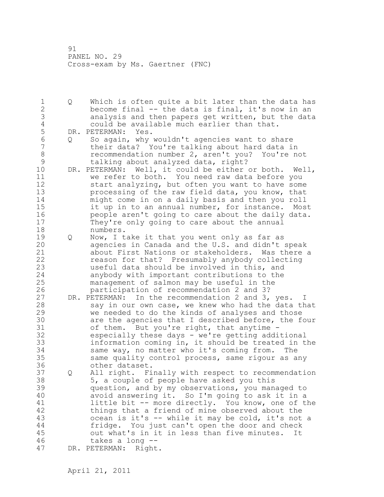1 Q Which is often quite a bit later than the data has 2 become final -- the data is final, it's now in an 3 analysis and then papers get written, but the data 4 could be available much earlier than that.<br>5 DR. PETERMAN: Yes. 5 DR. PETERMAN: Yes.<br>6 0 So again, why 6 Q So again, why wouldn't agencies want to share 7 their data? You're talking about hard data in 8 recommendation number 2, aren't you? You're not 9 talking about analyzed data, right?<br>10 DR. PETERMAN: Well, it could be either DR. PETERMAN: Well, it could be either or both. Well, 11 we refer to both. You need raw data before you 12 start analyzing, but often you want to have some 13 processing of the raw field data, you know, that 14 might come in on a daily basis and then you roll 15 it up in to an annual number, for instance. Most 16 people aren't going to care about the daily data. 17 They're only going to care about the annual 18 numbers. 19 Q Now, I take it that you went only as far as 20 agencies in Canada and the U.S. and didn't speak 21 about First Nations or stakeholders. Was there a 22 reason for that? Presumably anybody collecting 23 useful data should be involved in this, and 24 anybody with important contributions to the 25 management of salmon may be useful in the 26 participation of recommendation 2 and 3?<br>27 DR. PETERMAN: In the recommendation 2 and 3, DR. PETERMAN: In the recommendation 2 and 3, yes. I 28 say in our own case, we knew who had the data that 29 we needed to do the kinds of analyses and those 30 are the agencies that I described before, the four 31 of them. But you're right, that anytime - 32 especially these days - we're getting additional 33 information coming in, it should be treated in the 34 same way, no matter who it's coming from. The 35 same quality control process, same rigour as any 36 other dataset. 37 Q All right. Finally with respect to recommendation 38 5, a couple of people have asked you this 39 question, and by my observations, you managed to 40 avoid answering it. So I'm going to ask it in a 41 little bit -- more directly. You know, one of the<br>42 things that a friend of mine observed about the things that a friend of mine observed about the 43 ocean is it's -- while it may be cold, it's not a 44 fridge. You just can't open the door and check 45 out what's in it in less than five minutes. It 46 takes a long -- 47 DR. PETERMAN: Right.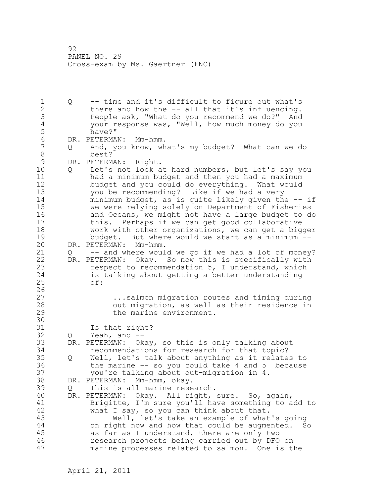1 Q -- time and it's difficult to figure out what's 2 there and how the -- all that it's influencing. 3 People ask, "What do you recommend we do?" And 4 your response was, "Well, how much money do you 5 have?"<br>6 DR. PETERMA 6 DR. PETERMAN: Mm-hmm.<br>7 0 And, vou know, wh 7 Q And, you know, what's my budget? What can we do 8 best?<br>9 DR. PETERM 9 DR. PETERMAN: Right.<br>10 0 Let's not look a 10 Q Let's not look at hard numbers, but let's say you 11 had a minimum budget and then you had a maximum 12 budget and you could do everything. What would 13 you be recommending? Like if we had a very 14 minimum budget, as is quite likely given the -- if 15 we were relying solely on Department of Fisheries 16 and Oceans, we might not have a large budget to do 17 this. Perhaps if we can get good collaborative 18 work with other organizations, we can get a bigger 19 budget. But where would we start as a minimum --<br>20 DR. PETERMAN: Mm-hmm. DR. PETERMAN: Mm-hmm. 21 Q -- and where would we go if we had a lot of money? 22 DR. PETERMAN: Okay. So now this is specifically with 23 respect to recommendation 5, I understand, which 24 is talking about getting a better understanding 25 of:  $\frac{26}{27}$ ...salmon migration routes and timing during 28 out migration, as well as their residence in 29 the marine environment. 30<br>31 Is that right? 32 Q Yeah, and -- 33 DR. PETERMAN: Okay, so this is only talking about 34 recommendations for research for that topic? 35 Q Well, let's talk about anything as it relates to 36 the marine -- so you could take 4 and 5 because 37 you're talking about out-migration in 4. 38 DR. PETERMAN: Mm-hmm, okay. 39 Q This is all marine research. 40 DR. PETERMAN: Okay. All right, sure. So, again, 41 Brigitte, I'm sure you'll have something to add to<br>42 what I sav, so you can think about that. what I say, so you can think about that. 43 Well, let's take an example of what's going 44 on right now and how that could be augmented. So 45 as far as I understand, there are only two 46 research projects being carried out by DFO on 47 marine processes related to salmon. One is the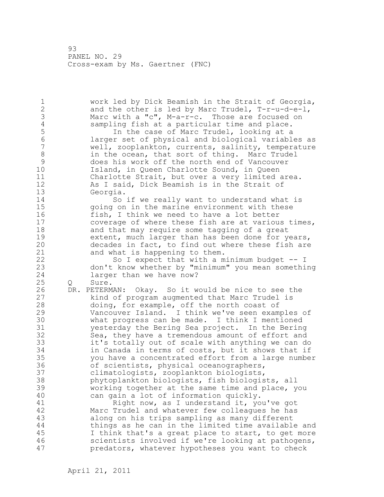1 work led by Dick Beamish in the Strait of Georgia, 2 and the other is led by Marc Trudel, T-r-u-d-e-l, 3 Marc with a "c", M-a-r-c. Those are focused on<br>4 sampling fish at a particular time and place. 4 sampling fish at a particular time and place.<br>5 11 The case of Marc Trudel, looking at a 5 1n the case of Marc Trudel, looking at a<br>6 1arger set of physical and biological variable 6 larger set of physical and biological variables as well, zooplankton, currents, salinity, temperature 8 in the ocean, that sort of thing. Marc Trudel 9 does his work off the north end of Vancouver<br>10 151and, in Oueen Charlotte Sound, in Oueen Island, in Queen Charlotte Sound, in Queen 11 Charlotte Strait, but over a very limited area. 12 As I said, Dick Beamish is in the Strait of 13 Georgia. 14 So if we really want to understand what is 15 going on in the marine environment with these 16 fish, I think we need to have a lot better 17 coverage of where these fish are at various times, 18 and that may require some tagging of a great 19 extent, much larger than has been done for years,<br>20 decades in fact, to find out where these fish are decades in fact, to find out where these fish are 21 and what is happening to them. 22 So I expect that with a minimum budget -- I 23 don't know whether by "minimum" you mean something 24 larger than we have now? 25 Q Sure. 26 DR. PETERMAN: Okay. So it would be nice to see the<br>27 hind of program augmented that Marc Trudel is kind of program augmented that Marc Trudel is 28 doing, for example, off the north coast of 29 Vancouver Island. I think we've seen examples of 30 what progress can be made. I think I mentioned<br>31 vesterday the Bering Sea project. In the Bering yesterday the Bering Sea project. In the Bering 32 Sea, they have a tremendous amount of effort and 33 it's totally out of scale with anything we can do 34 in Canada in terms of costs, but it shows that if 35 you have a concentrated effort from a large number 36 of scientists, physical oceanographers, 37 climatologists, zooplankton biologists, 38 phytoplankton biologists, fish biologists, all 39 working together at the same time and place, you 40 can gain a lot of information quickly. 41 Right now, as I understand it, you've got<br>42 Marc Trudel and whatever few colleagues he has Marc Trudel and whatever few colleagues he has 43 along on his trips sampling as many different 44 things as he can in the limited time available and 45 I think that's a great place to start, to get more 46 scientists involved if we're looking at pathogens, 47 predators, whatever hypotheses you want to check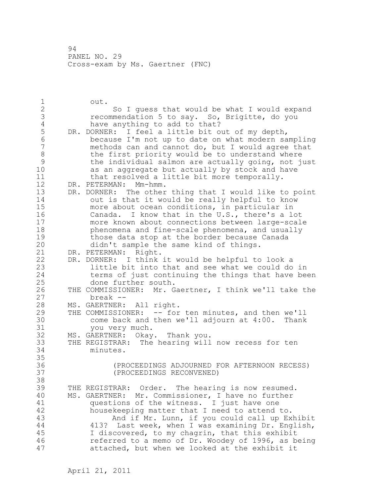1 out. 2 So I guess that would be what I would expand 3 **19 Frecommendation 5 to say. So, Brigitte, do you**<br>4 **have anything to add to that?** 4 have anything to add to that?<br>5 DR. DORNER: I feel a little bit o 5 DR. DORNER: I feel a little bit out of my depth,<br>6 because I'm not up to date on what modern sa 6 because I'm not up to date on what modern sampling methods can and cannot do, but I would agree that 8 the first priority would be to understand where<br>9 the individual salmon are actually going, not i 9 the individual salmon are actually going, not just<br>10 as an aggregate but actually by stock and have as an aggregate but actually by stock and have 11 that resolved a little bit more temporally. 12 DR. PETERMAN: Mm-hmm. 13 DR. DORNER: The other thing that I would like to point 14 out is that it would be really helpful to know 15 more about ocean conditions, in particular in 16 Canada. I know that in the U.S., there's a lot 17 more known about connections between large-scale 18 phenomena and fine-scale phenomena, and usually 19 those data stop at the border because Canada<br>20 didn't sample the same kind of things. didn't sample the same kind of things. 21 DR. PETERMAN: Right. 22 DR. DORNER: I think it would be helpful to look a 23 little bit into that and see what we could do in 24 terms of just continuing the things that have been 25 done further south. 26 THE COMMISSIONER: Mr. Gaertner, I think we'll take the<br>27 break -break --28 MS. GAERTNER: All right. 29 THE COMMISSIONER: -- for ten minutes, and then we'll 30 come back and then we'll adjourn at 4:00. Thank 31 you very much.<br>32 MS. GAERTNER: Okav MS. GAERTNER: Okay. Thank you. 33 THE REGISTRAR: The hearing will now recess for ten 34 minutes. 35 36 (PROCEEDINGS ADJOURNED FOR AFTERNOON RECESS) 37 (PROCEEDINGS RECONVENED) 38 39 THE REGISTRAR: Order. The hearing is now resumed. 40 MS. GAERTNER: Mr. Commissioner, I have no further 41 questions of the witness. I just have one<br>42 housekeeping matter that I need to attend housekeeping matter that I need to attend to. 43 And if Mr. Lunn, if you could call up Exhibit 44 413? Last week, when I was examining Dr. English, 45 I discovered, to my chagrin, that this exhibit 46 referred to a memo of Dr. Woodey of 1996, as being 47 attached, but when we looked at the exhibit it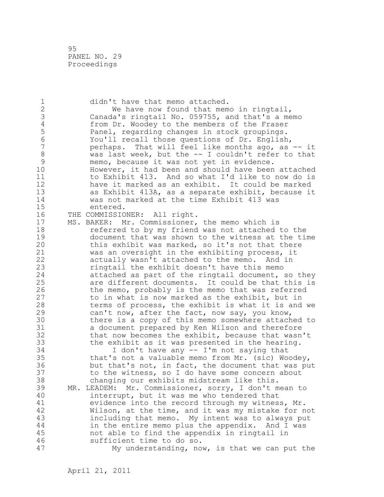95 PANEL NO. 29 Proceedings

1 didn't have that memo attached. 2 We have now found that memo in ringtail, 3 Canada's ringtail No. 059755, and that's a memo<br>4 from Dr. Woodey to the members of the Fraser 4 from Dr. Woodey to the members of the Fraser<br>5 Panel, regarding changes in stock groupings. 5 Panel, regarding changes in stock groupings.<br>6 The You'll recall those questions of Dr. English 6 You'll recall those questions of Dr. English, perhaps. That will feel like months ago, as -- it 8 was last week, but the -- I couldn't refer to that<br>9 memo, because it was not yet in evidence. 9 memo, because it was not yet in evidence.<br>10 However, it had been and should have been However, it had been and should have been attached 11 to Exhibit 413. And so what I'd like to now do is 12 have it marked as an exhibit. It could be marked 13 as Exhibit 413A, as a separate exhibit, because it 14 was not marked at the time Exhibit 413 was 15 entered. 16 THE COMMISSIONER: All right. 17 MS. BAKER: Mr. Commissioner, the memo which is 18 referred to by my friend was not attached to the 19 document that was shown to the witness at the time<br>20 this exhibit was marked, so it's not that there this exhibit was marked, so it's not that there 21 was an oversight in the exhibiting process, it 22 actually wasn't attached to the memo. And in 23 ringtail the exhibit doesn't have this memo 24 attached as part of the ringtail document, so they 25 are different documents. It could be that this is 26 the memo, probably is the memo that was referred<br>27 to in what is now marked as the exhibit, but in to in what is now marked as the exhibit, but in 28 terms of process, the exhibit is what it is and we 29 can't now, after the fact, now say, you know, 30 there is a copy of this memo somewhere attached to<br>31 a document prepared by Ken Wilson and therefore 31 a document prepared by Ken Wilson and therefore<br>32 that now becomes the exhibit, because that wasn that now becomes the exhibit, because that wasn't 33 the exhibit as it was presented in the hearing. 34 I don't have any -- I'm not saying that 35 that's not a valuable memo from Mr. (sic) Woodey, 36 but that's not, in fact, the document that was put 37 to the witness, so I do have some concern about 38 changing our exhibits midstream like this. 39 MR. LEADEM: Mr. Commissioner, sorry, I don't mean to 40 interrupt, but it was me who tendered that 41 evidence into the record through my witness, Mr.<br>42 Wilson, at the time, and it was my mistake for n Wilson, at the time, and it was my mistake for not 43 including that memo. My intent was to always put 44 in the entire memo plus the appendix. And I was 45 not able to find the appendix in ringtail in 46 sufficient time to do so. 47 My understanding, now, is that we can put the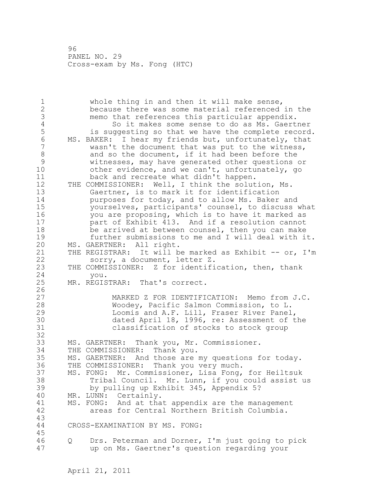96 PANEL NO. 29 Cross-exam by Ms. Fong (HTC)

1 whole thing in and then it will make sense, 2 because there was some material referenced in the 3 memo that references this particular appendix.<br>4 So it makes some sense to do as Ms. Gaert 4 So it makes some sense to do as Ms. Gaertner<br>5 is suggesting so that we have the complete record 5 is suggesting so that we have the complete record.<br>6 MS. BAKER: I hear my friends but, unfortunately, that 6 MS. BAKER: I hear my friends but, unfortunately, that<br>7 wasn't the document that was put to the witness. wasn't the document that was put to the witness, 8 and so the document, if it had been before the<br>9 witnesses, may have generated other questions 9 witnesses, may have generated other questions or other evidence, and we can't, unfortunately, go 11 back and recreate what didn't happen. 12 THE COMMISSIONER: Well, I think the solution, Ms. 13 Gaertner, is to mark it for identification 14 purposes for today, and to allow Ms. Baker and 15 yourselves, participants' counsel, to discuss what 16 you are proposing, which is to have it marked as 17 part of Exhibit 413. And if a resolution cannot 18 be arrived at between counsel, then you can make 19 further submissions to me and I will deal with it.<br>20 MS. GAERTNER: All right. MS. GAERTNER: All right.<br>THE REGISTRAR: It will b 21 THE REGISTRAR: It will be marked as Exhibit -- or, I'm 22 sorry, a document, letter Z. 23 THE COMMISSIONER: Z for identification, then, thank 24 you. 25 MR. REGISTRAR: That's correct.  $\frac{26}{27}$ 27 MARKED Z FOR IDENTIFICATION: Memo from J.C.<br>28 Moodey, Pacific Salmon Commission, to L. Woodey, Pacific Salmon Commission, to L. 29 Loomis and A.F. Lill, Fraser River Panel, 30 dated April 18, 1996, re: Assessment of the<br>31 classification of stocks to stock group classification of stocks to stock group 32 33 MS. GAERTNER: Thank you, Mr. Commissioner. 34 THE COMMISSIONER: Thank you. 35 MS. GAERTNER: And those are my questions for today.<br>36 THE COMMISSIONER: Thank you very much. THE COMMISSIONER: Thank you very much. 37 MS. FONG: Mr. Commissioner, Lisa Fong, for Heiltsuk 38 Tribal Council. Mr. Lunn, if you could assist us 39 by pulling up Exhibit 345, Appendix 5? 40 MR. LUNN: Certainly. 41 MS. FONG: And at that appendix are the management<br>42 areas for Central Northern British Columbia. areas for Central Northern British Columbia. 43 44 CROSS-EXAMINATION BY MS. FONG: 45 46 Q Drs. Peterman and Dorner, I'm just going to pick 47 up on Ms. Gaertner's question regarding your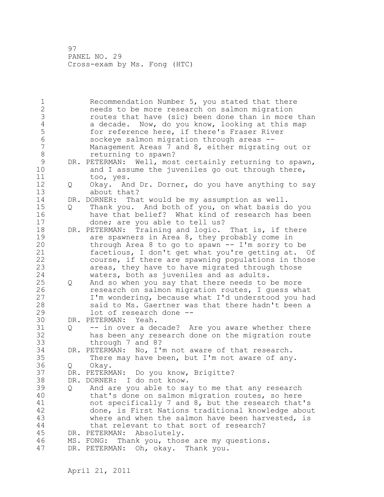97 PANEL NO. 29 Cross-exam by Ms. Fong (HTC)

1 Recommendation Number 5, you stated that there 2 needs to be more research on salmon migration 3 3 routes that have (sic) been done than in more than<br>4 3 a decade. Now, do you know, looking at this map 4 a decade. Now, do you know, looking at this map<br>5 for reference here, if there's Fraser River 5 for reference here, if there's Fraser River<br>6 sockeve salmon migration through areas --6 sockeye salmon migration through areas -- Management Areas 7 and 8, either migrating out or 8 returning to spawn? 9 DR. PETERMAN: Well, most certainly returning to spawn,<br>10 and I assume the iuveniles go out through there, and I assume the juveniles go out through there, 11 too, yes. 12 Q Okay. And Dr. Dorner, do you have anything to say 13 about that? 14 DR. DORNER: That would be my assumption as well. 15 Q Thank you. And both of you, on what basis do you 16 have that belief? What kind of research has been 17 done; are you able to tell us? 18 DR. PETERMAN: Training and logic. That is, if there 19 are spawners in Area 8, they probably come in<br>20 through Area 8 to go to spawn -- I'm sorry to through Area 8 to go to spawn  $-- I'm$  sorry to be 21 facetious, I don't get what you're getting at. Of 22 course, if there are spawning populations in those 23 areas, they have to have migrated through those 24 waters, both as juveniles and as adults. 25 Q And so when you say that there needs to be more 26 research on salmon migration routes, I guess what<br>27 I'm wondering, because what I'd understood you ha I'm wondering, because what I'd understood you had 28 said to Ms. Gaertner was that there hadn't been a 29 lot of research done -- 30 DR. PETERMAN: Yeah. Q -- in over a decade? Are you aware whether there 32 has been any research done on the migration route 33 through 7 and 8? 34 DR. PETERMAN: No, I'm not aware of that research. 35 There may have been, but I'm not aware of any. 36 Q Okay. 37 DR. PETERMAN: Do you know, Brigitte? 38 DR. DORNER: I do not know. 39 Q And are you able to say to me that any research 40 that's done on salmon migration routes, so here 41 not specifically 7 and 8, but the research that's<br>42 done, is First Nations traditional knowledge abou done, is First Nations traditional knowledge about 43 where and when the salmon have been harvested, is 44 that relevant to that sort of research? 45 DR. PETERMAN: Absolutely. 46 MS. FONG: Thank you, those are my questions. 47 DR. PETERMAN: Oh, okay. Thank you.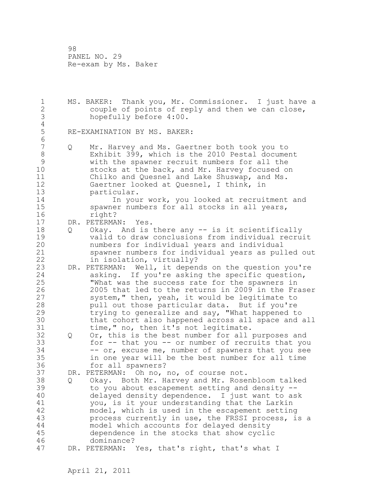98 PANEL NO. 29 Re-exam by Ms. Baker

1 MS. BAKER: Thank you, Mr. Commissioner. I just have a 2 couple of points of reply and then we can close, 3 hopefully before 4:00.  $\frac{4}{5}$ 5 RE-EXAMINATION BY MS. BAKER: 6<br>7 7 Q Mr. Harvey and Ms. Gaertner both took you to 8 Exhibit 399, which is the 2010 Pestal document 9 with the spawner recruit numbers for all the stocks at the back, and Mr. Harvey focused on 11 Chilko and Quesnel and Lake Shuswap, and Ms. 12 Gaertner looked at Quesnel, I think, in 13 particular. 14 In your work, you looked at recruitment and 15 spawner numbers for all stocks in all years, 16 right? 17 DR. PETERMAN: Yes. 18 Q Okay. And is there any -- is it scientifically 19 valid to draw conclusions from individual recruit numbers for individual years and individual 21 spawner numbers for individual years as pulled out 22 in isolation, virtually? 23 DR. PETERMAN: Well, it depends on the question you're 24 asking. If you're asking the specific question, 25 "What was the success rate for the spawners in 26 2005 that led to the returns in 2009 in the Fraser<br>27 system," then, yeah, it would be legitimate to system," then, yeah, it would be legitimate to 28 pull out those particular data. But if you're 29 trying to generalize and say, "What happened to 30 that cohort also happened across all space and all<br>31 time," no, then it's not legitimate. time," no, then it's not legitimate. 32 Q Or, this is the best number for all purposes and 33 for -- that you -- or number of recruits that you 34 -- or, excuse me, number of spawners that you see 35 in one year will be the best number for all time 36 for all spawners? 37 DR. PETERMAN: Oh no, no, of course not. 38 Q Okay. Both Mr. Harvey and Mr. Rosenbloom talked 39 to you about escapement setting and density -- 40 delayed density dependence. I just want to ask 41 you, is it your understanding that the Larkin<br>42 model, which is used in the escapement setting model, which is used in the escapement setting 43 process currently in use, the FRSSI process, is a 44 model which accounts for delayed density 45 dependence in the stocks that show cyclic 46 dominance? 47 DR. PETERMAN: Yes, that's right, that's what I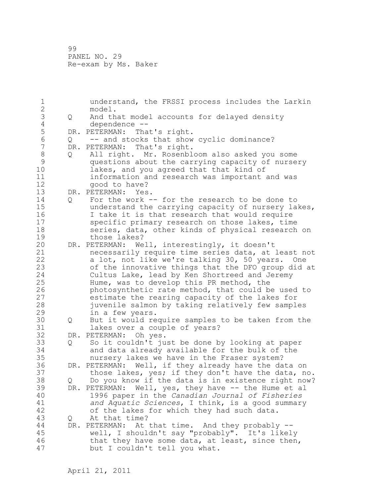99 PANEL NO. 29 Re-exam by Ms. Baker

1 understand, the FRSSI process includes the Larkin 2 model. 3 Q And that model accounts for delayed density 4 dependence --<br>5 DR. PETERMAN: Tha 5 DR. PETERMAN: That's right.<br>6 0 -- and stocks that show 6 Q -- and stocks that show cyclic dominance?<br>7 DR. PETERMAN: That's right. DR. PETERMAN: That's right. 8 Q All right. Mr. Rosenbloom also asked you some 9 questions about the carrying capacity of nursery<br>10 lakes, and you agreed that that kind of lakes, and you agreed that that kind of 11 information and research was important and was 12 good to have? 13 DR. PETERMAN: Yes. 14 Q For the work -- for the research to be done to 15 understand the carrying capacity of nursery lakes, 16 I take it is that research that would require 17 specific primary research on those lakes, time 18 series, data, other kinds of physical research on 19 those lakes?<br>20 DR. PETERMAN: We DR. PETERMAN: Well, interestingly, it doesn't 21 necessarily require time series data, at least not 22 a lot, not like we're talking 30, 50 years. One 23 of the innovative things that the DFO group did at 24 Cultus Lake, lead by Ken Shortreed and Jeremy 25 Hume, was to develop this PR method, the 26 photosynthetic rate method, that could be used to<br>27 estimate the rearing capacity of the lakes for estimate the rearing capacity of the lakes for 28 juvenile salmon by taking relatively few samples 29 in a few years. 30 Q But it would require samples to be taken from the lakes over a couple of years? 32 DR. PETERMAN: Oh yes. 33 Q So it couldn't just be done by looking at paper 34 and data already available for the bulk of the 35 nursery lakes we have in the Fraser system? 36 DR. PETERMAN: Well, if they already have the data on 37 those lakes, yes; if they don't have the data, no. 38 Q Do you know if the data is in existence right now? 39 DR. PETERMAN: Well, yes, they have -- the Hume et al 40 1996 paper in the *Canadian Journal of Fisheries*  41 *and Aquatic Sciences*, I think, is a good summary of the lakes for which they had such data. 43 Q At that time? 44 DR. PETERMAN: At that time. And they probably -- 45 well, I shouldn't say "probably". It's likely 46 that they have some data, at least, since then, 47 but I couldn't tell you what.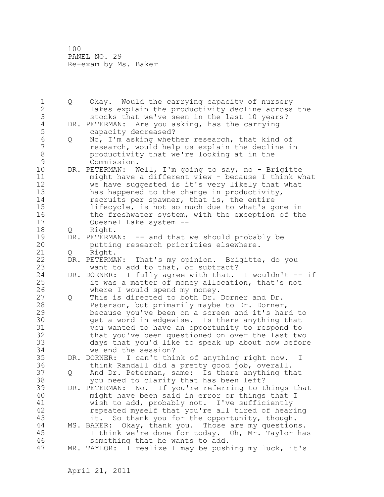100 PANEL NO. 29 Re-exam by Ms. Baker

| $\mathbf 1$<br>$\mathbf{2}$ | Q   | Okay. Would the carrying capacity of nursery<br>lakes explain the productivity decline across the |
|-----------------------------|-----|---------------------------------------------------------------------------------------------------|
| $\mathcal{S}$               |     | stocks that we've seen in the last 10 years?                                                      |
| $\overline{4}$              |     | DR. PETERMAN: Are you asking, has the carrying                                                    |
| 5                           |     | capacity decreased?                                                                               |
| $\epsilon$                  | Q   | No, I'm asking whether research, that kind of                                                     |
| $\overline{7}$              |     | research, would help us explain the decline in                                                    |
| $\,8\,$                     |     | productivity that we're looking at in the                                                         |
| 9                           |     | Commission.                                                                                       |
| 10                          |     | Well, I'm going to say, no - Brigitte<br>DR. PETERMAN:                                            |
| 11                          |     | might have a different view - because I think what                                                |
| 12                          |     | we have suggested is it's very likely that what                                                   |
| 13                          |     | has happened to the change in productivity,                                                       |
| 14                          |     | recruits per spawner, that is, the entire                                                         |
| 15                          |     | lifecycle, is not so much due to what's gone in                                                   |
| 16                          |     | the freshwater system, with the exception of the                                                  |
| 17                          |     | Quesnel Lake system --                                                                            |
| 18                          | Q   | Right.                                                                                            |
| 19                          | DR. | PETERMAN: -- and that we should probably be                                                       |
| 20                          |     | putting research priorities elsewhere.                                                            |
| 21                          | Q   | Right.                                                                                            |
| 22                          | DR. | PETERMAN: That's my opinion. Brigitte, do you                                                     |
| 23                          |     | want to add to that, or subtract?                                                                 |
| 24                          |     | DR. DORNER: I fully agree with that. I wouldn't -- if                                             |
| 25                          |     | it was a matter of money allocation, that's not                                                   |
| 26                          |     | where I would spend my money.                                                                     |
| 27                          | Q   | This is directed to both Dr. Dorner and Dr.                                                       |
| 28                          |     | Peterson, but primarily maybe to Dr. Dorner,                                                      |
| 29                          |     | because you've been on a screen and it's hard to                                                  |
| 30                          |     |                                                                                                   |
| 31                          |     | get a word in edgewise. Is there anything that                                                    |
|                             |     | you wanted to have an opportunity to respond to                                                   |
| 32                          |     | that you've been questioned on over the last two                                                  |
| 33                          |     | days that you'd like to speak up about now before                                                 |
| 34                          |     | we end the session?                                                                               |
| 35                          |     | DR. DORNER: I can't think of anything right now.<br>I                                             |
| 36                          |     | think Randall did a pretty good job, overall.                                                     |
| 37                          | Q   | And Dr. Peterman, same: Is there anything that                                                    |
| 38                          |     | you need to clarify that has been left?                                                           |
| 39                          |     | If you're referring to things that<br>DR. PETERMAN:<br>No.                                        |
| 40                          |     | might have been said in error or things that I                                                    |
| 41                          |     | wish to add, probably not. I've sufficiently                                                      |
| 42                          |     | repeated myself that you're all tired of hearing                                                  |
| 43                          |     | So thank you for the opportunity, though.<br>it.                                                  |
| 44                          |     | Okay, thank you. Those are my questions.<br>MS. BAKER:                                            |
| 45                          |     | I think we're done for today. Oh, Mr. Taylor has                                                  |
| 46                          |     | something that he wants to add.                                                                   |
| 47                          |     | MR. TAYLOR:<br>I realize I may be pushing my luck, it's                                           |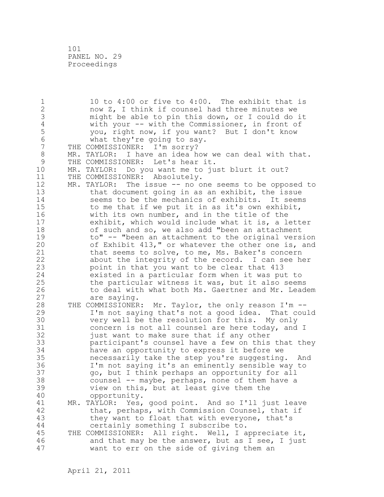101 PANEL NO. 29 Proceedings

1 10 to 4:00 or five to 4:00. The exhibit that is 2 now Z, I think if counsel had three minutes we 3 might be able to pin this down, or I could do it 4 with your -- with the Commissioner, in front of<br>5 you, right now, if you want? But I don't know 5 you, right now, if you want? But I don't know<br>6 what they're going to say. 6 what they're going to say.<br>7 THE COMMISSIONER: I'm sorrv? THE COMMISSIONER: I'm sorry? 8 MR. TAYLOR: I have an idea how we can deal with that.<br>9 THE COMMISSIONER: Let's hear it. 9 THE COMMISSIONER: Let's hear it.<br>10 MR. TAYLOR: Do vou want me to ju MR. TAYLOR: Do you want me to just blurt it out? 11 THE COMMISSIONER: Absolutely. 12 MR. TAYLOR: The issue -- no one seems to be opposed to 13 that document going in as an exhibit, the issue 14 seems to be the mechanics of exhibits. It seems 15 to me that if we put it in as it's own exhibit, 16 with its own number, and in the title of the 17 exhibit, which would include what it is, a letter 18 of such and so, we also add "been an attachment 19 to" -- "been an attachment to the original version<br>20 of Exhibit 413," or whatever the other one is, and of Exhibit 413," or whatever the other one is, and 21 that seems to solve, to me, Ms. Baker's concern 22 about the integrity of the record. I can see her 23 point in that you want to be clear that 413 24 existed in a particular form when it was put to 25 the particular witness it was, but it also seems 26 to deal with what both Ms. Gaertner and Mr. Leadem<br>27 are saying. are saying. 28 THE COMMISSIONER: Mr. Taylor, the only reason I'm -- 29 I'm not saying that's not a good idea. That could 30 very well be the resolution for this. My only<br>31 concern is not all counsel are here today, and concern is not all counsel are here today, and I 32 just want to make sure that if any other 33 participant's counsel have a few on this that they 34 have an opportunity to express it before we 35 necessarily take the step you're suggesting. And 36 I'm not saying it's an eminently sensible way to 37 go, but I think perhaps an opportunity for all 38 counsel -- maybe, perhaps, none of them have a 39 view on this, but at least give them the 40 opportunity. 41 MR. TAYLOR: Yes, good point. And so I'll just leave<br>42 that, perhaps, with Commission Counsel, that if that, perhaps, with Commission Counsel, that if 43 they want to float that with everyone, that's 44 certainly something I subscribe to. 45 THE COMMISSIONER: All right. Well, I appreciate it, 46 and that may be the answer, but as I see, I just 47 want to err on the side of giving them an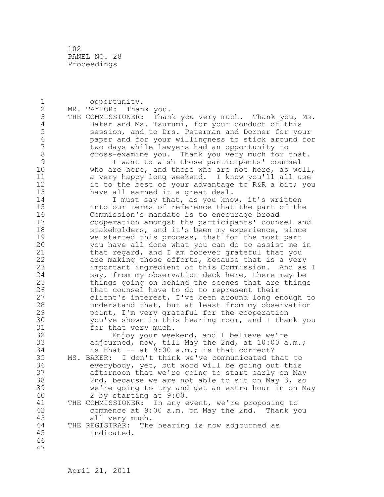102 PANEL NO. 28 Proceedings

| $\mathbf 1$<br>$\overline{2}$<br>3 | opportunity.<br>MR. TAYLOR: Thank you.<br>THE COMMISSIONER: Thank you very much. Thank you, Ms.                                                            |
|------------------------------------|------------------------------------------------------------------------------------------------------------------------------------------------------------|
| $\sqrt{4}$<br>5<br>$\sqrt{6}$      | Baker and Ms. Tsurumi, for your conduct of this<br>session, and to Drs. Peterman and Dorner for your<br>paper and for your willingness to stick around for |
| 7<br>$\,8\,$                       | two days while lawyers had an opportunity to<br>cross-examine you. Thank you very much for that.                                                           |
| $\mathcal{G}$<br>10                | I want to wish those participants' counsel<br>who are here, and those who are not here, as well,                                                           |
| 11<br>12<br>13                     | a very happy long weekend. I know you'll all use<br>it to the best of your advantage to R&R a bit; you                                                     |
| 14<br>15                           | have all earned it a great deal.<br>I must say that, as you know, it's written                                                                             |
| 16<br>17                           | into our terms of reference that the part of the<br>Commission's mandate is to encourage broad<br>cooperation amongst the participants' counsel and        |
| 18<br>19                           | stakeholders, and it's been my experience, since<br>we started this process, that for the most part                                                        |
| 20<br>21                           | you have all done what you can do to assist me in<br>that regard, and I am forever grateful that you                                                       |
| 22<br>23                           | are making those efforts, because that is a very<br>important ingredient of this Commission. And as I                                                      |
| 24<br>25                           | say, from my observation deck here, there may be<br>things going on behind the scenes that are things                                                      |
| 26<br>27                           | that counsel have to do to represent their<br>client's interest, I've been around long enough to                                                           |
| 28<br>29                           | understand that, but at least from my observation<br>point, I'm very grateful for the cooperation                                                          |
| 30<br>31<br>32                     | you've shown in this hearing room, and I thank you<br>for that very much.<br>Enjoy your weekend, and I believe we're                                       |
| 33<br>34                           | adjourned, now, till May the 2nd, at 10:00 a.m.;<br>is that $--$ at $9:00$ a.m.; is that correct?                                                          |
| 35<br>36                           | MS. BAKER: I don't think we've communicated that to<br>everybody, yet, but word will be going out this                                                     |
| 37<br>38                           | afternoon that we're going to start early on May<br>2nd, because we are not able to sit on May 3, so                                                       |
| 39<br>40                           | we're going to try and get an extra hour in on May<br>2 by starting at 9:00.                                                                               |
| 41<br>42                           | THE COMMISSIONER: In any event, we're proposing to<br>commence at 9:00 a.m. on May the 2nd. Thank you                                                      |
| 43                                 | all very much.                                                                                                                                             |
| 44                                 | The hearing is now adjourned as<br>THE REGISTRAR:                                                                                                          |
| 45                                 | indicated.                                                                                                                                                 |
| 46                                 |                                                                                                                                                            |
| 47                                 |                                                                                                                                                            |